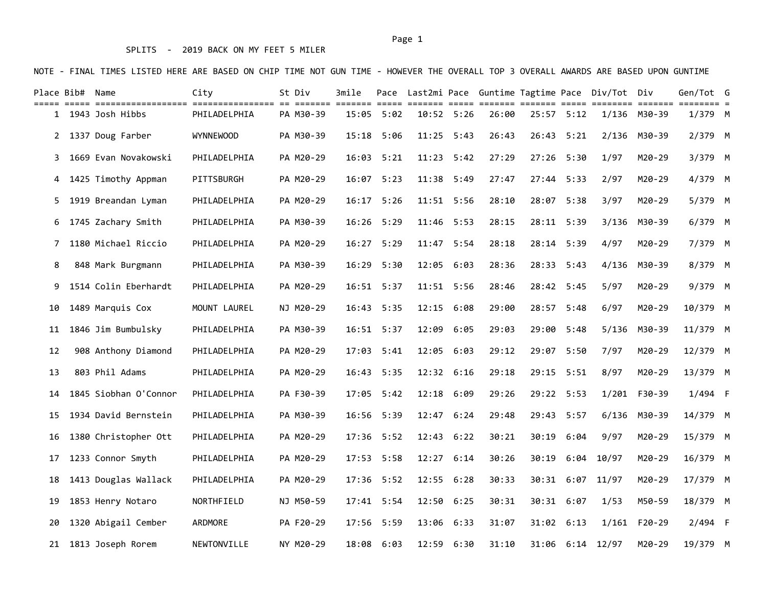### SPLITS - 2019 BACK ON MY FEET 5 MILER

NOTE - FINAL TIMES LISTED HERE ARE BASED ON CHIP TIME NOT GUN TIME - HOWEVER THE OVERALL TOP 3 OVERALL AWARDS ARE BASED UPON GUNTIME

|    | Place Bib# Name |                       | City             | St Div    | 3mile          |              |      |       |                |      | Pace Last2mi Pace Guntime Tagtime Pace Div/Tot Div |              | Gen/Tot G |  |
|----|-----------------|-----------------------|------------------|-----------|----------------|--------------|------|-------|----------------|------|----------------------------------------------------|--------------|-----------|--|
|    |                 | 1 1943 Josh Hibbs     | PHILADELPHIA     | PA M30-39 | $15:05$ $5:02$ | $10:52$ 5:26 |      | 26:00 | $25:57$ $5:12$ |      |                                                    | 1/136 M30-39 | $1/379$ M |  |
|    |                 | 2 1337 Doug Farber    | <b>WYNNEWOOD</b> | PA M30-39 | 15:18 5:06     | 11:25        | 5:43 | 26:43 | 26:43          | 5:21 | 2/136                                              | M30-39       | 2/379 M   |  |
| 3  |                 | 1669 Evan Novakowski  | PHILADELPHIA     | PA M20-29 | 16:03 5:21     | 11:23        | 5:42 | 27:29 | 27:26          | 5:30 | 1/97                                               | M20-29       | 3/379 M   |  |
| 4  |                 | 1425 Timothy Appman   | PITTSBURGH       | PA M20-29 | 16:07 5:23     | 11:38        | 5:49 | 27:47 | 27:44          | 5:33 | 2/97                                               | M20-29       | 4/379 M   |  |
| 5. |                 | 1919 Breandan Lyman   | PHILADELPHIA     | PA M20-29 | 16:17 5:26     | 11:51 5:56   |      | 28:10 | 28:07          | 5:38 | 3/97                                               | M20-29       | 5/379 M   |  |
| 6  |                 | 1745 Zachary Smith    | PHILADELPHIA     | PA M30-39 | 16:26 5:29     | 11:46        | 5:53 | 28:15 | 28:11 5:39     |      |                                                    | 3/136 M30-39 | 6/379 M   |  |
| 7  |                 | 1180 Michael Riccio   | PHILADELPHIA     | PA M20-29 | 16:27 5:29     | 11:47        | 5:54 | 28:18 | 28:14          | 5:39 | 4/97                                               | M20-29       | 7/379 M   |  |
| 8  |                 | 848 Mark Burgmann     | PHILADELPHIA     | PA M30-39 | $16:29$ $5:30$ | 12:05        | 6:03 | 28:36 | 28:33          | 5:43 | 4/136                                              | M30-39       | 8/379 M   |  |
| 9  |                 | 1514 Colin Eberhardt  | PHILADELPHIA     | PA M20-29 | $16:51$ $5:37$ | 11:51 5:56   |      | 28:46 | 28:42 5:45     |      | 5/97                                               | M20-29       | 9/379 M   |  |
| 10 |                 | 1489 Marquis Cox      | MOUNT LAUREL     | NJ M20-29 | 16:43 5:35     | 12:15 6:08   |      | 29:00 | 28:57 5:48     |      | 6/97                                               | M20-29       | 10/379 M  |  |
| 11 |                 | 1846 Jim Bumbulsky    | PHILADELPHIA     | PA M30-39 | $16:51$ 5:37   | 12:09        | 6:05 | 29:03 | 29:00          | 5:48 | 5/136                                              | M30-39       | 11/379 M  |  |
| 12 |                 | 908 Anthony Diamond   | PHILADELPHIA     | PA M20-29 | $17:03$ $5:41$ | 12:05        | 6:03 | 29:12 | 29:07          | 5:50 | 7/97                                               | M20-29       | 12/379 M  |  |
| 13 |                 | 803 Phil Adams        | PHILADELPHIA     | PA M20-29 | 16:43 5:35     | 12:32 6:16   |      | 29:18 | 29:15          | 5:51 | 8/97                                               | M20-29       | 13/379 M  |  |
| 14 |                 | 1845 Siobhan O'Connor | PHILADELPHIA     | PA F30-39 | 17:05 5:42     | 12:18 6:09   |      | 29:26 | 29:22 5:53     |      |                                                    | 1/201 F30-39 | $1/494$ F |  |
| 15 |                 | 1934 David Bernstein  | PHILADELPHIA     | PA M30-39 | 16:56 5:39     | 12:47        | 6:24 | 29:48 | 29:43          | 5:57 | 6/136                                              | M30-39       | 14/379 M  |  |
| 16 |                 | 1380 Christopher Ott  | PHILADELPHIA     | PA M20-29 | 17:36 5:52     | 12:43 6:22   |      | 30:21 | 30:19          | 6:04 | 9/97                                               | M20-29       | 15/379 M  |  |
| 17 |                 | 1233 Connor Smyth     | PHILADELPHIA     | PA M20-29 | 17:53 5:58     | 12:27 6:14   |      | 30:26 | 30:19          | 6:04 | 10/97                                              | M20-29       | 16/379 M  |  |
| 18 |                 | 1413 Douglas Wallack  | PHILADELPHIA     | PA M20-29 | $17:36$ 5:52   | 12:55 6:28   |      | 30:33 |                |      | 30:31 6:07 11/97                                   | M20-29       | 17/379 M  |  |
| 19 |                 | 1853 Henry Notaro     | NORTHFIELD       | NJ M50-59 | $17:41$ 5:54   | 12:50 6:25   |      | 30:31 | 30:31 6:07     |      | 1/53                                               | M50-59       | 18/379 M  |  |
| 20 |                 | 1320 Abigail Cember   | ARDMORE          | PA F20-29 | 17:56 5:59     | 13:06        | 6:33 | 31:07 | 31:02 6:13     |      |                                                    | 1/161 F20-29 | 2/494 F   |  |
|    |                 | 21 1813 Joseph Rorem  | NEWTONVILLE      | NY M20-29 | 18:08 6:03     | 12:59 6:30   |      | 31:10 |                |      | 31:06 6:14 12/97                                   | M20-29       | 19/379 M  |  |

#### Page 1 and 2012 12:00 the contract of the contract of the contract of the contract of the contract of the contract of the contract of the contract of the contract of the contract of the contract of the contract of the cont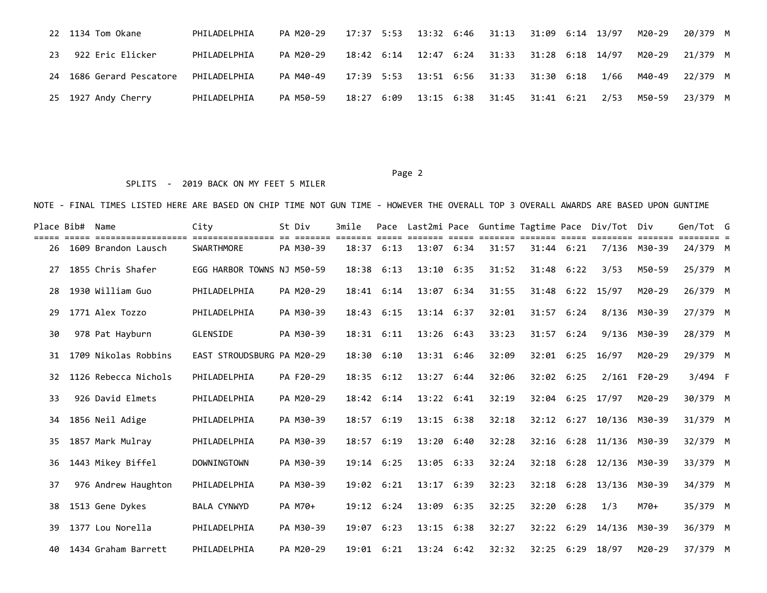|    | 22 1134 Tom Okane        | PHILADELPHIA | PA M20-29 |  |                       | 17:37 5:53 13:32 6:46 31:13 31:09 6:14 13/97 |  |      | M20-29 | 20/379 M |  |
|----|--------------------------|--------------|-----------|--|-----------------------|----------------------------------------------|--|------|--------|----------|--|
| 23 | 922 Eric Elicker         | PHILADELPHIA | PA M20-29 |  |                       | 18:42 6:14 12:47 6:24 31:33 31:28 6:18 14/97 |  |      | M20-29 | 21/379 M |  |
|    | 24 1686 Gerard Pescatore | PHILADELPHIA | PA M40-49 |  |                       | 17:39 5:53 13:51 6:56 31:33 31:30 6:18       |  | 1/66 | M40-49 | 22/379 M |  |
|    | 25 1927 Andy Cherry      | PHILADELPHIA | PA M50-59 |  | 18:27 6:09 13:15 6:38 | 31:45 31:41 6:21                             |  | 2/53 | M50-59 | 23/379 M |  |

#### Page 2 and 2 and 2 and 2 and 2 and 2 and 2 and 2 and 2 and 2 and 2 and 2 and 2 and 2 and 2 and 2 and 2 and 2

## SPLITS - 2019 BACK ON MY FEET 5 MILER

| Place Bib# | Name                 | City                       | St Div    | 3mile | Pace               |                |      |       |                |      | Last2mi Pace Guntime Tagtime Pace Div/Tot | Div          | Gen/Tot G |  |
|------------|----------------------|----------------------------|-----------|-------|--------------------|----------------|------|-------|----------------|------|-------------------------------------------|--------------|-----------|--|
| 26         | 1609 Brandon Lausch  | <b>SWARTHMORE</b>          | PA M30-39 | 18:37 | 6:13               | 13:07          | 6:34 | 31:57 | $31:44$ $6:21$ |      | 7/136                                     | M30-39       | 24/379 M  |  |
| 27         | 1855 Chris Shafer    | EGG HARBOR TOWNS NJ M50-59 |           | 18:38 | 6:13               | 13:10          | 6:35 | 31:52 | 31:48          | 6:22 | 3/53                                      | M50-59       | 25/379 M  |  |
| 28         | 1930 William Guo     | PHILADELPHIA               | PA M20-29 |       | $18:41$ $6:14$     | 13:07          | 6:34 | 31:55 | 31:48          | 6:22 | 15/97                                     | M20-29       | 26/379 M  |  |
| 29         | 1771 Alex Tozzo      | PHILADELPHIA               | PA M30-39 | 18:43 | 6:15               | $13:14$ $6:37$ |      | 32:01 | 31:57          | 6:24 | 8/136                                     | M30-39       | 27/379 M  |  |
| 30         | 978 Pat Hayburn      | GLENSIDE                   | PA M30-39 |       | $18:31$ $6:11$     | $13:26$ $6:43$ |      | 33:23 | $31:57$ 6:24   |      |                                           | 9/136 M30-39 | 28/379 M  |  |
| 31         | 1709 Nikolas Robbins | EAST STROUDSBURG PA M20-29 |           | 18:30 | 6:10               | 13:31 6:46     |      | 32:09 | $32:01$ 6:25   |      | 16/97                                     | M20-29       | 29/379 M  |  |
| 32         | 1126 Rebecca Nichols | PHILADELPHIA               | PA F20-29 | 18:35 | 6:12               | 13:27          | 6:44 | 32:06 | 32:02          | 6:25 | 2/161                                     | F20-29       | $3/494$ F |  |
| 33         | 926 David Elmets     | PHILADELPHIA               | PA M20-29 |       | 18:42 6:14         | 13:22 6:41     |      | 32:19 | 32:04          | 6:25 | 17/97                                     | M20-29       | 30/379 M  |  |
| 34         | 1856 Neil Adige      | PHILADELPHIA               | PA M30-39 |       | 18:57 6:19         | $13:15$ $6:38$ |      | 32:18 | 32:12 6:27     |      | 10/136                                    | M30-39       | 31/379 M  |  |
| 35         | 1857 Mark Mulray     | PHILADELPHIA               | PA M30-39 |       | 18:57 6:19         | 13:20          | 6:40 | 32:28 | 32:16          |      | 6:28 11/136 M30-39                        |              | 32/379 M  |  |
| 36         | 1443 Mikey Biffel    | <b>DOWNINGTOWN</b>         | PA M30-39 | 19:14 | 6:25               | 13:05          | 6:33 | 32:24 | 32:18          | 6:28 | 12/136                                    | M30-39       | 33/379 M  |  |
| 37         | 976 Andrew Haughton  | PHILADELPHIA               | PA M30-39 | 19:02 | 6:21               | 13:17          | 6:39 | 32:23 | 32:18          | 6:28 | 13/136                                    | M30-39       | 34/379 M  |  |
| 38         | 1513 Gene Dykes      | <b>BALA CYNWYD</b>         | PA M70+   |       | $19:12 \quad 6:24$ | 13:09 6:35     |      | 32:25 | 32:20          | 6:28 | 1/3                                       | M70+         | 35/379 M  |  |
| 39         | 1377 Lou Norella     | PHILADELPHIA               | PA M30-39 | 19:07 | 6:23               | 13:15          | 6:38 | 32:27 | 32:22          | 6:29 | 14/136                                    | M30-39       | 36/379 M  |  |
| 40         | 1434 Graham Barrett  | PHILADELPHIA               | PA M20-29 |       | 19:01 6:21         | $13:24$ 6:42   |      | 32:32 | 32:25          | 6:29 | 18/97                                     | M20-29       | 37/379 M  |  |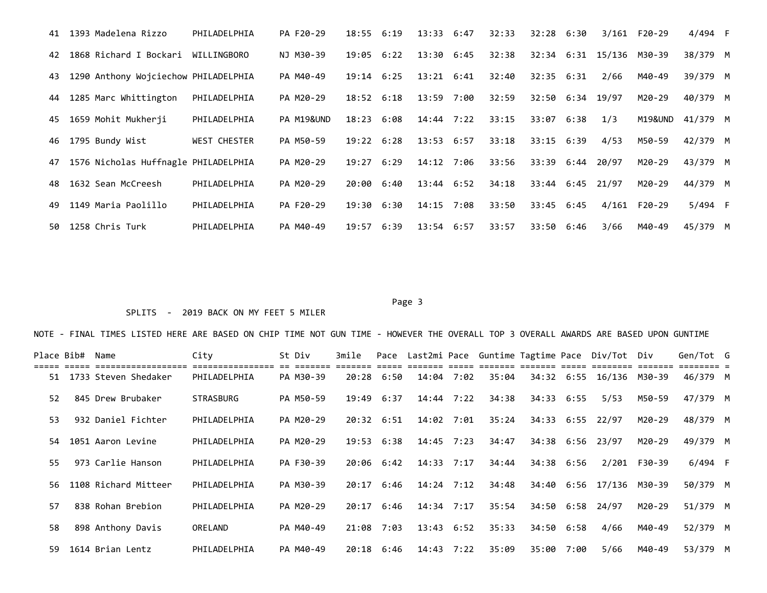| 41  | 1393 Madelena Rizzo                  | PHILADELPHIA        | PA F20-29  | 18:55              | 6:19 | 13:33          | 6:47 | 32:33 | 32:28            | 6:30 |             | 3/161 F20-29 | 4/494 F   |  |
|-----|--------------------------------------|---------------------|------------|--------------------|------|----------------|------|-------|------------------|------|-------------|--------------|-----------|--|
| 42  | 1868 Richard I Bockari               | WILLINGBORO         | NJ M30-39  | 19:05              | 6:22 | $13:30$ 6:45   |      | 32:38 | 32:34            |      | 6:31 15/136 | M30-39       | 38/379 M  |  |
| 43  | 1290 Anthony Wojciechow PHILADELPHIA |                     | PA M40-49  | $19:14$ $6:25$     |      | $13:21$ $6:41$ |      | 32:40 | 32:35            | 6:31 | 2/66        | M40-49       | 39/379 M  |  |
| 44  | 1285 Marc Whittington                | PHILADELPHIA        | PA M20-29  | $18:52 \quad 6:18$ |      | 13:59 7:00     |      | 32:59 | 32:50 6:34 19/97 |      |             | M20-29       | 40/379 M  |  |
| 45  | 1659 Mohit Mukherji                  | PHILADELPHIA        | PA M19&UND | 18:23              | 6:08 | 14:44 7:22     |      | 33:15 | 33:07 6:38       |      | 1/3         | M19&UND      | 41/379 M  |  |
| 46  | 1795 Bundy Wist                      | <b>WEST CHESTER</b> | PA M50-59  | 19:22              | 6:28 | $13:53$ $6:57$ |      | 33:18 | 33:15 6:39       |      | 4/53        | M50-59       | 42/379 M  |  |
| 47  | 1576 Nicholas Huffnagle PHILADELPHIA |                     | PA M20-29  | 19:27              | 6:29 | 14:12          | 7:06 | 33:56 | 33:39            | 6:44 | 20/97       | M20-29       | 43/379 M  |  |
| 48  | 1632 Sean McCreesh                   | PHILADELPHIA        | PA M20-29  | 20:00              | 6:40 | $13:44$ 6:52   |      | 34:18 | $33:44$ $6:45$   |      | 21/97       | M20-29       | 44/379 M  |  |
| 49  | 1149 Maria Paolillo                  | PHILADELPHIA        | PA F20-29  | 19:30              | 6:30 | 14:15          | 7:08 | 33:50 | 33:45            | 6:45 | 4/161       | F20-29       | $5/494$ F |  |
| 50. | 1258 Chris Turk                      | PHILADELPHIA        | PA M40-49  | 19:57              | 6:39 | $13:54$ 6:57   |      | 33:57 | 33:50            | 6:46 | 3/66        | M40-49       | 45/379 M  |  |

#### Page 3 and 2012 and 2012 and 2012 and 2012 and 2012 and 2012 and 2012 and 2012 and 2012 and 2012 and 2012 and

## SPLITS - 2019 BACK ON MY FEET 5 MILER

| Place Bib# | Name                                           | City                             | St Div                  | 3mile |                    |                    |      |       |            |      | Pace Last2mi Pace Guntime Tagtime Pace Div/Tot Div |              | Gen/Tot G |  |
|------------|------------------------------------------------|----------------------------------|-------------------------|-------|--------------------|--------------------|------|-------|------------|------|----------------------------------------------------|--------------|-----------|--|
|            | ===================<br>51 1733 Steven Shedaker | ================<br>PHILADELPHIA | es sessess<br>PA M30-39 | 20:28 | 6:50               | 14:04              | 7:02 | 35:04 |            |      | 34:32 6:55 16/136 M30-39                           |              | 46/379 M  |  |
| 52         | 845 Drew Brubaker                              | <b>STRASBURG</b>                 | PA M50-59               | 19:49 | 6:37               | $14:44$ 7:22       |      | 34:38 | 34:33      | 6:55 | 5/53                                               | M50-59       | 47/379 M  |  |
| 53         | 932 Daniel Fichter                             | PHILADELPHIA                     | PA M20-29               |       | $20:32 \quad 6:51$ | 14:02 7:01         |      | 35:24 | 34:33 6:55 |      | 22/97                                              | M20-29       | 48/379 M  |  |
| 54         | 1051 Aaron Levine                              | PHILADELPHIA                     | PA M20-29               | 19:53 | 6:38               | $14:45$ 7:23       |      | 34:47 | 34:38 6:56 |      | 23/97                                              | M20-29       | 49/379 M  |  |
| 55.        | 973 Carlie Hanson                              | PHILADELPHIA                     | PA F30-39               | 20:06 | 6:42               | 14:33              | 7:17 | 34:44 | 34:38 6:56 |      |                                                    | 2/201 F30-39 | $6/494$ F |  |
| 56.        | 1108 Richard Mitteer                           | PHILADELPHIA                     | PA M30-39               | 20:17 | 6:46               | 14:24              | 7:12 | 34:48 | 34:40      | 6:56 | 17/136                                             | M30-39       | 50/379 M  |  |
| 57         | 838 Rohan Brebion                              | PHILADELPHIA                     | PA M20-29               | 20:17 | 6:46               | 14:34              | 7:17 | 35:54 | 34:50      | 6:58 | 24/97                                              | M20-29       | 51/379 M  |  |
| 58         | 898 Anthony Davis                              | ORELAND                          | PA M40-49               | 21:08 | 7:03               | $13:43 \quad 6:52$ |      | 35:33 | 34:50      | 6:58 | 4/66                                               | M40-49       | 52/379 M  |  |
| 59         | 1614 Brian Lentz                               | PHILADELPHIA                     | PA M40-49               | 20:18 | 6:46               | 14:43              | 7:22 | 35:09 | 35:00      | 7:00 | 5/66                                               | M40-49       | 53/379 M  |  |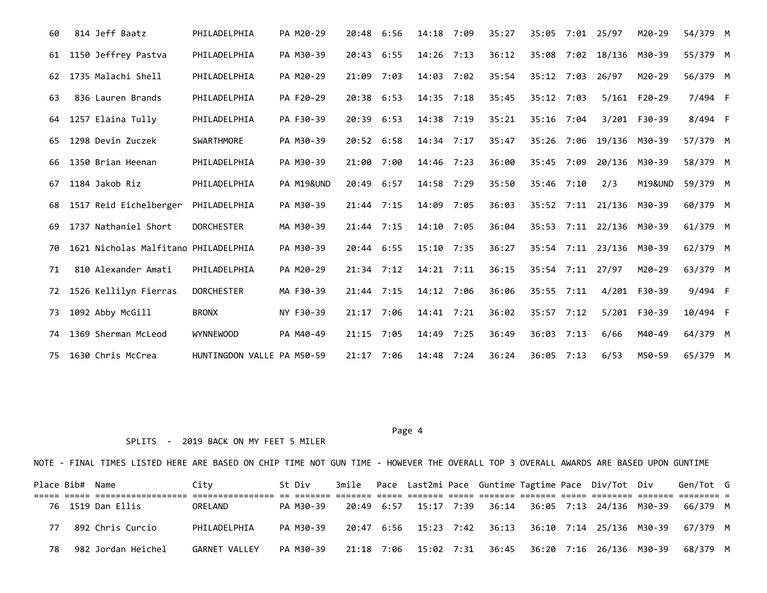| 60 | 814 Jeff Baatz                       | PHILADELPHIA               | PA M20-29  | 20:48        | 6:56 | 14:18        | 7:09 | 35:27 | 35:05        |      | 7:01 25/97    | M20-29             | 54/379 M |  |
|----|--------------------------------------|----------------------------|------------|--------------|------|--------------|------|-------|--------------|------|---------------|--------------------|----------|--|
| 61 | 1150 Jeffrey Pastva                  | PHILADELPHIA               | PA M30-39  | 20:43        | 6:55 | $14:26$ 7:13 |      | 36:12 | 35:08        | 7:02 | 18/136        | M30-39             | 55/379 M |  |
| 62 | 1735 Malachi Shell                   | PHILADELPHIA               | PA M20-29  | 21:09        | 7:03 | 14:03        | 7:02 | 35:54 | 35:12        | 7:03 | 26/97         | M20-29             | 56/379 M |  |
| 63 | 836 Lauren Brands                    | PHILADELPHIA               | PA F20-29  | 20:38        | 6:53 | $14:35$ 7:18 |      | 35:45 | 35:12        | 7:03 | 5/161         | F20-29             | 7/494 F  |  |
| 64 | 1257 Elaina Tully                    | PHILADELPHIA               | PA F30-39  | 20:39        | 6:53 | 14:38        | 7:19 | 35:21 | 35:16        | 7:04 | 3/201         | F30-39             | 8/494 F  |  |
| 65 | 1298 Devin Zuczek                    | SWARTHMORE                 | PA M30-39  | 20:52 6:58   |      | $14:34$ 7:17 |      | 35:47 | 35:26        | 7:06 | 19/136 M30-39 |                    | 57/379 M |  |
| 66 | 1350 Brian Heenan                    | PHILADELPHIA               | PA M30-39  | 21:00        | 7:00 | 14:46        | 7:23 | 36:00 | 35:45        | 7:09 | 20/136        | M30-39             | 58/379 M |  |
| 67 | 1184 Jakob Riz                       | PHILADELPHIA               | PA M19&UND | 20:49        | 6:57 | 14:58        | 7:29 | 35:50 | 35:46 7:10   |      | 2/3           | <b>M19&amp;UND</b> | 59/379 M |  |
| 68 | 1517 Reid Eichelberger               | PHILADELPHIA               | PA M30-39  | $21:44$ 7:15 |      | 14:09        | 7:05 | 36:03 | 35:52        | 7:11 | 21/136        | M30-39             | 60/379 M |  |
| 69 | 1737 Nathaniel Short                 | <b>DORCHESTER</b>          | MA M30-39  | 21:44        | 7:15 | 14:10        | 7:05 | 36:04 | 35:53        | 7:11 | 22/136 M30-39 |                    | 61/379 M |  |
| 70 | 1621 Nicholas Malfitano PHILADELPHIA |                            | PA M30-39  | 20:44 6:55   |      | 15:10 7:35   |      | 36:27 | 35:54        | 7:11 | 23/136 M30-39 |                    | 62/379 M |  |
| 71 | 810 Alexander Amati                  | PHILADELPHIA               | PA M20-29  | $21:34$ 7:12 |      | $14:21$ 7:11 |      | 36:15 | 35:54        | 7:11 | 27/97         | M20-29             | 63/379 M |  |
| 72 | 1526 Kellilyn Fierras                | <b>DORCHESTER</b>          | MA F30-39  | $21:44$ 7:15 |      | 14:12        | 7:06 | 36:06 | 35:55        | 7:11 | 4/201         | F30-39             | 9/494 F  |  |
| 73 | 1092 Abby McGill                     | <b>BRONX</b>               | NY F30-39  | 21:17 7:06   |      | 14:41 7:21   |      | 36:02 | 35:57        | 7:12 | 5/201         | F30-39             | 10/494 F |  |
| 74 | 1369 Sherman McLeod                  | <b>WYNNEWOOD</b>           | PA M40-49  | 21:15        | 7:05 | 14:49        | 7:25 | 36:49 | 36:03        | 7:13 | 6/66          | M40-49             | 64/379 M |  |
| 75 | 1630 Chris McCrea                    | HUNTINGDON VALLE PA M50-59 |            | 21:17 7:06   |      | 14:48 7:24   |      | 36:24 | $36:05$ 7:13 |      | 6/53          | M50-59             | 65/379 M |  |

Page 4 and the state of the state of the state of the state of the state of the state of the state of the state of the state of the state of the state of the state of the state of the state of the state of the state of the

## SPLITS - 2019 BACK ON MY FEET 5 MILER

|    | Place Bib# Name |                    | City          | St Div    |            |                       |  |  | 3mile Pace Last2mi Pace Guntime Tagtime Pace Div/Tot Div | Gen/Tot G |  |
|----|-----------------|--------------------|---------------|-----------|------------|-----------------------|--|--|----------------------------------------------------------|-----------|--|
|    |                 | 76 1519 Dan Ellis  | ORELAND       | PA M30-39 | 20:49 6:57 | 15:17 7:39            |  |  | 36:14 36:05 7:13 24/136 M30-39                           | 66/379 M  |  |
| 77 |                 | 892 Chris Curcio   | PHILADELPHIA  | PA M30-39 |            |                       |  |  | 20:47 6:56 15:23 7:42 36:13 36:10 7:14 25/136 M30-39     | 67/379 M  |  |
| 78 |                 | 982 Jordan Heichel | GARNET VALLEY | PA M30-39 |            | 21:18 7:06 15:02 7:31 |  |  |                                                          | 68/379 M  |  |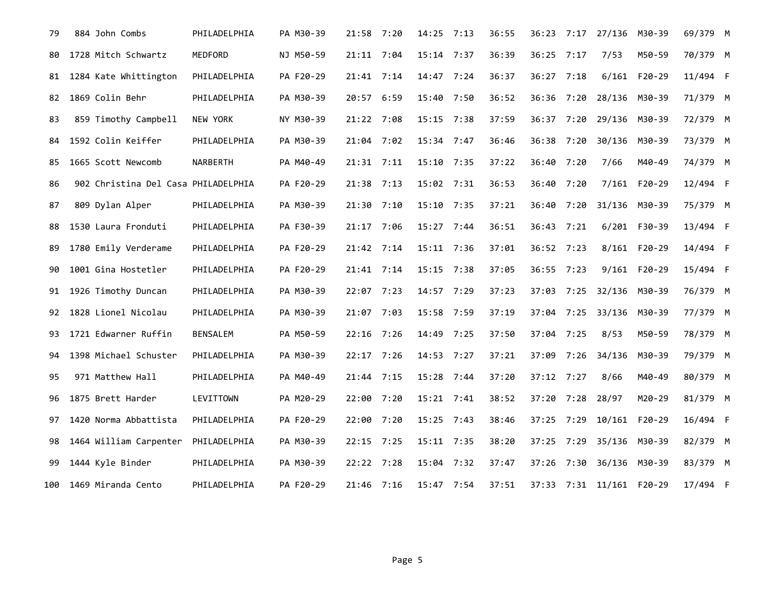| 79  | 884 John Combs                      | PHILADELPHIA    | PA M30-39 | 21:58 7:20   |      | $14:25$ 7:13 | 36:55 | 36:23      |      | 7:17 27/136 M30-39       |              | 69/379 M |  |
|-----|-------------------------------------|-----------------|-----------|--------------|------|--------------|-------|------------|------|--------------------------|--------------|----------|--|
| 80  | 1728 Mitch Schwartz                 | MEDFORD         | NJ M50-59 | 21:11 7:04   |      | $15:14$ 7:37 | 36:39 | 36:25      | 7:17 | 7/53                     | M50-59       | 70/379 M |  |
| 81  | 1284 Kate Whittington               | PHILADELPHIA    | PA F20-29 | 21:41 7:14   |      | 14:47 7:24   | 36:37 | 36:27 7:18 |      | 6/161                    | F20-29       | 11/494 F |  |
| 82  | 1869 Colin Behr                     | PHILADELPHIA    | PA M30-39 | 20:57 6:59   |      | 15:40 7:50   | 36:52 | 36:36 7:20 |      | 28/136 M30-39            |              | 71/379 M |  |
| 83  | 859 Timothy Campbell                | NEW YORK        | NY M30-39 | 21:22 7:08   |      | $15:15$ 7:38 | 37:59 | 36:37      | 7:20 | 29/136 M30-39            |              | 72/379 M |  |
| 84  | 1592 Colin Keiffer                  | PHILADELPHIA    | PA M30-39 | 21:04        | 7:02 | 15:34 7:47   | 36:46 | 36:38      | 7:20 | 30/136                   | M30-39       | 73/379 M |  |
| 85  | 1665 Scott Newcomb                  | NARBERTH        | PA M40-49 | 21:31 7:11   |      | 15:10 7:35   | 37:22 | 36:40      | 7:20 | 7/66                     | M40-49       | 74/379 M |  |
| 86  | 902 Christina Del Casa PHILADELPHIA |                 | PA F20-29 | 21:38 7:13   |      | 15:02 7:31   | 36:53 | 36:40      | 7:20 |                          | 7/161 F20-29 | 12/494 F |  |
| 87  | 809 Dylan Alper                     | PHILADELPHIA    | PA M30-39 | 21:30 7:10   |      | 15:10 7:35   | 37:21 | 36:40      | 7:20 | 31/136 M30-39            |              | 75/379 M |  |
| 88  | 1530 Laura Fronduti                 | PHILADELPHIA    | PA F30-39 | 21:17 7:06   |      | 15:27 7:44   | 36:51 | 36:43      | 7:21 |                          | 6/201 F30-39 | 13/494 F |  |
| 89  | 1780 Emily Verderame                | PHILADELPHIA    | PA F20-29 | 21:42 7:14   |      | 15:11 7:36   | 37:01 | 36:52 7:23 |      |                          | 8/161 F20-29 | 14/494 F |  |
| 90  | 1001 Gina Hostetler                 | PHILADELPHIA    | PA F20-29 | $21:41$ 7:14 |      | $15:15$ 7:38 | 37:05 | 36:55 7:23 |      |                          | 9/161 F20-29 | 15/494 F |  |
| 91  | 1926 Timothy Duncan                 | PHILADELPHIA    | PA M30-39 | 22:07 7:23   |      | 14:57 7:29   | 37:23 | 37:03      | 7:25 | 32/136                   | M30-39       | 76/379 M |  |
| 92  | 1828 Lionel Nicolau                 | PHILADELPHIA    | PA M30-39 | 21:07 7:03   |      | 15:58 7:59   | 37:19 | 37:04      | 7:25 | 33/136 M30-39            |              | 77/379 M |  |
| 93  | 1721 Edwarner Ruffin                | <b>BENSALEM</b> | PA M50-59 | 22:16 7:26   |      | 14:49 7:25   | 37:50 | 37:04 7:25 |      | 8/53                     | M50-59       | 78/379 M |  |
| 94  | 1398 Michael Schuster               | PHILADELPHIA    | PA M30-39 | 22:17 7:26   |      | 14:53 7:27   | 37:21 | 37:09      | 7:26 | 34/136                   | M30-39       | 79/379 M |  |
| 95  | 971 Matthew Hall                    | PHILADELPHIA    | PA M40-49 | 21:44 7:15   |      | 15:28 7:44   | 37:20 | 37:12 7:27 |      | 8/66                     | M40-49       | 80/379 M |  |
| 96  | 1875 Brett Harder                   | LEVITTOWN       | PA M20-29 | 22:00 7:20   |      | 15:21 7:41   | 38:52 | 37:20      | 7:28 | 28/97                    | M20-29       | 81/379 M |  |
| 97  | 1420 Norma Abbattista               | PHILADELPHIA    | PA F20-29 | 22:00 7:20   |      | 15:25 7:43   | 38:46 | 37:25 7:29 |      | 10/161 F20-29            |              | 16/494 F |  |
| 98  | 1464 William Carpenter              | PHILADELPHIA    | PA M30-39 | $22:15$ 7:25 |      | $15:11$ 7:35 | 38:20 | 37:25      | 7:29 | 35/136 M30-39            |              | 82/379 M |  |
| 99  | 1444 Kyle Binder                    | PHILADELPHIA    | PA M30-39 | 22:22 7:28   |      | 15:04 7:32   | 37:47 | 37:26      | 7:30 | 36/136 M30-39            |              | 83/379 M |  |
| 100 | 1469 Miranda Cento                  | PHILADELPHIA    | PA F20-29 | 21:46 7:16   |      | 15:47 7:54   | 37:51 |            |      | 37:33 7:31 11/161 F20-29 |              | 17/494 F |  |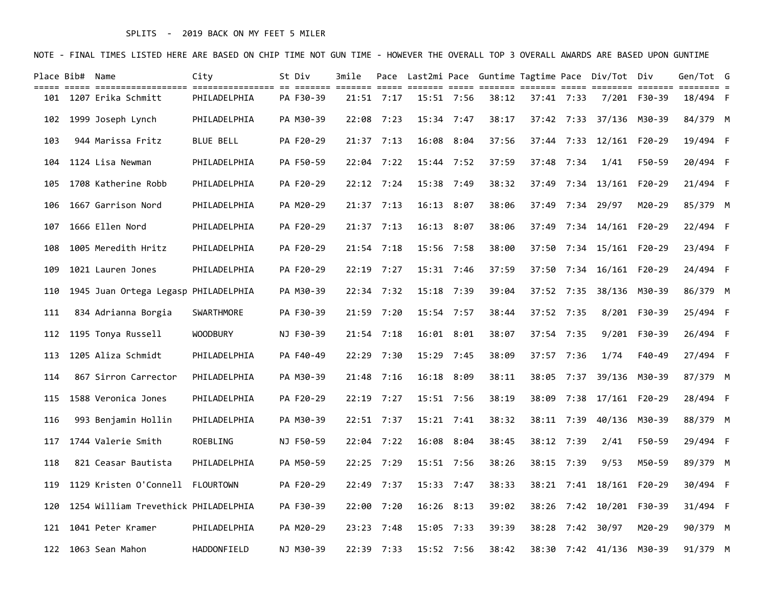## SPLITS - 2019 BACK ON MY FEET 5 MILER

|     | Place Bib# Name |                                      | City             | St Div    | 3mile |              |                |              |       |                |            | Pace Last2mi Pace Guntime Tagtime Pace Div/Tot Div |               | Gen/Tot G |  |
|-----|-----------------|--------------------------------------|------------------|-----------|-------|--------------|----------------|--------------|-------|----------------|------------|----------------------------------------------------|---------------|-----------|--|
| 101 |                 | 1207 Erika Schmitt                   | PHILADELPHIA     | PA F30-39 |       | 21:51 7:17   |                | $15:51$ 7:56 | 38:12 | $37:41$ $7:33$ |            |                                                    | 7/201 F30-39  | 18/494 F  |  |
| 102 |                 | 1999 Joseph Lynch                    | PHILADELPHIA     | PA M30-39 |       | $22:08$ 7:23 | $15:34$ 7:47   |              | 38:17 |                |            | 37:42 7:33 37/136 M30-39                           |               | 84/379 M  |  |
| 103 |                 | 944 Marissa Fritz                    | <b>BLUE BELL</b> | PA F20-29 |       | $21:37$ 7:13 |                | 16:08 8:04   | 37:56 | 37:44          |            | 7:33 12/161 F20-29                                 |               | 19/494 F  |  |
| 104 |                 | 1124 Lisa Newman                     | PHILADELPHIA     | PA F50-59 |       | 22:04 7:22   |                | $15:44$ 7:52 | 37:59 | 37:48          | 7:34       | 1/41                                               | F50-59        | 20/494 F  |  |
| 105 |                 | 1708 Katherine Robb                  | PHILADELPHIA     | PA F20-29 |       | $22:12$ 7:24 |                | $15:38$ 7:49 | 38:32 | 37:49          |            | 7:34 13/161 F20-29                                 |               | 21/494 F  |  |
| 106 |                 | 1667 Garrison Nord                   | PHILADELPHIA     | PA M20-29 |       | $21:37$ 7:13 | $16:13$ $8:07$ |              | 38:06 | 37:49          |            | 7:34 29/97                                         | M20-29        | 85/379 M  |  |
| 107 |                 | 1666 Ellen Nord                      | PHILADELPHIA     | PA F20-29 |       | 21:37 7:13   |                | 16:13 8:07   | 38:06 | 37:49          |            | 7:34 14/161 F20-29                                 |               | 22/494 F  |  |
| 108 |                 | 1005 Meredith Hritz                  | PHILADELPHIA     | PA F20-29 |       | $21:54$ 7:18 |                | 15:56 7:58   | 38:00 | 37:50          |            | 7:34 15/161 F20-29                                 |               | 23/494 F  |  |
| 109 |                 | 1021 Lauren Jones                    | PHILADELPHIA     | PA F20-29 |       | $22:19$ 7:27 |                | $15:31$ 7:46 | 37:59 | 37:50          |            | 7:34 16/161 F20-29                                 |               | 24/494 F  |  |
| 110 |                 | 1945 Juan Ortega Legasp PHILADELPHIA |                  | PA M30-39 |       | 22:34 7:32   | 15:18 7:39     |              | 39:04 |                | 37:52 7:35 |                                                    | 38/136 M30-39 | 86/379 M  |  |
| 111 |                 | 834 Adrianna Borgia                  | SWARTHMORE       | PA F30-39 |       | 21:59 7:20   |                | $15:54$ 7:57 | 38:44 | 37:52 7:35     |            |                                                    | 8/201 F30-39  | 25/494 F  |  |
| 112 |                 | 1195 Tonya Russell                   | <b>WOODBURY</b>  | NJ F30-39 |       | $21:54$ 7:18 | 16:01 8:01     |              | 38:07 | 37:54          | 7:35       |                                                    | 9/201 F30-39  | 26/494 F  |  |
| 113 |                 | 1205 Aliza Schmidt                   | PHILADELPHIA     | PA F40-49 |       | 22:29 7:30   | $15:29$ 7:45   |              | 38:09 | 37:57          | 7:36       | 1/74                                               | F40-49        | 27/494 F  |  |
| 114 |                 | 867 Sirron Carrector                 | PHILADELPHIA     | PA M30-39 |       | 21:48 7:16   | 16:18 8:09     |              | 38:11 | 38:05          |            | 7:37 39/136 M30-39                                 |               | 87/379 M  |  |
| 115 |                 | 1588 Veronica Jones                  | PHILADELPHIA     | PA F20-29 |       | 22:19 7:27   |                | $15:51$ 7:56 | 38:19 | 38:09          | 7:38       | 17/161 F20-29                                      |               | 28/494 F  |  |
| 116 |                 | 993 Benjamin Hollin                  | PHILADELPHIA     | PA M30-39 |       | 22:51 7:37   | $15:21$ 7:41   |              | 38:32 |                | 38:11 7:39 | 40/136 M30-39                                      |               | 88/379 M  |  |
| 117 |                 | 1744 Valerie Smith                   | ROEBLING         | NJ F50-59 |       | 22:04 7:22   |                | 16:08 8:04   | 38:45 |                | 38:12 7:39 | 2/41                                               | F50-59        | 29/494 F  |  |
| 118 |                 | 821 Ceasar Bautista                  | PHILADELPHIA     | PA M50-59 |       | $22:25$ 7:29 |                | $15:51$ 7:56 | 38:26 | 38:15          | 7:39       | 9/53                                               | M50-59        | 89/379 M  |  |
| 119 |                 | 1129 Kristen O'Connell               | FLOURTOWN        | PA F20-29 |       | 22:49 7:37   |                | $15:33$ 7:47 | 38:33 |                |            | 38:21 7:41 18/161 F20-29                           |               | 30/494 F  |  |
| 120 |                 | 1254 William Trevethick PHILADELPHIA |                  | PA F30-39 |       | 22:00 7:20   |                | $16:26$ 8:13 | 39:02 | 38:26          |            | 7:42 10/201 F30-39                                 |               | 31/494 F  |  |
| 121 |                 | 1041 Peter Kramer                    | PHILADELPHIA     | PA M20-29 |       | 23:23 7:48   | 15:05 7:33     |              | 39:39 | 38:28          |            | 7:42 30/97                                         | M20-29        | 90/379 M  |  |
| 122 |                 | 1063 Sean Mahon                      | HADDONFIELD      | NJ M30-39 |       | 22:39 7:33   |                | 15:52 7:56   | 38:42 |                |            | 38:30 7:42 41/136 M30-39                           |               | 91/379 M  |  |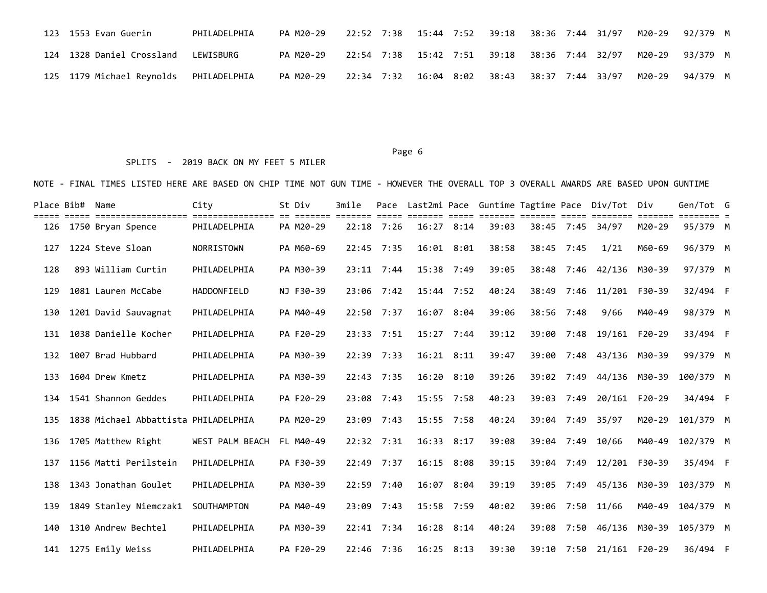| 123 1553 Evan Guerin                                                                                          | PHILADELPHIA | PA M20-29 | 22:52 7:38  15:44 7:52  39:18  38:36 7:44  31/97  M20-29  92/379 M |  |  |  |  |
|---------------------------------------------------------------------------------------------------------------|--------------|-----------|--------------------------------------------------------------------|--|--|--|--|
| 124 1328 Daniel Crossland LEWISBURG                                                                           |              | PA M20-29 | 22:54 7:38 15:42 7:51 39:18 38:36 7:44 32/97 M20-29 93/379 M       |  |  |  |  |
| 125 1179 Michael Reynolds PHILADELPHIA PA M20-29 22:34 7:32 16:04 8:02 38:43 38:37 7:44 33/97 M20-29 94/379 M |              |           |                                                                    |  |  |  |  |

#### Page 6 and the contract of the contract of the contract of the contract of the contract of the contract of the contract of the contract of the contract of the contract of the contract of the contract of the contract of the

### SPLITS - 2019 BACK ON MY FEET 5 MILER

| Place Bib# | Name                                 | City                   | St Div    | 3mile         | Pace           |              |      |               |            |            | Last2mi Pace Guntime Tagtime Pace Div/Tot | Div               | Gen/Tot G              |  |
|------------|--------------------------------------|------------------------|-----------|---------------|----------------|--------------|------|---------------|------------|------------|-------------------------------------------|-------------------|------------------------|--|
| 126        | 1750 Bryan Spence                    | PHILADELPHIA           | PA M20-29 | eccess conces | $22:18$ 7:26   | 16:27 8:14   |      | ----<br>39:03 |            | 38:45 7:45 | 34/97                                     | =======<br>M20-29 | ======== =<br>95/379 M |  |
| 127        | 1224 Steve Sloan                     | NORRISTOWN             | PA M60-69 |               | 22:45 7:35     | 16:01        | 8:01 | 38:58         | 38:45      | 7:45       | 1/21                                      | M60-69            | 96/379 M               |  |
| 128        | 893 William Curtin                   | PHILADELPHIA           | PA M30-39 | 23:11         | 7:44           | 15:38        | 7:49 | 39:05         | 38:48      | 7:46       | 42/136                                    | M30-39            | 97/379 M               |  |
| 129        | 1081 Lauren McCabe                   | HADDONFIELD            | NJ F30-39 |               | $23:06$ 7:42   | $15:44$ 7:52 |      | 40:24         | 38:49      | 7:46       | 11/201                                    | F30-39            | 32/494 F               |  |
| 130        | 1201 David Sauvagnat                 | PHILADELPHIA           | PA M40-49 | 22:50         | 7:37           | 16:07        | 8:04 | 39:06         | 38:56      | 7:48       | 9/66                                      | M40-49            | 98/379 M               |  |
| 131        | 1038 Danielle Kocher                 | PHILADELPHIA           | PA F20-29 | 23:33         | 7:51           | $15:27$ 7:44 |      | 39:12         | 39:00      | 7:48       | 19/161                                    | $F20-29$          | 33/494 F               |  |
| 132        | 1007 Brad Hubbard                    | PHILADELPHIA           | PA M30-39 | 22:39         | 7:33           | 16:21        | 8:11 | 39:47         | 39:00      | 7:48       | 43/136                                    | M30-39            | 99/379 M               |  |
| 133        | 1604 Drew Kmetz                      | PHILADELPHIA           | PA M30-39 |               | 22:43 7:35     | 16:20        | 8:10 | 39:26         | 39:02 7:49 |            | 44/136                                    | M30-39            | 100/379 M              |  |
| 134        | 1541 Shannon Geddes                  | PHILADELPHIA           | PA F20-29 | 23:08         | 7:43           | 15:55 7:58   |      | 40:23         | 39:03      | 7:49       | 20/161                                    | $F20-29$          | 34/494 F               |  |
| 135        | 1838 Michael Abbattista PHILADELPHIA |                        | PA M20-29 | 23:09         | 7:43           | $15:55$ 7:58 |      | 40:24         | 39:04      | 7:49       | 35/97                                     | M20-29            | 101/379 M              |  |
| 136        | 1705 Matthew Right                   | <b>WEST PALM BEACH</b> | FL M40-49 |               | $22:32$ $7:31$ | 16:33        | 8:17 | 39:08         | 39:04      | 7:49       | 10/66                                     | M40-49            | 102/379 M              |  |
| 137        | 1156 Matti Perilstein                | PHILADELPHIA           | PA F30-39 |               | 22:49 7:37     | 16:15        | 8:08 | 39:15         | 39:04      | 7:49       | 12/201                                    | F30-39            | 35/494 F               |  |
| 138        | 1343 Jonathan Goulet                 | PHILADELPHIA           | PA M30-39 |               | 22:59 7:40     | 16:07        | 8:04 | 39:19         | 39:05      | 7:49       | 45/136                                    | M30-39            | 103/379 M              |  |
| 139        | 1849 Stanley Niemczak1               | SOUTHAMPTON            | PA M40-49 | 23:09         | 7:43           | 15:58 7:59   |      | 40:02         | 39:06      | 7:50       | 11/66                                     | M40-49            | 104/379 M              |  |
| 140        | 1310 Andrew Bechtel                  | PHILADELPHIA           | PA M30-39 |               | $22:41$ 7:34   | 16:28        | 8:14 | 40:24         | 39:08      | 7:50       | 46/136                                    | M30-39            | 105/379 M              |  |
|            | 141 1275 Emily Weiss                 | PHILADELPHIA           | PA F20-29 |               | 22:46 7:36     | $16:25$ 8:13 |      | 39:30         |            |            | 39:10 7:50 21/161 F20-29                  |                   | 36/494 F               |  |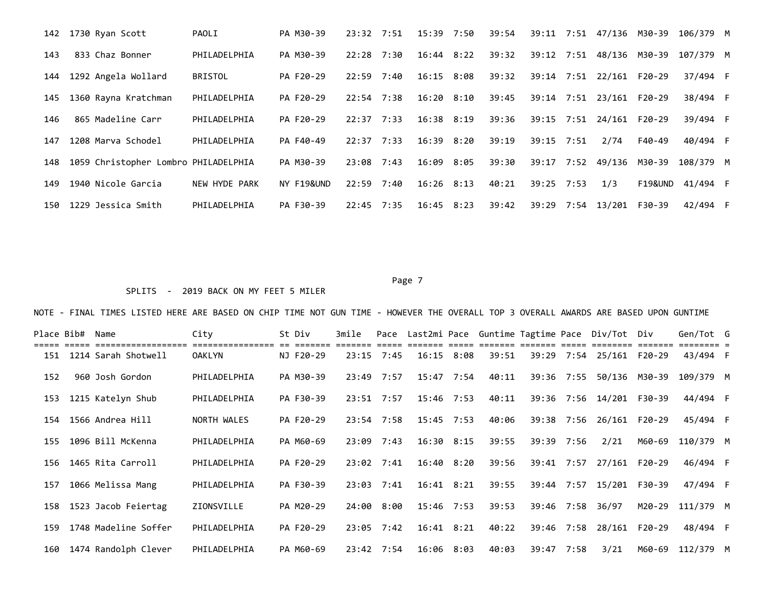|     | 142 1730 Ryan Scott                  | PAOLI          | PA M30-39  | $23:32$ $7:51$ |      | 15:39 7:50     |      | 39:54 | 39:11 7:51 |      | 47/136                   | M30-39  | 106/379 M |  |
|-----|--------------------------------------|----------------|------------|----------------|------|----------------|------|-------|------------|------|--------------------------|---------|-----------|--|
| 143 | 833 Chaz Bonner                      | PHILADELPHIA   | PA M30-39  | 22:28          | 7:30 | $16:44$ $8:22$ |      | 39:32 | 39:12 7:51 |      | 48/136                   | M30-39  | 107/379 M |  |
| 144 | 1292 Angela Wollard                  | <b>BRISTOL</b> | PA F20-29  | $22:59$ 7:40   |      | $16:15$ 8:08   |      | 39:32 |            |      | 39:14 7:51 22/161 F20-29 |         | 37/494 F  |  |
| 145 | 1360 Rayna Kratchman                 | PHILADELPHIA   | PA F20-29  | $22:54$ 7:38   |      | 16:20          | 8:10 | 39:45 | 39:14      | 7:51 | 23/161                   | F20-29  | 38/494 F  |  |
| 146 | 865 Madeline Carr                    | PHILADELPHIA   | PA F20-29  | 22:37          | 7:33 | $16:38$ $8:19$ |      | 39:36 | 39:15 7:51 |      | 24/161 F20-29            |         | 39/494 F  |  |
| 147 | 1208 Marva Schodel                   | PHILADELPHIA   | PA F40-49  | $22:37$ 7:33   |      | $16:39$ $8:20$ |      | 39:19 | 39:15 7:51 |      | 2/74                     | F40-49  | 40/494 F  |  |
| 148 | 1059 Christopher Lombro PHILADELPHIA |                | PA M30-39  | 23:08          | 7:43 | 16:09          | 8:05 | 39:30 | 39:17 7:52 |      | 49/136                   | M30-39  | 108/379 M |  |
| 149 | 1940 Nicole Garcia                   | NEW HYDE PARK  | NY F19&UND | 22:59          | 7:40 | $16:26$ 8:13   |      | 40:21 | 39:25 7:53 |      | 1/3                      | F19&UND | 41/494 F  |  |
| 150 | 1229 Jessica Smith                   | PHILADELPHIA   | PA F30-39  | $22:45$ 7:35   |      | $16:45$ $8:23$ |      | 39:42 | 39:29      | 7:54 | 13/201                   | F30-39  | 42/494 F  |  |

Page 7 and 2012 and 2012 and 2012 and 2012 and 2012 and 2012 and 2012 and 2012 and 2012 and 2012 and 2012 and

## SPLITS - 2019 BACK ON MY FEET 5 MILER

| Place Bib# | Name<br>=================== | City<br>eccessessessesses es essesses | St Div    | 3mile |              |                |      |       |            |      | Pace Last2mi Pace Guntime Tagtime Pace Div/Tot Div<br><u> ------- ----- ------ ------- -----</u> ---- ----- |        | Gen/Tot G |  |
|------------|-----------------------------|---------------------------------------|-----------|-------|--------------|----------------|------|-------|------------|------|-------------------------------------------------------------------------------------------------------------|--------|-----------|--|
|            | 151 1214 Sarah Shotwell     | <b>OAKLYN</b>                         | NJ F20-29 |       | $23:15$ 7:45 | $16:15$ 8:08   |      | 39:51 | 39:29      |      | 7:54 25/161 F20-29                                                                                          |        | 43/494 F  |  |
| 152        | 960 Josh Gordon             | PHILADELPHIA                          | PA M30-39 | 23:49 | 7:57         | 15:47          | 7:54 | 40:11 | 39:36      | 7:55 | 50/136                                                                                                      | M30-39 | 109/379 M |  |
| 153        | 1215 Katelyn Shub           | PHILADELPHIA                          | PA F30-39 |       | $23:51$ 7:57 | 15:46 7:53     |      | 40:11 |            |      | 39:36 7:56 14/201 F30-39                                                                                    |        | 44/494 F  |  |
| 154        | 1566 Andrea Hill            | NORTH WALES                           | PA F20-29 |       | $23:54$ 7:58 | $15:45$ 7:53   |      | 40:06 | 39:38      | 7:56 | 26/161                                                                                                      | F20-29 | 45/494 F  |  |
| 155        | 1096 Bill McKenna           | PHILADELPHIA                          | PA M60-69 | 23:09 | 7:43         | $16:30$ $8:15$ |      | 39:55 | 39:39      | 7:56 | 2/21                                                                                                        | M60-69 | 110/379 M |  |
| 156        | 1465 Rita Carroll           | PHILADELPHIA                          | PA F20-29 | 23:02 | 7:41         | 16:40 8:20     |      | 39:56 | 39:41      | 7:57 | 27/161                                                                                                      | F20-29 | 46/494 F  |  |
| 157        | 1066 Melissa Mang           | PHILADELPHIA                          | PA F30-39 | 23:03 | 7:41         | $16:41$ $8:21$ |      | 39:55 |            |      | 39:44 7:57 15/201 F30-39                                                                                    |        | 47/494 F  |  |
| 158        | 1523 Jacob Feiertag         | ZIONSVILLE                            | PA M20-29 | 24:00 | 8:00         | $15:46$ 7:53   |      | 39:53 | 39:46 7:58 |      | 36/97                                                                                                       | M20-29 | 111/379 M |  |
| 159        | 1748 Madeline Soffer        | PHILADELPHIA                          | PA F20-29 |       | $23:05$ 7:42 | $16:41$ $8:21$ |      | 40:22 | 39:46      | 7:58 | 28/161                                                                                                      | F20-29 | 48/494 F  |  |
| 160        | 1474 Randolph Clever        | PHILADELPHIA                          | PA M60-69 |       | $23:42$ 7:54 | 16:06 8:03     |      | 40:03 | 39:47 7:58 |      | 3/21                                                                                                        | M60-69 | 112/379 M |  |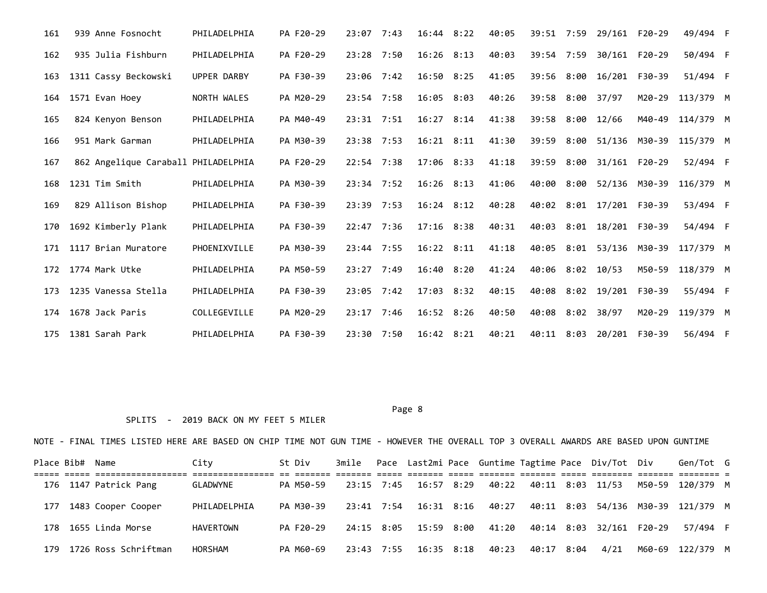| 161 | 939 Anne Fosnocht                   | PHILADELPHIA | PA F20-29 | 23:07        | 7:43 | $16:44$ $8:22$ |      | 40:05 | 39:51 7:59 |      | 29/161 F20-29 |        | 49/494 F  |  |
|-----|-------------------------------------|--------------|-----------|--------------|------|----------------|------|-------|------------|------|---------------|--------|-----------|--|
| 162 | 935 Julia Fishburn                  | PHILADELPHIA | PA F20-29 | 23:28        | 7:50 | $16:26$ 8:13   |      | 40:03 | 39:54      | 7:59 | 30/161 F20-29 |        | 50/494 F  |  |
| 163 | 1311 Cassy Beckowski                | UPPER DARBY  | PA F30-39 | $23:06$ 7:42 |      | $16:50$ $8:25$ |      | 41:05 | 39:56      | 8:00 | 16/201 F30-39 |        | 51/494 F  |  |
| 164 | 1571 Evan Hoey                      | NORTH WALES  | PA M20-29 | 23:54        | 7:58 | 16:05          | 8:03 | 40:26 | 39:58      | 8:00 | 37/97         | M20-29 | 113/379 M |  |
| 165 | 824 Kenyon Benson                   | PHILADELPHIA | PA M40-49 | $23:31$ 7:51 |      | 16:27          | 8:14 | 41:38 | 39:58      | 8:00 | 12/66         | M40-49 | 114/379 M |  |
| 166 | 951 Mark Garman                     | PHILADELPHIA | PA M30-39 | 23:38 7:53   |      | 16:21          | 8:11 | 41:30 | 39:59      | 8:00 | 51/136        | M30-39 | 115/379 M |  |
| 167 | 862 Angelique Caraball PHILADELPHIA |              | PA F20-29 | $22:54$ 7:38 |      | 17:06 8:33     |      | 41:18 | 39:59      | 8:00 | 31/161        | F20-29 | 52/494 F  |  |
| 168 | 1231 Tim Smith                      | PHILADELPHIA | PA M30-39 | $23:34$ 7:52 |      | $16:26$ 8:13   |      | 41:06 | 40:00      | 8:00 | 52/136 M30-39 |        | 116/379 M |  |
| 169 | 829 Allison Bishop                  | PHILADELPHIA | PA F30-39 | $23:39$ 7:53 |      | $16:24$ $8:12$ |      | 40:28 | 40:02      | 8:01 | 17/201        | F30-39 | 53/494 F  |  |
| 170 | 1692 Kimberly Plank                 | PHILADELPHIA | PA F30-39 | 22:47 7:36   |      | $17:16$ $8:38$ |      | 40:31 | 40:03      | 8:01 | 18/201 F30-39 |        | 54/494 F  |  |
| 171 | 1117 Brian Muratore                 | PHOENIXVILLE | PA M30-39 | $23:44$ 7:55 |      | $16:22$ $8:11$ |      | 41:18 | 40:05      | 8:01 | 53/136        | M30-39 | 117/379 M |  |
| 172 | 1774 Mark Utke                      | PHILADELPHIA | PA M50-59 | $23:27$ 7:49 |      | 16:40 8:20     |      | 41:24 | 40:06      |      | $8:02$ 10/53  | M50-59 | 118/379 M |  |
| 173 | 1235 Vanessa Stella                 | PHILADELPHIA | PA F30-39 | $23:05$ 7:42 |      | 17:03 8:32     |      | 40:15 | 40:08      | 8:02 | 19/201        | F30-39 | 55/494 F  |  |
| 174 | 1678 Jack Paris                     | COLLEGEVILLE | PA M20-29 | $23:17$ 7:46 |      | 16:52 8:26     |      | 40:50 | 40:08      | 8:02 | 38/97         | M20-29 | 119/379 M |  |
| 175 | 1381 Sarah Park                     | PHILADELPHIA | PA F30-39 | 23:30        | 7:50 | $16:42$ $8:21$ |      | 40:21 | 40:11      | 8:03 | 20/201        | F30-39 | 56/494 F  |  |

#### Page 8 and 2012 and 2012 and 2012 and 2012 and 2012 and 2012 and 2012 and 2012 and 2012 and 2012 and 2012 and

## SPLITS - 2019 BACK ON MY FEET 5 MILER

|     | Place Bib# Name |                       | City         | St Div    |            |                       |       |            | 3mile Pace Last2mi Pace Guntime Tagtime Pace Div/Tot Div | Gen/Tot G                                      |  |
|-----|-----------------|-----------------------|--------------|-----------|------------|-----------------------|-------|------------|----------------------------------------------------------|------------------------------------------------|--|
|     |                 | 176 1147 Patrick Pang | GLADWYNE     | PA M50-59 |            | 23:15 7:45 16:57 8:29 |       |            |                                                          | M50-59 120/379 M                               |  |
| 177 |                 | 1483 Cooper Cooper    | PHILADELPHIA | PA M30-39 |            | 23:41 7:54 16:31 8:16 |       |            |                                                          | 40:27  40:11  8:03  54/136  M30-39  121/379  M |  |
|     |                 | 178 1655 Linda Morse  | HAVERTOWN    | PA F20-29 |            | 24:15 8:05 15:59 8:00 |       |            | 41:20 40:14 8:03 32/161 F20-29                           | 57/494 F                                       |  |
| 179 |                 | 1726 Ross Schriftman  | HORSHAM      | PA M60-69 | 23:43 7:55 | 16:35 8:18            | 40:23 | 40:17 8:04 | 4/21                                                     | M60-69 122/379 M                               |  |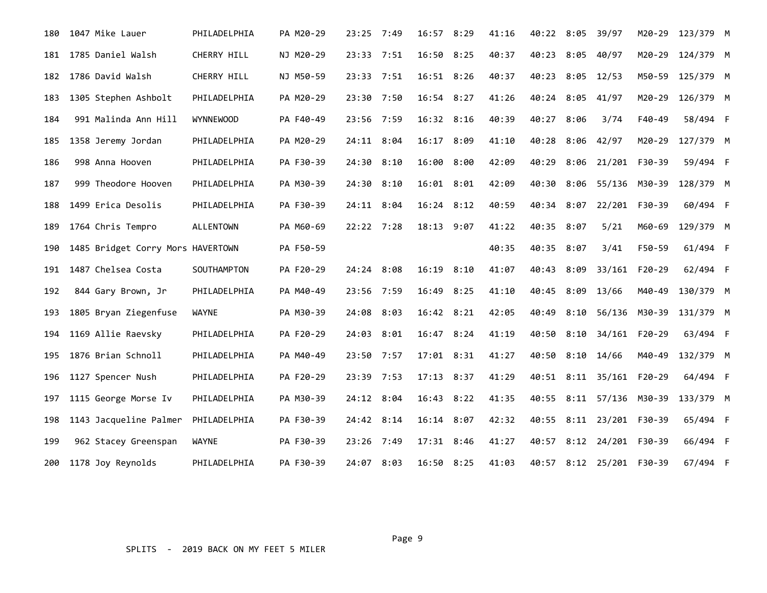| 180 | 1047 Mike Lauer                   | PHILADELPHIA     | PA M20-29 | $23:25$ 7:49 |      | 16:57 8:29   |      | 41:16 | 40:22 8:05 39/97 |      |                          | M20-29 | 123/379 M |  |
|-----|-----------------------------------|------------------|-----------|--------------|------|--------------|------|-------|------------------|------|--------------------------|--------|-----------|--|
| 181 | 1785 Daniel Walsh                 | CHERRY HILL      | NJ M20-29 | 23:33 7:51   |      | 16:50        | 8:25 | 40:37 | 40:23            | 8:05 | 40/97                    | M20-29 | 124/379 M |  |
| 182 | 1786 David Walsh                  | CHERRY HILL      | NJ M50-59 | 23:33 7:51   |      | 16:51 8:26   |      | 40:37 | 40:23            | 8:05 | 12/53                    | M50-59 | 125/379 M |  |
| 183 | 1305 Stephen Ashbolt              | PHILADELPHIA     | PA M20-29 | 23:30 7:50   |      | 16:54        | 8:27 | 41:26 | 40:24            | 8:05 | 41/97                    | M20-29 | 126/379 M |  |
| 184 | 991 Malinda Ann Hill              | <b>WYNNEWOOD</b> | PA F40-49 | 23:56 7:59   |      | 16:32 8:16   |      | 40:39 | 40:27            | 8:06 | 3/74                     | F40-49 | 58/494 F  |  |
| 185 | 1358 Jeremy Jordan                | PHILADELPHIA     | PA M20-29 | 24:11 8:04   |      | 16:17        | 8:09 | 41:10 | 40:28            |      | $8:06$ 42/97             | M20-29 | 127/379 M |  |
| 186 | 998 Anna Hooven                   | PHILADELPHIA     | PA F30-39 | 24:30        | 8:10 | 16:00        | 8:00 | 42:09 | 40:29            | 8:06 | 21/201 F30-39            |        | 59/494 F  |  |
| 187 | 999 Theodore Hooven               | PHILADELPHIA     | PA M30-39 | 24:30        | 8:10 | 16:01        | 8:01 | 42:09 | 40:30            | 8:06 | 55/136                   | M30-39 | 128/379 M |  |
| 188 | 1499 Erica Desolis                | PHILADELPHIA     | PA F30-39 | 24:11 8:04   |      | $16:24$ 8:12 |      | 40:59 | 40:34            | 8:07 | 22/201                   | F30-39 | 60/494 F  |  |
| 189 | 1764 Chris Tempro                 | <b>ALLENTOWN</b> | PA M60-69 | 22:22 7:28   |      | 18:13        | 9:07 | 41:22 | 40:35            | 8:07 | 5/21                     | M60-69 | 129/379 M |  |
| 190 | 1485 Bridget Corry Mors HAVERTOWN |                  | PA F50-59 |              |      |              |      | 40:35 | 40:35            | 8:07 | 3/41                     | F50-59 | 61/494 F  |  |
| 191 | 1487 Chelsea Costa                | SOUTHAMPTON      | PA F20-29 | 24:24 8:08   |      | 16:19        | 8:10 | 41:07 | 40:43            | 8:09 | 33/161 F20-29            |        | 62/494 F  |  |
| 192 | 844 Gary Brown, Jr                | PHILADELPHIA     | PA M40-49 | 23:56 7:59   |      | 16:49        | 8:25 | 41:10 | 40:45            | 8:09 | 13/66                    | M40-49 | 130/379 M |  |
| 193 | 1805 Bryan Ziegenfuse             | WAYNE            | PA M30-39 | 24:08        | 8:03 | 16:42 8:21   |      | 42:05 | 40:49            | 8:10 | 56/136 M30-39            |        | 131/379 M |  |
| 194 | 1169 Allie Raevsky                | PHILADELPHIA     | PA F20-29 | 24:03        | 8:01 | 16:47        | 8:24 | 41:19 | 40:50            | 8:10 | 34/161 F20-29            |        | 63/494 F  |  |
| 195 | 1876 Brian Schnoll                | PHILADELPHIA     | PA M40-49 | 23:50 7:57   |      | 17:01 8:31   |      | 41:27 | 40:50            | 8:10 | 14/66                    | M40-49 | 132/379 M |  |
| 196 | 1127 Spencer Nush                 | PHILADELPHIA     | PA F20-29 | 23:39 7:53   |      | 17:13 8:37   |      | 41:29 | 40:51            |      | 8:11 35/161 F20-29       |        | 64/494 F  |  |
| 197 | 1115 George Morse Iv              | PHILADELPHIA     | PA M30-39 | 24:12 8:04   |      | 16:43        | 8:22 | 41:35 | 40:55            |      | 8:11 57/136 M30-39       |        | 133/379 M |  |
| 198 | 1143 Jacqueline Palmer            | PHILADELPHIA     | PA F30-39 | 24:42 8:14   |      | 16:14 8:07   |      | 42:32 | 40:55            |      | 8:11 23/201 F30-39       |        | 65/494 F  |  |
| 199 | 962 Stacey Greenspan              | <b>WAYNE</b>     | PA F30-39 | 23:26        | 7:49 | 17:31 8:46   |      | 41:27 | 40:57            | 8:12 | 24/201                   | F30-39 | 66/494 F  |  |
| 200 | 1178 Joy Reynolds                 | PHILADELPHIA     | PA F30-39 | 24:07 8:03   |      | 16:50 8:25   |      | 41:03 |                  |      | 40:57 8:12 25/201 F30-39 |        | 67/494 F  |  |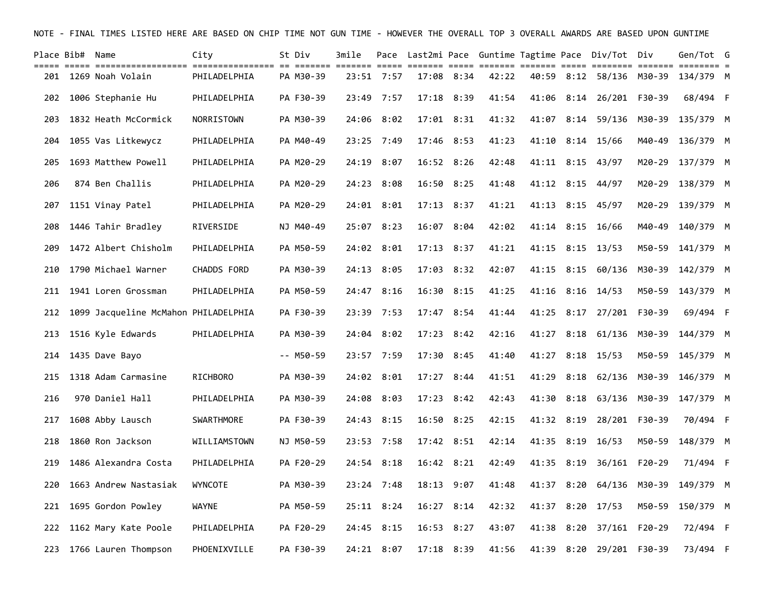| Place Bib#  Name |                                                                                                                                    | City              | St Div      | 3mile |            |                |                |       |       |            | Pace Last2mi Pace Guntime Tagtime Pace Div/Tot Div |        | Gen/Tot G        |  |
|------------------|------------------------------------------------------------------------------------------------------------------------------------|-------------------|-------------|-------|------------|----------------|----------------|-------|-------|------------|----------------------------------------------------|--------|------------------|--|
| 201              | title concertification concertification of concert concert come concert concertification concertification conc<br>1269 Noah Volain | PHILADELPHIA      | PA M30-39   |       | 23:51 7:57 |                | 17:08 8:34     | 42:22 |       |            | 40:59 8:12 58/136 M30-39                           |        | 134/379 M        |  |
| 202              | 1006 Stephanie Hu                                                                                                                  | PHILADELPHIA      | PA F30-39   |       | 23:49 7:57 | 17:18 8:39     |                | 41:54 | 41:06 |            | 8:14 26/201 F30-39                                 |        | 68/494 F         |  |
| 203              | 1832 Heath McCormick                                                                                                               | NORRISTOWN        | PA M30-39   |       | 24:06 8:02 |                | $17:01$ $8:31$ | 41:32 | 41:07 |            | $8:14$ 59/136                                      | M30-39 | 135/379 M        |  |
| 204              | 1055 Vas Litkewycz                                                                                                                 | PHILADELPHIA      | PA M40-49   |       | 23:25 7:49 | 17:46 8:53     |                | 41:23 | 41:10 |            | $8:14$ 15/66                                       | M40-49 | 136/379 M        |  |
| 205              | 1693 Matthew Powell                                                                                                                | PHILADELPHIA      | PA M20-29   | 24:19 | 8:07       | $16:52$ $8:26$ |                | 42:48 |       | 41:11 8:15 | 43/97                                              | M20-29 | 137/379 M        |  |
| 206              | 874 Ben Challis                                                                                                                    | PHILADELPHIA      | PA M20-29   |       | 24:23 8:08 | 16:50          | 8:25           | 41:48 | 41:12 | 8:15       | 44/97                                              | M20-29 | 138/379 M        |  |
| 207              | 1151 Vinay Patel                                                                                                                   | PHILADELPHIA      | PA M20-29   |       | 24:01 8:01 | $17:13$ $8:37$ |                | 41:21 |       |            | 41:13 8:15 45/97                                   | M20-29 | 139/379 M        |  |
| 208              | 1446 Tahir Bradley                                                                                                                 | RIVERSIDE         | NJ M40-49   |       | 25:07 8:23 |                | 16:07 8:04     | 42:02 | 41:14 | 8:15       | 16/66                                              | M40-49 | 140/379 M        |  |
| 209              | 1472 Albert Chisholm                                                                                                               | PHILADELPHIA      | PA M50-59   |       | 24:02 8:01 |                | $17:13$ $8:37$ | 41:21 |       | 41:15 8:15 | 13/53                                              | M50-59 | 141/379 M        |  |
| 210              | 1790 Michael Warner                                                                                                                | CHADDS FORD       | PA M30-39   |       | 24:13 8:05 |                | 17:03 8:32     | 42:07 | 41:15 | 8:15       | 60/136                                             | M30-39 | 142/379 M        |  |
| 211              | 1941 Loren Grossman                                                                                                                | PHILADELPHIA      | PA M50-59   | 24:47 | 8:16       | 16:30          | 8:15           | 41:25 | 41:16 | 8:16       | 14/53                                              | M50-59 | 143/379 M        |  |
| 212              | 1099 Jacqueline McMahon PHILADELPHIA                                                                                               |                   | PA F30-39   |       | 23:39 7:53 | 17:47 8:54     |                | 41:44 | 41:25 |            | 8:17 27/201 F30-39                                 |        | 69/494 F         |  |
| 213              | 1516 Kyle Edwards                                                                                                                  | PHILADELPHIA      | PA M30-39   | 24:04 | 8:02       | 17:23          | 8:42           | 42:16 | 41:27 | 8:18       | 61/136                                             | M30-39 | 144/379 M        |  |
| 214              | 1435 Dave Bayo                                                                                                                     |                   | $-- M50-59$ |       | 23:57 7:59 |                | $17:30$ 8:45   | 41:40 |       |            | 41:27 8:18 15/53                                   |        | M50-59 145/379 M |  |
| 215              | 1318 Adam Carmasine                                                                                                                | <b>RICHBORO</b>   | PA M30-39   |       | 24:02 8:01 | 17:27          | 8:44           | 41:51 | 41:29 | 8:18       | 62/136                                             | M30-39 | 146/379 M        |  |
| 216              | 970 Daniel Hall                                                                                                                    | PHILADELPHIA      | PA M30-39   | 24:08 | 8:03       | 17:23          | 8:42           | 42:43 | 41:30 | 8:18       | 63/136 M30-39                                      |        | 147/379 M        |  |
| 217              | 1608 Abby Lausch                                                                                                                   | <b>SWARTHMORE</b> | PA F30-39   |       | 24:43 8:15 | 16:50          | 8:25           | 42:15 |       | 41:32 8:19 | 28/201                                             | F30-39 | 70/494 F         |  |
| 218              | 1860 Ron Jackson                                                                                                                   | WILLIAMSTOWN      | NJ M50-59   |       | 23:53 7:58 |                | 17:42 8:51     | 42:14 | 41:35 | 8:19       | 16/53                                              | M50-59 | 148/379 M        |  |
| 219              | 1486 Alexandra Costa                                                                                                               | PHILADELPHIA      | PA F20-29   |       | 24:54 8:18 |                | $16:42$ $8:21$ | 42:49 | 41:35 | 8:19       | 36/161 F20-29                                      |        | 71/494 F         |  |
| 220              | 1663 Andrew Nastasiak                                                                                                              | WYNCOTE           | PA M30-39   |       | 23:24 7:48 |                | 18:13 9:07     | 41:48 | 41:37 | 8:20       | 64/136                                             | M30-39 | 149/379 M        |  |
| 221              | 1695 Gordon Powley                                                                                                                 | <b>WAYNE</b>      | PA M50-59   |       | 25:11 8:24 |                | $16:27$ 8:14   | 42:32 | 41:37 | 8:20       | 17/53                                              | M50-59 | 150/379 M        |  |
| 222              | 1162 Mary Kate Poole                                                                                                               | PHILADELPHIA      | PA F20-29   |       | 24:45 8:15 | $16:53$ $8:27$ |                | 43:07 | 41:38 | 8:20       | 37/161 F20-29                                      |        | 72/494 F         |  |
| 223              | 1766 Lauren Thompson                                                                                                               | PHOENIXVILLE      | PA F30-39   |       | 24:21 8:07 |                | $17:18$ $8:39$ | 41:56 |       | 41:39 8:20 | 29/201 F30-39                                      |        | 73/494 F         |  |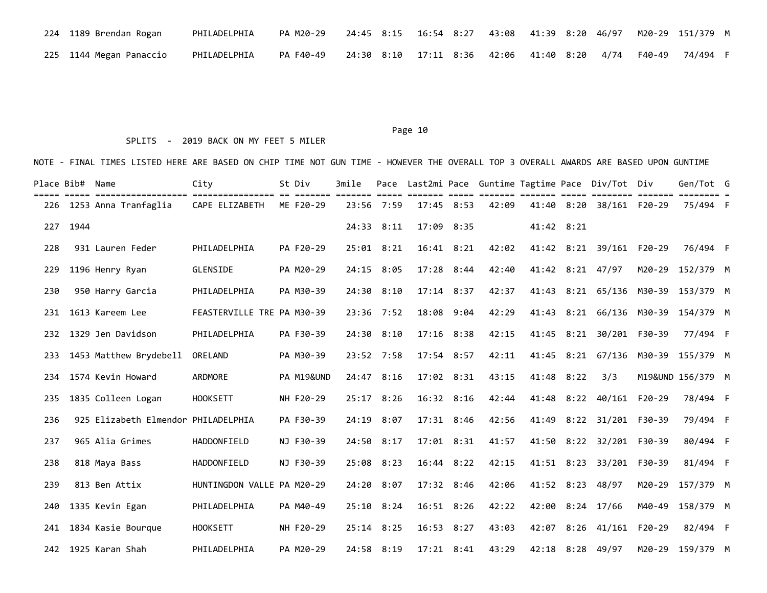| 224 1189 Brendan Rogan  | PHILADELPHIA | PA M20-29   24:45 8:15   16:54 8:27   43:08   41:39 8:20 46/97   M20-29 151/379 M |  |  |  |  |  |  |
|-------------------------|--------------|-----------------------------------------------------------------------------------|--|--|--|--|--|--|
| 225 1144 Megan Panaccio | PHILADELPHIA | PA F40-49  24:30 8:10  17:11 8:36  42:06  41:40 8:20  4/74  F40-49  74/494 F      |  |  |  |  |  |  |

### SPLITS - 2019 BACK ON MY FEET 5 MILER

|     | Place Bib# Name |                                     | City                       | St Div     | 3mile                         | Pace           |       |                |                                |       |            | Last2mi Pace Guntime Tagtime Pace Div/Tot Div |        | Gen/Tot G                                      |  |
|-----|-----------------|-------------------------------------|----------------------------|------------|-------------------------------|----------------|-------|----------------|--------------------------------|-------|------------|-----------------------------------------------|--------|------------------------------------------------|--|
| 226 |                 | 1253 Anna Tranfaglia                | CAPE ELIZABETH             | ME F20-29  | associa ciocida cocio cocococ | 23:56 7:59     |       | $17:45$ 8:53   | sesso concoso concoso<br>42:09 |       |            | 41:40 8:20 38/161 F20-29                      |        | __________________________________<br>75/494 F |  |
| 227 | 1944            |                                     |                            |            |                               | 24:33 8:11     | 17:09 | 8:35           |                                |       | 41:42 8:21 |                                               |        |                                                |  |
| 228 |                 | 931 Lauren Feder                    | PHILADELPHIA               | PA F20-29  |                               | $25:01$ $8:21$ |       | $16:41$ $8:21$ | 42:02                          |       |            | 41:42 8:21 39/161 F20-29                      |        | 76/494 F                                       |  |
| 229 |                 | 1196 Henry Ryan                     | GLENSIDE                   | PA M20-29  |                               | 24:15 8:05     |       | 17:28 8:44     | 42:40                          |       |            | 41:42 8:21 47/97                              |        | M20-29 152/379 M                               |  |
| 230 |                 | 950 Harry Garcia                    | PHILADELPHIA               | PA M30-39  |                               | $24:30$ $8:10$ |       | $17:14$ 8:37   | 42:37                          | 41:43 |            | 8:21 65/136 M30-39                            |        | 153/379 M                                      |  |
| 231 |                 | 1613 Kareem Lee                     | FEASTERVILLE TRE PA M30-39 |            |                               | $23:36$ 7:52   |       | 18:08 9:04     | 42:29                          | 41:43 |            | 8:21 66/136 M30-39                            |        | 154/379 M                                      |  |
| 232 |                 | 1329 Jen Davidson                   | PHILADELPHIA               | PA F30-39  | 24:30                         | 8:10           |       | $17:16$ $8:38$ | 42:15                          | 41:45 |            | 8:21 30/201 F30-39                            |        | 77/494 F                                       |  |
| 233 |                 | 1453 Matthew Brydebell              | ORELAND                    | PA M30-39  |                               | 23:52 7:58     |       | 17:54 8:57     | 42:11                          | 41:45 |            | 8:21 67/136 M30-39                            |        | 155/379 M                                      |  |
| 234 |                 | 1574 Kevin Howard                   | ARDMORE                    | PA M19&UND |                               | 24:47 8:16     |       | 17:02 8:31     | 43:15                          |       | 41:48 8:22 | 3/3                                           |        | M19&UND 156/379 M                              |  |
| 235 |                 | 1835 Colleen Logan                  | <b>HOOKSETT</b>            | NH F20-29  |                               | 25:17 8:26     |       | $16:32$ $8:16$ | 42:44                          |       |            | 41:48 8:22 40/161 F20-29                      |        | 78/494 F                                       |  |
| 236 |                 | 925 Elizabeth Elmendor PHILADELPHIA |                            | PA F30-39  |                               | 24:19 8:07     |       | 17:31 8:46     | 42:56                          | 41:49 |            | 8:22 31/201 F30-39                            |        | 79/494 F                                       |  |
| 237 |                 | 965 Alia Grimes                     | HADDONFIELD                | NJ F30-39  |                               | 24:50 8:17     |       | 17:01 8:31     | 41:57                          | 41:50 |            | 8:22 32/201 F30-39                            |        | 80/494 F                                       |  |
| 238 |                 | 818 Maya Bass                       | <b>HADDONFIELD</b>         | NJ F30-39  |                               | 25:08 8:23     |       | $16:44$ $8:22$ | 42:15                          |       |            | 41:51 8:23 33/201 F30-39                      |        | 81/494 F                                       |  |
| 239 |                 | 813 Ben Attix                       | HUNTINGDON VALLE PA M20-29 |            |                               | 24:20 8:07     |       | 17:32 8:46     | 42:06                          |       | 41:52 8:23 | 48/97                                         | M20-29 | 157/379 M                                      |  |
| 240 |                 | 1335 Kevin Egan                     | PHILADELPHIA               | PA M40-49  |                               | $25:10$ $8:24$ |       | 16:51 8:26     | 42:22                          | 42:00 |            | $8:24$ 17/66                                  | M40-49 | 158/379 M                                      |  |
| 241 |                 | 1834 Kasie Bourque                  | <b>HOOKSETT</b>            | NH F20-29  |                               | $25:14$ $8:25$ |       | $16:53$ $8:27$ | 43:03                          | 42:07 |            | 8:26 41/161 F20-29                            |        | 82/494 F                                       |  |
|     |                 | 242 1925 Karan Shah                 | PHILADELPHIA               | PA M20-29  |                               | 24:58 8:19     |       | $17:21$ $8:41$ | 43:29                          |       |            | 42:18 8:28 49/97                              |        | M20-29 159/379 M                               |  |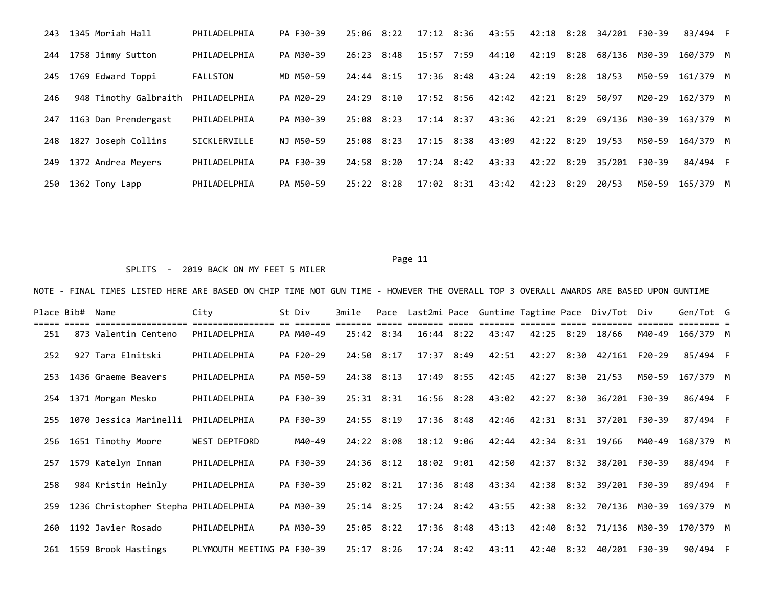| 243 | 1345 Moriah Hall      | PHILADELPHIA    | PA F30-39 | 25:06 8:22 |      | $17:12$ $8:36$ | 43:55 |                  |      | 42:18 8:28 34/201 F30-39 |               | 83/494 F  |  |
|-----|-----------------------|-----------------|-----------|------------|------|----------------|-------|------------------|------|--------------------------|---------------|-----------|--|
| 244 | 1758 Jimmy Sutton     | PHILADELPHIA    | PA M30-39 | 26:23 8:48 |      | 15:57 7:59     | 44:10 | 42:19 8:28       |      | 68/136                   | M30-39        | 160/379 M |  |
| 245 | 1769 Edward Toppi     | <b>FALLSTON</b> | MD M50-59 | 24:44      | 8:15 | $17:36$ $8:48$ | 43:24 | 42:19            | 8:28 | 18/53                    | M50-59        | 161/379 M |  |
| 246 | 948 Timothy Galbraith | PHILADELPHIA    | PA M20-29 | 24:29 8:10 |      | 17:52 8:56     | 42:42 | 42:21 8:29       |      | 50/97                    | M20-29        | 162/379 M |  |
| 247 | 1163 Dan Prendergast  | PHILADELPHIA    | PA M30-39 | 25:08 8:23 |      | $17:14$ 8:37   | 43:36 | 42:21 8:29       |      | 69/136                   | M30-39        | 163/379 M |  |
| 248 | 1827 Joseph Collins   | SICKLERVILLE    | NJ M50-59 | 25:08 8:23 |      | 17:15 8:38     | 43:09 | 42:22 8:29 19/53 |      |                          | M50-59        | 164/379 M |  |
| 249 | 1372 Andrea Meyers    | PHILADELPHIA    | PA F30-39 | 24:58 8:20 |      | $17:24$ $8:42$ | 43:33 | 42:22 8:29       |      |                          | 35/201 F30-39 | 84/494 F  |  |
| 250 | 1362 Tony Lapp        | PHILADELPHIA    | PA M50-59 | 25:22 8:28 |      | 17:02 8:31     | 43:42 | 42:23 8:29       |      | 20/53                    | M50-59        | 165/379 M |  |

### SPLITS - 2019 BACK ON MY FEET 5 MILER

| Place Bib# | Name                                 | City                       | St Div    | 3mile          |                |                |       |            |      | Pace Last2mi Pace Guntime Tagtime Pace Div/Tot Div |        | Gen/Tot G |  |
|------------|--------------------------------------|----------------------------|-----------|----------------|----------------|----------------|-------|------------|------|----------------------------------------------------|--------|-----------|--|
| 251        | 873 Valentin Centeno                 | PHILADELPHIA               | PA M40-49 |                | 25:42 8:34     | $16:44$ $8:22$ | 43:47 | 42:25 8:29 |      | 18/66                                              | M40-49 | 166/379 M |  |
| 252        | 927 Tara Elnitski                    | PHILADELPHIA               | PA F20-29 | 24:50 8:17     |                | 17:37 8:49     | 42:51 |            |      | 42:27 8:30 42/161                                  | F20-29 | 85/494 F  |  |
| 253        | 1436 Graeme Beavers                  | PHILADELPHIA               | PA M50-59 | 24:38 8:13     |                | 17:49 8:55     | 42:45 | 42:27 8:30 |      | 21/53                                              | M50-59 | 167/379 M |  |
| 254        | 1371 Morgan Mesko                    | PHILADELPHIA               | PA F30-39 |                | $25:31$ $8:31$ | $16:56$ $8:28$ | 43:02 | 42:27      | 8:30 | 36/201 F30-39                                      |        | 86/494 F  |  |
| 255        | 1070 Jessica Marinelli               | PHILADELPHIA               | PA F30-39 |                | $24:55$ $8:19$ | 17:36 8:48     | 42:46 |            |      | 42:31 8:31 37/201 F30-39                           |        | 87/494 F  |  |
| 256        | 1651 Timothy Moore                   | <b>WEST DEPTFORD</b>       | M40-49    |                | 24:22 8:08     | 18:12 9:06     | 42:44 | 42:34 8:31 |      | 19/66                                              | M40-49 | 168/379 M |  |
| 257        | 1579 Katelyn Inman                   | PHILADELPHIA               | PA F30-39 |                | $24:36$ 8:12   | 18:02 9:01     | 42:50 |            |      | 42:37 8:32 38/201 F30-39                           |        | 88/494 F  |  |
| 258        | 984 Kristin Heinly                   | PHILADELPHIA               | PA F30-39 | $25:02$ $8:21$ |                | $17:36$ $8:48$ | 43:34 |            |      | 42:38 8:32 39/201 F30-39                           |        | 89/494 F  |  |
| 259        | 1236 Christopher Stepha PHILADELPHIA |                            | PA M30-39 | $25:14$ $8:25$ |                | $17:24$ 8:42   | 43:55 |            |      | 42:38 8:32 70/136 M30-39                           |        | 169/379 M |  |
| 260        | 1192 Javier Rosado                   | PHILADELPHIA               | PA M30-39 |                | $25:05$ 8:22   | $17:36$ $8:48$ | 43:13 | 42:40      |      | 8:32 71/136                                        | M30-39 | 170/379 M |  |
|            | 261 1559 Brook Hastings              | PLYMOUTH MEETING PA F30-39 |           |                | $25:17$ $8:26$ | $17:24$ $8:42$ | 43:11 |            |      | 42:40 8:32 40/201 F30-39                           |        | 90/494 F  |  |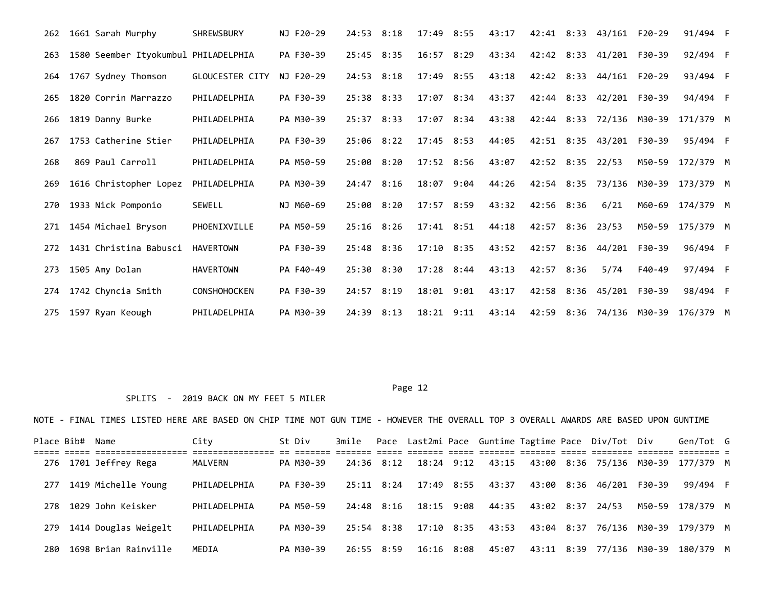| 262 | 1661 Sarah Murphy                    | <b>SHREWSBURY</b>      | NJ F20-29 | 24:53 8:18     |      | 17:49          | 8:55 | 43:17 | 42:41      |      | 8:33 43/161              | F20-29   | 91/494 F  |  |
|-----|--------------------------------------|------------------------|-----------|----------------|------|----------------|------|-------|------------|------|--------------------------|----------|-----------|--|
| 263 | 1580 Seember Ityokumbul PHILADELPHIA |                        | PA F30-39 | 25:45 8:35     |      | 16:57 8:29     |      | 43:34 |            |      | 42:42 8:33 41/201 F30-39 |          | 92/494 F  |  |
| 264 | 1767 Sydney Thomson                  | <b>GLOUCESTER CITY</b> | NJ F20-29 | 24:53 8:18     |      | 17:49          | 8:55 | 43:18 | 42:42      | 8:33 | 44/161                   | $F20-29$ | 93/494 F  |  |
| 265 | 1820 Corrin Marrazzo                 | PHILADELPHIA           | PA F30-39 | 25:38 8:33     |      | 17:07 8:34     |      | 43:37 |            |      | 42:44 8:33 42/201 F30-39 |          | 94/494 F  |  |
| 266 | 1819 Danny Burke                     | PHILADELPHIA           | PA M30-39 | 25:37 8:33     |      | 17:07 8:34     |      | 43:38 |            |      | 42:44 8:33 72/136 M30-39 |          | 171/379 M |  |
| 267 | 1753 Catherine Stier                 | PHILADELPHIA           | PA F30-39 | $25:06$ 8:22   |      | $17:45$ 8:53   |      | 44:05 |            |      | 42:51 8:35 43/201        | F30-39   | 95/494 F  |  |
| 268 | 869 Paul Carroll                     | PHILADELPHIA           | PA M50-59 | 25:00          | 8:20 | 17:52 8:56     |      | 43:07 | 42:52 8:35 |      | 22/53                    | M50-59   | 172/379 M |  |
| 269 | 1616 Christopher Lopez               | PHILADELPHIA           | PA M30-39 | 24:47 8:16     |      | 18:07          | 9:04 | 44:26 | 42:54      | 8:35 | 73/136 M30-39            |          | 173/379 M |  |
| 270 | 1933 Nick Pomponio                   | <b>SEWELL</b>          | NJ M60-69 | 25:00 8:20     |      | 17:57 8:59     |      | 43:32 | 42:56 8:36 |      | 6/21                     | M60-69   | 174/379 M |  |
| 271 | 1454 Michael Bryson                  | PHOENIXVILLE           | PA M50-59 | $25:16$ $8:26$ |      | 17:41 8:51     |      | 44:18 | 42:57      | 8:36 | 23/53                    | M50-59   | 175/379 M |  |
| 272 | 1431 Christina Babusci               | <b>HAVERTOWN</b>       | PA F30-39 | $25:48$ $8:36$ |      | $17:10$ 8:35   |      | 43:52 |            |      | 42:57 8:36 44/201        | F30-39   | 96/494 F  |  |
| 273 | 1505 Amy Dolan                       | <b>HAVERTOWN</b>       | PA F40-49 | 25:30 8:30     |      | 17:28 8:44     |      | 43:13 | 42:57      | 8:36 | 5/74                     | F40-49   | 97/494 F  |  |
| 274 | 1742 Chyncia Smith                   | <b>CONSHOHOCKEN</b>    | PA F30-39 | 24:57 8:19     |      | 18:01          | 9:01 | 43:17 | 42:58      |      | 8:36 45/201              | F30-39   | 98/494 F  |  |
| 275 | 1597 Ryan Keough                     | PHILADELPHIA           | PA M30-39 | 24:39 8:13     |      | $18:21$ $9:11$ |      | 43:14 | 42:59      | 8:36 | 74/136 M30-39            |          | 176/379 M |  |

# SPLITS - 2019 BACK ON MY FEET 5 MILER

|     | Place Bib# Name |                      | City         | St Div    |            |            |                       |       |                        | 3mile Pace Last2mi Pace Guntime Tagtime Pace Div/Tot Div |        | Gen/Tot G                          |  |
|-----|-----------------|----------------------|--------------|-----------|------------|------------|-----------------------|-------|------------------------|----------------------------------------------------------|--------|------------------------------------|--|
| 276 |                 | 1701 Jeffrey Rega    | MALVERN      | PA M30-39 |            | 24:36 8:12 | 18:24 9:12            | 43:15 |                        |                                                          |        | 43:00 8:36 75/136 M30-39 177/379 M |  |
| 277 |                 | 1419 Michelle Young  | PHILADELPHIA | PA F30-39 | 25:11 8:24 |            | 17:49 8:55            | 43:37 |                        | 43:00 8:36 46/201 F30-39                                 |        | 99/494 F                           |  |
| 278 |                 | 1029 John Keisker    | PHILADELPHIA | PA M50-59 | 24:48 8:16 |            | 18:15 9:08            |       | 44:35 43:02 8:37 24/53 |                                                          | M50-59 | 178/379 M                          |  |
| 279 |                 | 1414 Douglas Weigelt | PHILADELPHIA | PA M30-39 |            |            | 25:54 8:38 17:10 8:35 | 43:53 | 43:04 8:37             |                                                          |        | 76/136 M30-39 179/379 M            |  |
| 280 |                 | 1698 Brian Rainville | MEDIA        | PA M30-39 |            | 26:55 8:59 | 16:16 8:08            | 45:07 | 43:11 8:39             | 77/136 M30-39                                            |        | 180/379 M                          |  |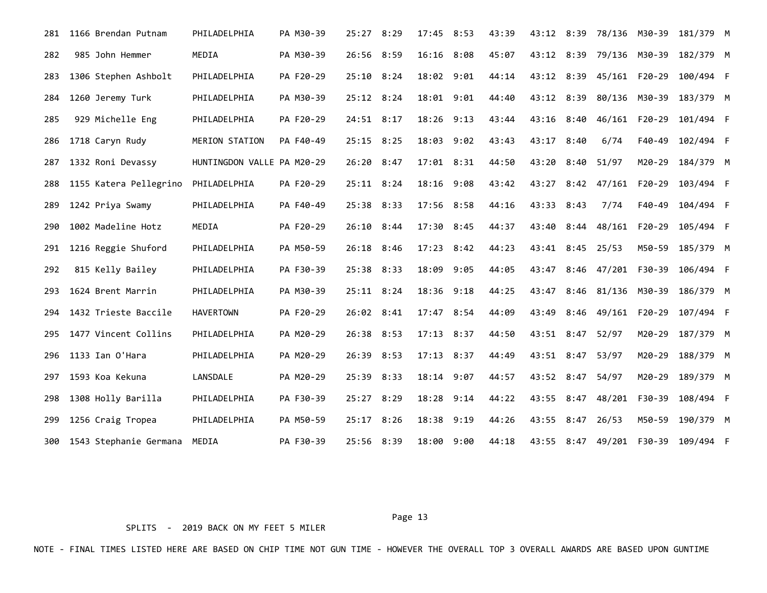| 281 | 1166 Brendan Putnam    | PHILADELPHIA               | PA M30-39 | 25:27 8:29     | 17:45 8:53 |      | 43:39 | 43:12 8:39       |      |                    | 78/136 M30-39 | 181/379 M                          |  |
|-----|------------------------|----------------------------|-----------|----------------|------------|------|-------|------------------|------|--------------------|---------------|------------------------------------|--|
| 282 | 985 John Hemmer        | MEDIA                      | PA M30-39 | 26:56 8:59     | 16:16      | 8:08 | 45:07 | 43:12            | 8:39 | 79/136 M30-39      |               | 182/379 M                          |  |
| 283 | 1306 Stephen Ashbolt   | PHILADELPHIA               | PA F20-29 | 25:10 8:24     | 18:02 9:01 |      | 44:14 | 43:12            | 8:39 | 45/161 F20-29      |               | 100/494 F                          |  |
| 284 | 1260 Jeremy Turk       | PHILADELPHIA               | PA M30-39 | $25:12$ $8:24$ | 18:01      | 9:01 | 44:40 | 43:12            | 8:39 | 80/136 M30-39      |               | 183/379 M                          |  |
| 285 | 929 Michelle Eng       | PHILADELPHIA               | PA F20-29 | 24:51 8:17     | 18:26      | 9:13 | 43:44 | 43:16            | 8:40 | 46/161             | F20-29        | 101/494 F                          |  |
| 286 | 1718 Caryn Rudy        | MERION STATION             | PA F40-49 | 25:15 8:25     | 18:03 9:02 |      | 43:43 | 43:17            | 8:40 | 6/74               | F40-49        | 102/494 F                          |  |
| 287 | 1332 Roni Devassy      | HUNTINGDON VALLE PA M20-29 |           | 26:20 8:47     | 17:01 8:31 |      | 44:50 | 43:20            | 8:40 | 51/97              | M20-29        | 184/379 M                          |  |
| 288 | 1155 Katera Pellegrino | PHILADELPHIA               | PA F20-29 | 25:11 8:24     | 18:16 9:08 |      | 43:42 | 43:27            |      | 8:42 47/161 F20-29 |               | 103/494 F                          |  |
| 289 | 1242 Priya Swamy       | PHILADELPHIA               | PA F40-49 | 25:38 8:33     | 17:56 8:58 |      | 44:16 | 43:33            | 8:43 | 7/74               | F40-49        | 104/494 F                          |  |
| 290 | 1002 Madeline Hotz     | MEDIA                      | PA F20-29 | $26:10$ 8:44   | 17:30 8:45 |      | 44:37 | 43:40            |      | 8:44 48/161 F20-29 |               | 105/494 F                          |  |
| 291 | 1216 Reggie Shuford    | PHILADELPHIA               | PA M50-59 | 26:18 8:46     | 17:23 8:42 |      | 44:23 | 43:41 8:45 25/53 |      |                    | M50-59        | 185/379 M                          |  |
| 292 | 815 Kelly Bailey       | PHILADELPHIA               | PA F30-39 | 25:38 8:33     | 18:09      | 9:05 | 44:05 | 43:47            |      | 8:46 47/201 F30-39 |               | 106/494 F                          |  |
| 293 | 1624 Brent Marrin      | PHILADELPHIA               | PA M30-39 | $25:11$ $8:24$ | 18:36      | 9:18 | 44:25 | 43:47            |      | 8:46 81/136 M30-39 |               | 186/379 M                          |  |
| 294 | 1432 Trieste Baccile   | <b>HAVERTOWN</b>           | PA F20-29 | 26:02 8:41     | 17:47      | 8:54 | 44:09 | 43:49            | 8:46 | 49/161 F20-29      |               | 107/494 F                          |  |
| 295 | 1477 Vincent Collins   | PHILADELPHIA               | PA M20-29 | 26:38 8:53     | 17:13 8:37 |      | 44:50 | 43:51 8:47       |      | 52/97              | M20-29        | 187/379 M                          |  |
| 296 | 1133 Ian O'Hara        | PHILADELPHIA               | PA M20-29 | 26:39 8:53     | 17:13 8:37 |      | 44:49 | 43:51            | 8:47 | 53/97              | M20-29        | 188/379 M                          |  |
| 297 | 1593 Koa Kekuna        | LANSDALE                   | PA M20-29 | 25:39 8:33     | 18:14 9:07 |      | 44:57 | 43:52            | 8:47 | 54/97              | M20-29        | 189/379 M                          |  |
| 298 | 1308 Holly Barilla     | PHILADELPHIA               | PA F30-39 | 25:27 8:29     | 18:28 9:14 |      | 44:22 | 43:55            | 8:47 | 48/201 F30-39      |               | 108/494 F                          |  |
| 299 | 1256 Craig Tropea      | PHILADELPHIA               | PA M50-59 | 25:17 8:26     | 18:38      | 9:19 | 44:26 | 43:55            | 8:47 | 26/53              | M50-59        | 190/379 M                          |  |
| 300 | 1543 Stephanie Germana | MEDIA                      | PA F30-39 | 25:56 8:39     | 18:00 9:00 |      | 44:18 |                  |      |                    |               | 43:55 8:47 49/201 F30-39 109/494 F |  |

SPLITS - 2019 BACK ON MY FEET 5 MILER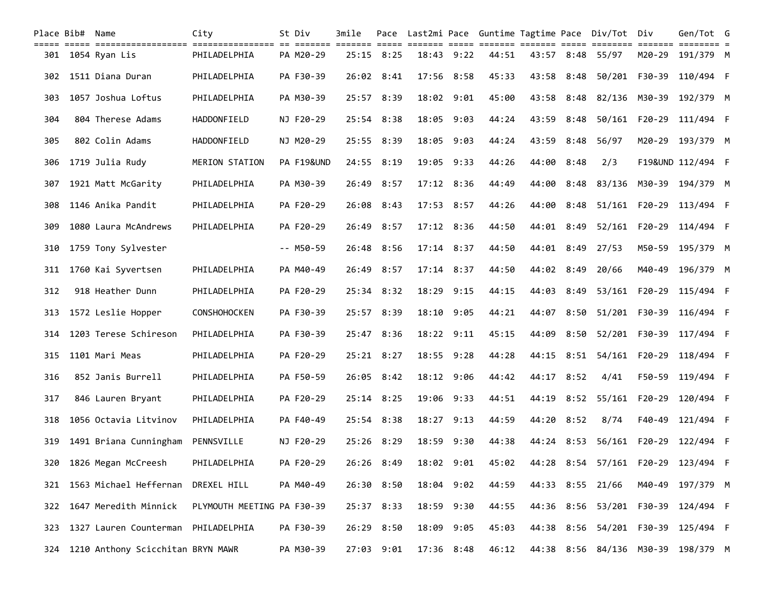| Place Bib# Name |                                                                                                                                     | City                       | St Div      | 3mile |                |              |                |       |       |            | Pace Last2mi Pace Guntime Tagtime Pace Div/Tot Div |               | Gen/Tot G                          |  |
|-----------------|-------------------------------------------------------------------------------------------------------------------------------------|----------------------------|-------------|-------|----------------|--------------|----------------|-------|-------|------------|----------------------------------------------------|---------------|------------------------------------|--|
|                 | sich sich bibitionischen bibitionische er bibiti bibiti bibi diele bibit eine bibiti bibit bibiti bibiti bibit<br>301 1054 Ryan Lis | PHILADELPHIA               | PA M20-29   |       | $25:15$ 8:25   |              | $18:43$ $9:22$ | 44:51 |       |            | 43:57 8:48 55/97                                   |               | M20-29 191/379 M                   |  |
| 302             | 1511 Diana Duran                                                                                                                    | PHILADELPHIA               | PA F30-39   |       | 26:02 8:41     | 17:56 8:58   |                | 45:33 | 43:58 | 8:48       |                                                    | 50/201 F30-39 | 110/494 F                          |  |
| 303             | 1057 Joshua Loftus                                                                                                                  | PHILADELPHIA               | PA M30-39   |       | 25:57 8:39     |              | 18:02 9:01     | 45:00 | 43:58 | 8:48       | 82/136 M30-39                                      |               | 192/379 M                          |  |
| 304             | 804 Therese Adams                                                                                                                   | HADDONFIELD                | NJ F20-29   |       | 25:54 8:38     | 18:05 9:03   |                | 44:24 | 43:59 | 8:48       |                                                    |               | 50/161 F20-29 111/494 F            |  |
| 305             | 802 Colin Adams                                                                                                                     | <b>HADDONFIELD</b>         | NJ M20-29   |       | 25:55 8:39     |              | 18:05 9:03     | 44:24 | 43:59 | 8:48       | 56/97                                              |               | M20-29 193/379 M                   |  |
| 306             | 1719 Julia Rudy                                                                                                                     | MERION STATION             | PA F19&UND  |       | 24:55 8:19     |              | 19:05 9:33     | 44:26 |       | 44:00 8:48 | 2/3                                                |               | F19&UND 112/494 F                  |  |
| 307             | 1921 Matt McGarity                                                                                                                  | PHILADELPHIA               | PA M30-39   |       | 26:49 8:57     |              | 17:12 8:36     | 44:49 | 44:00 |            |                                                    |               | 8:48 83/136 M30-39 194/379 M       |  |
| 308             | 1146 Anika Pandit                                                                                                                   | PHILADELPHIA               | PA F20-29   |       | 26:08 8:43     | 17:53 8:57   |                | 44:26 | 44:00 | 8:48       |                                                    | 51/161 F20-29 | 113/494 F                          |  |
| 309             | 1080 Laura McAndrews                                                                                                                | PHILADELPHIA               | PA F20-29   |       | 26:49 8:57     |              | 17:12 8:36     | 44:50 |       | 44:01 8:49 |                                                    |               | 52/161 F20-29 114/494 F            |  |
| 310             | 1759 Tony Sylvester                                                                                                                 |                            | $-- M50-59$ |       | 26:48 8:56     | $17:14$ 8:37 |                | 44:50 |       | 44:01 8:49 | 27/53                                              | M50-59        | 195/379 M                          |  |
| 311             | 1760 Kai Syvertsen                                                                                                                  | PHILADELPHIA               | PA M40-49   |       | 26:49 8:57     |              | 17:14 8:37     | 44:50 |       | 44:02 8:49 | 20/66                                              | M40-49        | 196/379 M                          |  |
| 312             | 918 Heather Dunn                                                                                                                    | PHILADELPHIA               | PA F20-29   |       | $25:34$ 8:32   |              | 18:29 9:15     | 44:15 | 44:03 |            |                                                    |               | 8:49 53/161 F20-29 115/494 F       |  |
| 313             | 1572 Leslie Hopper                                                                                                                  | <b>CONSHOHOCKEN</b>        | PA F30-39   |       | 25:57 8:39     |              | 18:10 9:05     | 44:21 |       |            |                                                    |               | 44:07 8:50 51/201 F30-39 116/494 F |  |
| 314             | 1203 Terese Schireson                                                                                                               | PHILADELPHIA               | PA F30-39   |       | 25:47 8:36     | 18:22 9:11   |                | 45:15 | 44:09 | 8:50       |                                                    |               | 52/201 F30-39 117/494 F            |  |
| 315             | 1101 Mari Meas                                                                                                                      | PHILADELPHIA               | PA F20-29   |       | $25:21$ $8:27$ |              | 18:55 9:28     | 44:28 | 44:15 |            | 8:51 54/161 F20-29                                 |               | 118/494 F                          |  |
| 316             | 852 Janis Burrell                                                                                                                   | PHILADELPHIA               | PA F50-59   |       | 26:05 8:42     |              | 18:12 9:06     | 44:42 |       | 44:17 8:52 | 4/41                                               |               | F50-59 119/494 F                   |  |
| 317             | 846 Lauren Bryant                                                                                                                   | PHILADELPHIA               | PA F20-29   |       | $25:14$ 8:25   | 19:06 9:33   |                | 44:51 | 44:19 |            | 8:52 55/161 F20-29                                 |               | 120/494 F                          |  |
| 318             | 1056 Octavia Litvinov                                                                                                               | PHILADELPHIA               | PA F40-49   |       | 25:54 8:38     | 18:27 9:13   |                | 44:59 | 44:20 | 8:52       | 8/74                                               | F40-49        | 121/494 F                          |  |
| 319             | 1491 Briana Cunningham PENNSVILLE                                                                                                   |                            | NJ F20-29   |       | 25:26 8:29     |              | 18:59 9:30     | 44:38 |       |            |                                                    |               | 44:24 8:53 56/161 F20-29 122/494 F |  |
|                 | 320 1826 Megan McCreesh PHILADELPHIA PA F20-29 26:26 8:49 18:02 9:01 45:02 44:28 8:54 57/161 F20-29 123/494 F                       |                            |             |       |                |              |                |       |       |            |                                                    |               |                                    |  |
|                 | 321 1563 Michael Heffernan                                                                                                          | DREXEL HILL                | PA M40-49   |       | 26:30 8:50     |              | 18:04 9:02     | 44:59 |       |            | 44:33 8:55 21/66                                   |               | M40-49 197/379 M                   |  |
| 322             | 1647 Meredith Minnick                                                                                                               | PLYMOUTH MEETING PA F30-39 |             |       | 25:37 8:33     |              | 18:59 9:30     | 44:55 |       |            |                                                    |               | 44:36 8:56 53/201 F30-39 124/494 F |  |
| 323             | 1327 Lauren Counterman                                                                                                              | PHILADELPHIA               | PA F30-39   |       | 26:29 8:50     |              | 18:09 9:05     | 45:03 |       |            |                                                    |               | 44:38 8:56 54/201 F30-39 125/494 F |  |
|                 | 324 1210 Anthony Scicchitan BRYN MAWR                                                                                               |                            | PA M30-39   |       | 27:03 9:01     | 17:36 8:48   |                | 46:12 |       |            |                                                    |               | 44:38 8:56 84/136 M30-39 198/379 M |  |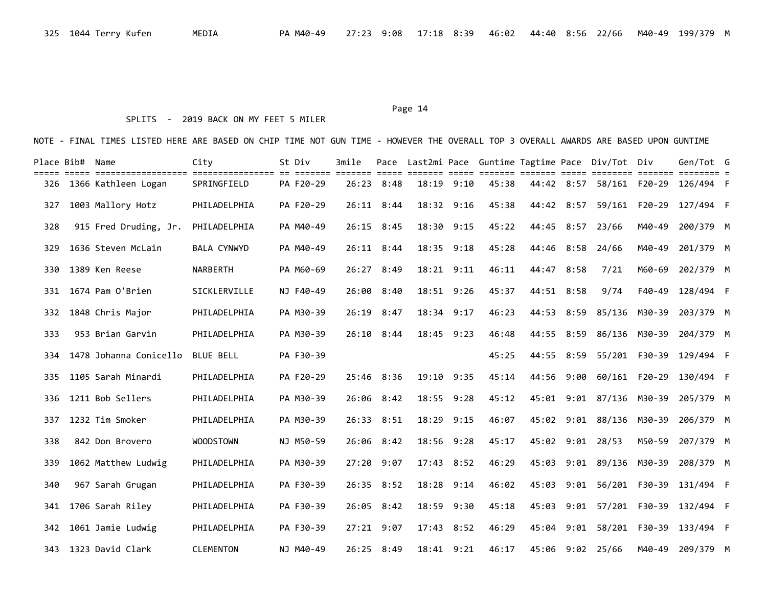# SPLITS - 2019 BACK ON MY FEET 5 MILER

| Place Bib# Name |                        | City               | St Div    | 3mile | Pace                    |                |       |       |            |      | Last2mi Pace Guntime Tagtime Pace Div/Tot Div |               | Gen/Tot G                          |  |
|-----------------|------------------------|--------------------|-----------|-------|-------------------------|----------------|-------|-------|------------|------|-----------------------------------------------|---------------|------------------------------------|--|
| 326             | 1366 Kathleen Logan    | SPRINGFIELD        | PA F20-29 | 26:23 | $=$ $=$ $=$ $=$<br>8:48 | $18:19$ $9:10$ | ===== | 45:38 | 44:42 8:57 |      | 58/161 F20-29                                 |               | 126/494 F                          |  |
| 327             | 1003 Mallory Hotz      | PHILADELPHIA       | PA F20-29 |       | $26:11$ 8:44            | $18:32$ $9:16$ |       | 45:38 | 44:42      | 8:57 |                                               | 59/161 F20-29 | 127/494 F                          |  |
| 328             | 915 Fred Druding, Jr.  | PHILADELPHIA       | PA M40-49 | 26:15 | 8:45                    | 18:30          | 9:15  | 45:22 | 44:45      | 8:57 | 23/66                                         | M40-49        | 200/379 M                          |  |
| 329             | 1636 Steven McLain     | <b>BALA CYNWYD</b> | PA M40-49 |       | 26:11 8:44              | 18:35 9:18     |       | 45:28 | 44:46      | 8:58 | 24/66                                         | M40-49        | 201/379 M                          |  |
| 330             | 1389 Ken Reese         | <b>NARBERTH</b>    | PA M60-69 | 26:27 | 8:49                    | 18:21 9:11     |       | 46:11 | 44:47      | 8:58 | 7/21                                          | M60-69        | 202/379 M                          |  |
| 331             | 1674 Pam O'Brien       | SICKLERVILLE       | NJ F40-49 | 26:00 | 8:40                    | 18:51 9:26     |       | 45:37 | 44:51 8:58 |      | 9/74                                          | F40-49        | 128/494 F                          |  |
| 332             | 1848 Chris Major       | PHILADELPHIA       | PA M30-39 | 26:19 | 8:47                    | 18:34 9:17     |       | 46:23 | 44:53      | 8:59 |                                               | 85/136 M30-39 | 203/379 M                          |  |
| 333             | 953 Brian Garvin       | PHILADELPHIA       | PA M30-39 | 26:10 | 8:44                    | 18:45 9:23     |       | 46:48 | 44:55      | 8:59 |                                               | 86/136 M30-39 | 204/379 M                          |  |
| 334             | 1478 Johanna Conicello | <b>BLUE BELL</b>   | PA F30-39 |       |                         |                |       | 45:25 | 44:55      |      | 8:59 55/201 F30-39                            |               | 129/494 F                          |  |
| 335             | 1105 Sarah Minardi     | PHILADELPHIA       | PA F20-29 |       | 25:46 8:36              | 19:10 9:35     |       | 45:14 | 44:56      | 9:00 |                                               | 60/161 F20-29 | 130/494 F                          |  |
| 336             | 1211 Bob Sellers       | PHILADELPHIA       | PA M30-39 |       | $26:06$ 8:42            | 18:55 9:28     |       | 45:12 |            |      | 45:01 9:01 87/136 M30-39                      |               | 205/379 M                          |  |
| 337             | 1232 Tim Smoker        | PHILADELPHIA       | PA M30-39 |       | 26:33 8:51              | 18:29          | 9:15  | 46:07 |            |      | 45:02 9:01 88/136 M30-39                      |               | 206/379 M                          |  |
| 338             | 842 Don Brovero        | <b>WOODSTOWN</b>   | NJ M50-59 |       | $26:06$ 8:42            | 18:56 9:28     |       | 45:17 |            |      | 45:02 9:01 28/53                              | M50-59        | 207/379 M                          |  |
| 339             | 1062 Matthew Ludwig    | PHILADELPHIA       | PA M30-39 |       | $27:20$ 9:07            | 17:43 8:52     |       | 46:29 | 45:03      |      | 9:01 89/136 M30-39                            |               | 208/379 M                          |  |
| 340             | 967 Sarah Grugan       | PHILADELPHIA       | PA F30-39 |       | 26:35 8:52              | 18:28          | 9:14  | 46:02 | 45:03      |      | 9:01 56/201 F30-39                            |               | 131/494 F                          |  |
| 341             | 1706 Sarah Riley       | PHILADELPHIA       | PA F30-39 |       | 26:05 8:42              | 18:59          | 9:30  | 45:18 |            |      |                                               |               | 45:03 9:01 57/201 F30-39 132/494 F |  |
| 342             | 1061 Jamie Ludwig      | PHILADELPHIA       | PA F30-39 |       | 27:21 9:07              | 17:43          | 8:52  | 46:29 |            |      | 45:04 9:01 58/201 F30-39                      |               | 133/494 F                          |  |
|                 | 343 1323 David Clark   | <b>CLEMENTON</b>   | NJ M40-49 |       | 26:25 8:49              | 18:41 9:21     |       | 46:17 | 45:06      |      | 9:02 25/66                                    | M40-49        | 209/379 M                          |  |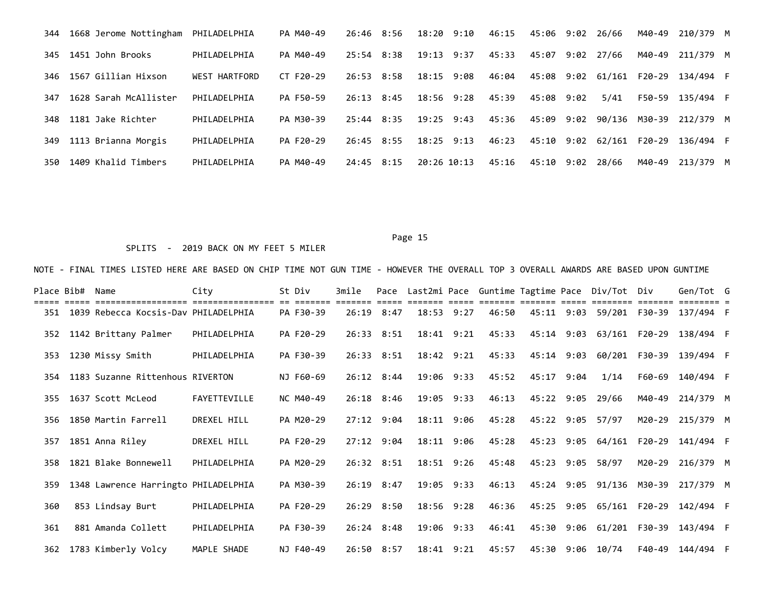|     | 344 1668 Jerome Nottingham PHILADELPHIA |                      | PA M40-49 | 26:46 8:56     | 18:20 9:10     | 46:15 | 45:06 9:02 26/66 |      |                   |        | M40-49 210/379 M                   |  |
|-----|-----------------------------------------|----------------------|-----------|----------------|----------------|-------|------------------|------|-------------------|--------|------------------------------------|--|
| 345 | 1451 John Brooks                        | PHILADELPHIA         | PA M40-49 | 25:54 8:38     | 19:13 9:37     | 45:33 | 45:07            | 9:02 | 27/66             | M40-49 | 211/379 M                          |  |
|     | 346 1567 Gillian Hixson                 | <b>WEST HARTFORD</b> | CT F20-29 | 26:53 8:58     | 18:15 9:08     | 46:04 |                  |      |                   |        | 45:08 9:02 61/161 F20-29 134/494 F |  |
| 347 | 1628 Sarah McAllister                   | PHILADELPHIA         | PA F50-59 | $26:13$ $8:45$ | $18:56$ $9:28$ | 45:39 | 45:08 9:02       |      | 5/41              | F50-59 | 135/494 F                          |  |
| 348 | 1181 Jake Richter                       | PHILADELPHIA         | PA M30-39 | 25:44 8:35     | $19:25$ $9:43$ | 45:36 | 45:09 9:02       |      |                   |        | 90/136 M30-39 212/379 M            |  |
| 349 | 1113 Brianna Morgis                     | PHILADELPHIA         | PA F20-29 | 26:45 8:55     | $18:25$ 9:13   | 46:23 |                  |      | 45:10 9:02 62/161 | F20-29 | 136/494 F                          |  |
| 350 | 1409 Khalid Timbers                     | PHILADELPHIA         | PA M40-49 | $24:45$ 8:15   | 20:26 10:13    | 45:16 | 45:10 9:02       |      | 28/66             | M40-49 | 213/379 M                          |  |

## SPLITS - 2019 BACK ON MY FEET 5 MILER

| Place Bib# | Name                                 | City         | St Div    | 3mile |                    |            |       |            | Pace Last2mi Pace Guntime Tagtime Pace Div/Tot Div |               | Gen/Tot G               |  |
|------------|--------------------------------------|--------------|-----------|-------|--------------------|------------|-------|------------|----------------------------------------------------|---------------|-------------------------|--|
| 351        | 1039 Rebecca Kocsis-Dav PHILADELPHIA |              | PA F30-39 | 26:19 | 8:47               | 18:53 9:27 | 46:50 |            | 45:11 9:03 59/201                                  | F30-39        | 137/494 F               |  |
| 352        | 1142 Brittany Palmer                 | PHILADELPHIA | PA F20-29 |       | 26:33 8:51         | 18:41 9:21 | 45:33 | 45:14 9:03 |                                                    | 63/161 F20-29 | 138/494 F               |  |
| 353        | 1230 Missy Smith                     | PHILADELPHIA | PA F30-39 |       | 26:33 8:51         | 18:42 9:21 | 45:33 | 45:14 9:03 |                                                    |               | 60/201 F30-39 139/494 F |  |
| 354        | 1183 Suzanne Rittenhous RIVERTON     |              | NJ F60-69 |       | $26:12 \quad 8:44$ | 19:06 9:33 | 45:52 | 45:17 9:04 | 1/14                                               | F60-69        | 140/494 F               |  |
| 355        | 1637 Scott McLeod                    | FAYETTEVILLE | NC M40-49 |       | $26:18$ 8:46       | 19:05 9:33 | 46:13 | 45:22 9:05 | 29/66                                              | M40-49        | 214/379 M               |  |
| 356        | 1850 Martin Farrell                  | DREXEL HILL  | PA M20-29 |       | $27:12$ 9:04       | 18:11 9:06 | 45:28 |            | 45:22 9:05 57/97                                   | M20-29        | 215/379 M               |  |
| 357        | 1851 Anna Riley                      | DREXEL HILL  | PA F20-29 |       | $27:12$ 9:04       | 18:11 9:06 | 45:28 |            | 45:23 9:05 64/161                                  | F20-29        | 141/494 F               |  |
| 358        | 1821 Blake Bonnewell                 | PHILADELPHIA | PA M20-29 |       | 26:32 8:51         | 18:51 9:26 | 45:48 |            | 45:23 9:05 58/97                                   | M20-29        | 216/379 M               |  |
| 359        | 1348 Lawrence Harringto PHILADELPHIA |              | PA M30-39 |       | $26:19$ 8:47       | 19:05 9:33 | 46:13 |            | 45:24 9:05 91/136 M30-39                           |               | 217/379 M               |  |
| 360        | 853 Lindsay Burt                     | PHILADELPHIA | PA F20-29 |       | 26:29 8:50         | 18:56 9:28 | 46:36 |            | 45:25 9:05 65/161 F20-29                           |               | 142/494 F               |  |
| 361        | 881 Amanda Collett                   | PHILADELPHIA | PA F30-39 |       | $26:24$ 8:48       | 19:06 9:33 | 46:41 |            | 45:30 9:06 61/201                                  | F30-39        | 143/494 F               |  |
| 362        | 1783 Kimberly Volcy                  | MAPLE SHADE  | NJ F40-49 |       | 26:50 8:57         | 18:41 9:21 | 45:57 |            | 45:30 9:06 10/74                                   |               | F40-49 144/494 F        |  |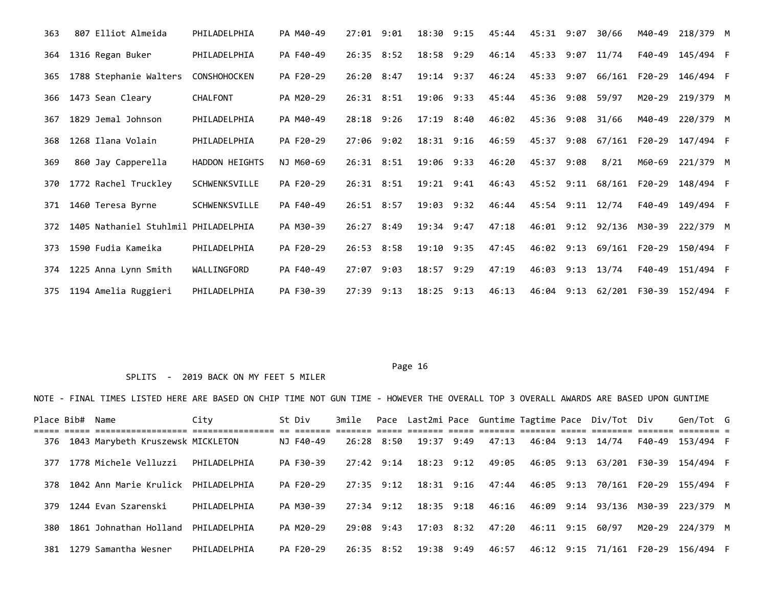| 363 | 807 Elliot Almeida                   | PHILADELPHIA        | PA M40-49 | $27:01$ $9:01$ | 18:30          | 9:15 | 45:44 | 45:31            | 9:07 | 30/66                    | M40-49                   | 218/379 M |  |
|-----|--------------------------------------|---------------------|-----------|----------------|----------------|------|-------|------------------|------|--------------------------|--------------------------|-----------|--|
| 364 | 1316 Regan Buker                     | PHILADELPHIA        | PA F40-49 | 26:35 8:52     | 18:58 9:29     |      | 46:14 | 45:33 9:07 11/74 |      |                          | F40-49                   | 145/494 F |  |
| 365 | 1788 Stephanie Walters               | <b>CONSHOHOCKEN</b> | PA F20-29 | $26:20$ 8:47   | 19:14 9:37     |      | 46:24 |                  |      | 45:33 9:07 66/161 F20-29 |                          | 146/494 F |  |
| 366 | 1473 Sean Cleary                     | CHALFONT            | PA M20-29 | $26:31$ $8:51$ | 19:06 9:33     |      | 45:44 | 45:36 9:08       |      | 59/97                    | M20-29                   | 219/379 M |  |
| 367 | 1829 Jemal Johnson                   | PHILADELPHIA        | PA M40-49 | $28:18$ 9:26   | 17:19 8:40     |      | 46:02 | 45:36 9:08       |      | 31/66                    | M40-49                   | 220/379 M |  |
| 368 | 1268 Ilana Volain                    | PHILADELPHIA        | PA F20-29 | $27:06$ 9:02   | 18:31 9:16     |      | 46:59 |                  |      |                          | 45:37 9:08 67/161 F20-29 | 147/494 F |  |
| 369 | 860 Jay Capperella                   | HADDON HEIGHTS      | NJ M60-69 | 26:31 8:51     | 19:06 9:33     |      | 46:20 | 45:37            | 9:08 | 8/21                     | M60-69                   | 221/379 M |  |
| 370 | 1772 Rachel Truckley                 | SCHWENKSVILLE       | PA F20-29 | 26:31 8:51     | $19:21$ $9:41$ |      | 46:43 |                  |      | 45:52 9:11 68/161 F20-29 |                          | 148/494 F |  |
| 371 | 1460 Teresa Byrne                    | SCHWENKSVILLE       | PA F40-49 | $26:51$ $8:57$ | $19:03$ $9:32$ |      | 46:44 | 45:54 9:11 12/74 |      |                          | F40-49                   | 149/494 F |  |
| 372 | 1405 Nathaniel Stuhlmil PHILADELPHIA |                     | PA M30-39 | 26:27 8:49     | 19:34 9:47     |      | 47:18 |                  |      | 46:01 9:12 92/136 M30-39 |                          | 222/379 M |  |
| 373 | 1590 Fudia Kameika                   | PHILADELPHIA        | PA F20-29 | $26:53$ $8:58$ | 19:10 9:35     |      | 47:45 | 46:02 9:13       |      | 69/161                   | F20-29                   | 150/494 F |  |
| 374 | 1225 Anna Lynn Smith                 | WALLINGFORD         | PA F40-49 | $27:07$ 9:03   | 18:57          | 9:29 | 47:19 | 46:03 9:13 13/74 |      |                          | F40-49                   | 151/494 F |  |
| 375 | 1194 Amelia Ruggieri                 | PHILADELPHIA        | PA F30-39 | $27:39$ $9:13$ | $18:25$ 9:13   |      | 46:13 |                  |      |                          | 46:04 9:13 62/201 F30-39 | 152/494 F |  |

## SPLITS - 2019 BACK ON MY FEET 5 MILER

|     | Place Bib#  Name |                                     | City           | St Div    |                |                       |       |            | 3mile Pace Last2mi Pace Guntime Tagtime Pace Div/Tot Div |        | Gen/Tot G                          |  |
|-----|------------------|-------------------------------------|----------------|-----------|----------------|-----------------------|-------|------------|----------------------------------------------------------|--------|------------------------------------|--|
| 376 |                  | 1043 Marybeth Kruszewsk MICKLETON   |                | NJ F40-49 | 26:28 8:50     | 19:37 9:49            | 47:13 |            | 46:04 9:13 14/74                                         | F40-49 | 153/494 F                          |  |
| 377 |                  | 1778 Michele Velluzzi               | PHILADELPHIA   | PA F30-39 | 27:42 9:14     | 18:23 9:12            | 49:05 |            |                                                          |        | 46:05 9:13 63/201 F30-39 154/494 F |  |
| 378 |                  | 1042 Ann Marie Krulick PHILADELPHIA |                | PA F20-29 | $27:35$ 9:12   | 18:31 9:16            | 47:44 | 46:05 9:13 |                                                          |        | 70/161 F20-29 155/494 F            |  |
|     |                  | 379 1244 Evan Szarenski             | PHTI ADFI PHTA | PA M30-39 |                | 27:34 9:12 18:35 9:18 | 46:16 |            |                                                          |        | 46:09 9:14 93/136 M30-39 223/379 M |  |
| 380 |                  | 1861 Johnathan Holland PHILADELPHIA |                | PA M20-29 | $29:08$ $9:43$ | 17:03 8:32            | 47:20 |            | 46:11 9:15 60/97                                         |        | M20-29 224/379 M                   |  |
| 381 |                  | 1279 Samantha Wesner                | PHILADELPHIA   | PA F20-29 |                | 26:35 8:52 19:38 9:49 | 46:57 |            |                                                          |        | 46:12 9:15 71/161 F20-29 156/494 F |  |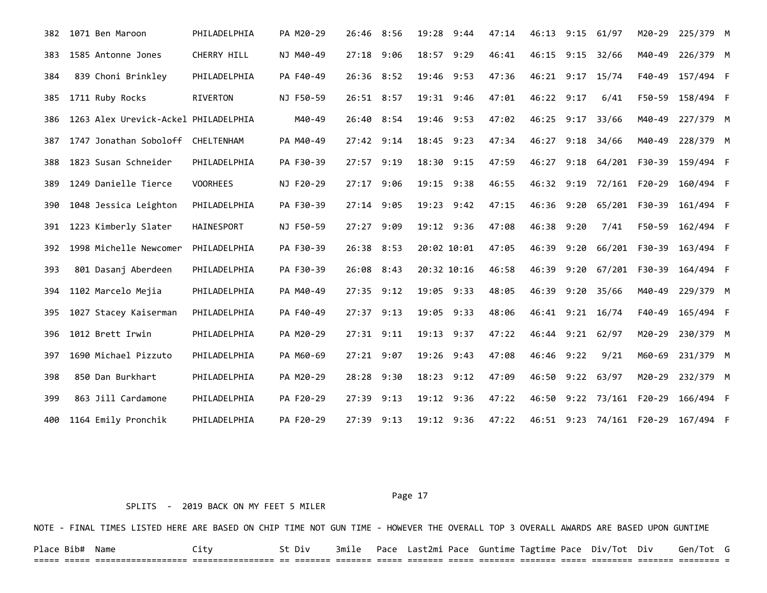| 1071 Ben Maroon        | PHILADELPHIA    | PA M20-29                                                      |       |      | 19:28                                                                                                                                                                                                                                              | 9:44 | 47:14                                                                                                                                                                                              | 46:13 |      |                                                  | M20-29                                                                                                          |                                                                                                                       |                                                                                                                                                                                                                                                     |
|------------------------|-----------------|----------------------------------------------------------------|-------|------|----------------------------------------------------------------------------------------------------------------------------------------------------------------------------------------------------------------------------------------------------|------|----------------------------------------------------------------------------------------------------------------------------------------------------------------------------------------------------|-------|------|--------------------------------------------------|-----------------------------------------------------------------------------------------------------------------|-----------------------------------------------------------------------------------------------------------------------|-----------------------------------------------------------------------------------------------------------------------------------------------------------------------------------------------------------------------------------------------------|
| 1585 Antonne Jones     | CHERRY HILL     | NJ M40-49                                                      |       |      | 18:57                                                                                                                                                                                                                                              |      | 46:41                                                                                                                                                                                              |       |      |                                                  | M40-49                                                                                                          |                                                                                                                       |                                                                                                                                                                                                                                                     |
| 839 Choni Brinkley     | PHILADELPHIA    | PA F40-49                                                      |       |      |                                                                                                                                                                                                                                                    |      | 47:36                                                                                                                                                                                              |       |      | 15/74                                            | F40-49                                                                                                          |                                                                                                                       |                                                                                                                                                                                                                                                     |
| 1711 Ruby Rocks        | <b>RIVERTON</b> | NJ F50-59                                                      |       |      |                                                                                                                                                                                                                                                    |      | 47:01                                                                                                                                                                                              |       |      | 6/41                                             | F50-59                                                                                                          |                                                                                                                       |                                                                                                                                                                                                                                                     |
|                        |                 | M40-49                                                         |       |      |                                                                                                                                                                                                                                                    |      | 47:02                                                                                                                                                                                              | 46:25 |      | 33/66                                            | M40-49                                                                                                          |                                                                                                                       |                                                                                                                                                                                                                                                     |
|                        | CHELTENHAM      | PA M40-49                                                      |       |      | 18:45                                                                                                                                                                                                                                              | 9:23 | 47:34                                                                                                                                                                                              | 46:27 |      |                                                  | M40-49                                                                                                          |                                                                                                                       |                                                                                                                                                                                                                                                     |
| 1823 Susan Schneider   | PHILADELPHIA    | PA F30-39                                                      |       |      | 18:30                                                                                                                                                                                                                                              |      | 47:59                                                                                                                                                                                              | 46:27 |      |                                                  |                                                                                                                 |                                                                                                                       |                                                                                                                                                                                                                                                     |
| 1249 Danielle Tierce   | <b>VOORHEES</b> | NJ F20-29                                                      |       |      |                                                                                                                                                                                                                                                    |      | 46:55                                                                                                                                                                                              | 46:32 |      |                                                  |                                                                                                                 |                                                                                                                       |                                                                                                                                                                                                                                                     |
| 1048 Jessica Leighton  | PHILADELPHIA    | PA F30-39                                                      |       |      | 19:23                                                                                                                                                                                                                                              |      | 47:15                                                                                                                                                                                              | 46:36 | 9:20 |                                                  |                                                                                                                 |                                                                                                                       |                                                                                                                                                                                                                                                     |
| 1223 Kimberly Slater   | HAINESPORT      | NJ F50-59                                                      |       |      |                                                                                                                                                                                                                                                    |      | 47:08                                                                                                                                                                                              | 46:38 | 9:20 | 7/41                                             | F50-59                                                                                                          |                                                                                                                       |                                                                                                                                                                                                                                                     |
| 1998 Michelle Newcomer | PHILADELPHIA    | PA F30-39                                                      |       |      |                                                                                                                                                                                                                                                    |      | 47:05                                                                                                                                                                                              | 46:39 | 9:20 | 66/201                                           |                                                                                                                 |                                                                                                                       |                                                                                                                                                                                                                                                     |
| 801 Dasanj Aberdeen    | PHILADELPHIA    | PA F30-39                                                      | 26:08 |      |                                                                                                                                                                                                                                                    |      | 46:58                                                                                                                                                                                              | 46:39 | 9:20 |                                                  |                                                                                                                 |                                                                                                                       |                                                                                                                                                                                                                                                     |
| 1102 Marcelo Mejia     | PHILADELPHIA    | PA M40-49                                                      |       |      |                                                                                                                                                                                                                                                    |      | 48:05                                                                                                                                                                                              | 46:39 | 9:20 | 35/66                                            | M40-49                                                                                                          |                                                                                                                       |                                                                                                                                                                                                                                                     |
| 1027 Stacey Kaiserman  | PHILADELPHIA    | PA F40-49                                                      |       |      | 19:05                                                                                                                                                                                                                                              |      | 48:06                                                                                                                                                                                              | 46:41 |      |                                                  | F40-49                                                                                                          |                                                                                                                       |                                                                                                                                                                                                                                                     |
| 1012 Brett Irwin       | PHILADELPHIA    | PA M20-29                                                      |       |      | 19:13                                                                                                                                                                                                                                              |      | 47:22                                                                                                                                                                                              | 46:44 |      |                                                  | M20-29                                                                                                          |                                                                                                                       |                                                                                                                                                                                                                                                     |
| 1690 Michael Pizzuto   | PHILADELPHIA    | PA M60-69                                                      |       |      | 19:26                                                                                                                                                                                                                                              |      | 47:08                                                                                                                                                                                              | 46:46 |      | 9/21                                             | M60-69                                                                                                          |                                                                                                                       |                                                                                                                                                                                                                                                     |
| 850 Dan Burkhart       | PHILADELPHIA    | PA M20-29                                                      | 28:28 |      | 18:23                                                                                                                                                                                                                                              |      | 47:09                                                                                                                                                                                              | 46:50 |      |                                                  | M20-29                                                                                                          |                                                                                                                       |                                                                                                                                                                                                                                                     |
| 863 Jill Cardamone     | PHILADELPHIA    | PA F20-29                                                      | 27:39 | 9:13 |                                                                                                                                                                                                                                                    |      | 47:22                                                                                                                                                                                              | 46:50 | 9:22 |                                                  |                                                                                                                 |                                                                                                                       |                                                                                                                                                                                                                                                     |
| 1164 Emily Pronchik    | PHILADELPHIA    | PA F20-29                                                      |       |      |                                                                                                                                                                                                                                                    |      | 47:22                                                                                                                                                                                              |       |      |                                                  |                                                                                                                 |                                                                                                                       |                                                                                                                                                                                                                                                     |
|                        |                 | 1263 Alex Urevick-Ackel PHILADELPHIA<br>1747 Jonathan Soboloff |       |      | 26:46 8:56<br>27:18 9:06<br>26:36 8:52<br>26:51 8:57<br>26:40 8:54<br>27:42 9:14<br>27:57 9:19<br>27:17 9:06<br>27:14 9:05<br>27:27 9:09<br>26:38 8:53<br>8:43<br>27:35 9:12<br>27:37 9:13<br>$27:31$ $9:11$<br>$27:21$ 9:07<br>9:30<br>27:39 9:13 |      | 9:29<br>19:46 9:53<br>19:31 9:46<br>19:46 9:53<br>9:15<br>19:15 9:38<br>9:42<br>19:12 9:36<br>20:02 10:01<br>20:32 10:16<br>19:05 9:33<br>9:33<br>9:37<br>9:43<br>9:12<br>19:12 9:36<br>19:12 9:36 |       |      | 46:15 9:15<br>46:22 9:17<br>9:17<br>9:19<br>9:22 | $9:15$ 61/97<br>32/66<br>46:21 9:17<br>$9:18$ 34/66<br>65/201<br>$9:21$ $16/74$<br>$9:21$ 62/97<br>$9:22$ 63/97 | 9:18 64/201 F30-39<br>72/161 F20-29<br>F30-39<br>F30-39<br>67/201 F30-39<br>73/161 F20-29<br>46:51 9:23 74/161 F20-29 | 225/379 M<br>226/379 M<br>157/494 F<br>158/494 F<br>227/379 M<br>228/379 M<br>159/494 F<br>160/494 F<br>161/494 F<br>162/494 F<br>163/494 F<br>164/494 F<br>229/379 M<br>165/494 F<br>230/379 M<br>231/379 M<br>232/379 M<br>166/494 F<br>167/494 F |

### SPLITS - 2019 BACK ON MY FEET 5 MILER

NOTE - FINAL TIMES LISTED HERE ARE BASED ON CHIP TIME NOT GUN TIME - HOWEVER THE OVERALL TOP 3 OVERALL AWARDS ARE BASED UPON GUNTIME

Place Bib# Name City St Div 3mile Pace Last2mi Pace Guntime Tagtime Pace Div/Tot Div Gen/Tot G ===== ===== ================== ================ == ======= ======= ===== ======= ===== ======= ======= ===== ======== ======= ======== =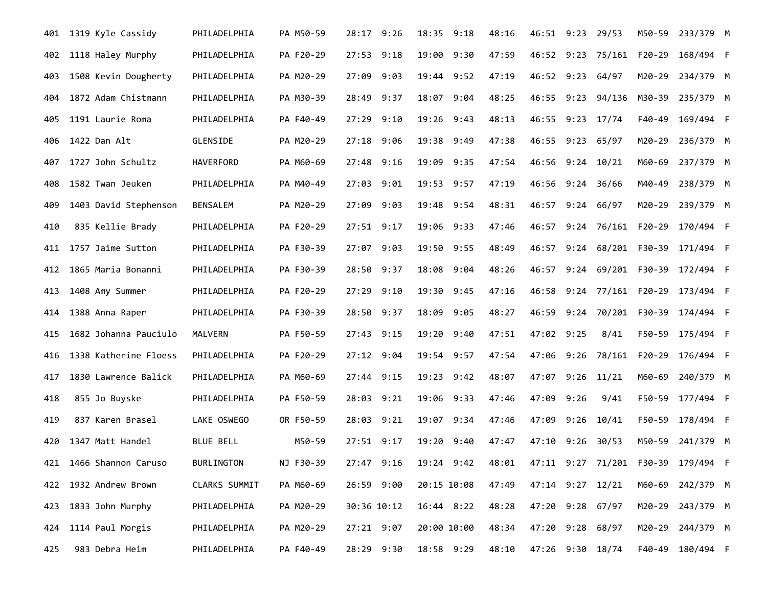| 401 | 1319 Kyle Cassidy       | PHILADELPHIA     | PA M50-59 | 28:17 9:26     | 18:35<br>9:18         | 48:16 |       |      | 46:51 9:23 29/53         | M50-59 | 233/379 M                          |  |
|-----|-------------------------|------------------|-----------|----------------|-----------------------|-------|-------|------|--------------------------|--------|------------------------------------|--|
| 402 | 1118 Haley Murphy       | PHILADELPHIA     | PA F20-29 | $27:53$ $9:18$ | 19:00<br>9:30         | 47:59 | 46:52 | 9:23 | 75/161                   | F20-29 | 168/494 F                          |  |
| 403 | 1508 Kevin Dougherty    | PHILADELPHIA     | PA M20-29 | 27:09<br>9:03  | 19:44<br>9:52         | 47:19 | 46:52 | 9:23 | 64/97                    | M20-29 | 234/379 M                          |  |
| 404 | 1872 Adam Chistmann     | PHILADELPHIA     | PA M30-39 | 28:49 9:37     | 18:07 9:04            | 48:25 |       |      | 46:55 9:23 94/136 M30-39 |        | 235/379 M                          |  |
| 405 | 1191 Laurie Roma        | PHILADELPHIA     | PA F40-49 | 27:29 9:10     | 19:26 9:43            | 48:13 | 46:55 |      | $9:23$ 17/74             | F40-49 | 169/494 F                          |  |
| 406 | 1422 Dan Alt            | GLENSIDE         | PA M20-29 | 27:18 9:06     | 19:38<br>9:49         | 47:38 | 46:55 |      | $9:23$ 65/97             | M20-29 | 236/379 M                          |  |
| 407 | 1727 John Schultz       | HAVERFORD        | PA M60-69 | 27:48 9:16     | 19:09<br>9:35         | 47:54 |       |      | 46:56 9:24 10/21         | M60-69 | 237/379 M                          |  |
| 408 | 1582 Twan Jeuken        | PHILADELPHIA     | PA M40-49 | 27:03 9:01     | 19:53 9:57            | 47:19 | 46:56 |      | $9:24$ 36/66             | M40-49 | 238/379 M                          |  |
| 409 | 1403 David Stephenson   | BENSALEM         | PA M20-29 | 27:09<br>9:03  | 19:48<br>9:54         | 48:31 | 46:57 |      | $9:24$ 66/97             | M20-29 | 239/379 M                          |  |
| 410 | 835 Kellie Brady        | PHILADELPHIA     | PA F20-29 | $27:51$ 9:17   | 19:06<br>9:33         | 47:46 | 46:57 | 9:24 | 76/161 F20-29            |        | 170/494 F                          |  |
| 411 | 1757 Jaime Sutton       | PHILADELPHIA     | PA F30-39 | 27:07 9:03     | 19:50 9:55            | 48:49 | 46:57 |      | 9:24 68/201 F30-39       |        | 171/494 F                          |  |
| 412 | 1865 Maria Bonanni      | PHILADELPHIA     | PA F30-39 | 28:50 9:37     | 18:08<br>9:04         | 48:26 | 46:57 |      | 9:24 69/201 F30-39       |        | 172/494 F                          |  |
| 413 | 1408 Amy Summer         | PHILADELPHIA     | PA F20-29 | 27:29 9:10     | 19:30<br>9:45         | 47:16 | 46:58 |      | 9:24 77/161 F20-29       |        | 173/494 F                          |  |
| 414 | 1388 Anna Raper         | PHILADELPHIA     | PA F30-39 | 28:50 9:37     | 18:09 9:05            | 48:27 | 46:59 |      |                          |        | 9:24 70/201 F30-39 174/494 F       |  |
| 415 | 1682 Johanna Pauciulo   | MALVERN          | PA F50-59 | 27:43 9:15     | 19:20<br>9:40         | 47:51 | 47:02 | 9:25 | 8/41                     | F50-59 | 175/494 F                          |  |
| 416 | 1338 Katherine Floess   | PHILADELPHIA     | PA F20-29 | 27:12 9:04     | 19:54<br>9:57         | 47:54 | 47:06 | 9:26 | 78/161 F20-29            |        | 176/494 F                          |  |
| 417 | 1830 Lawrence Balick    | PHILADELPHIA     | PA M60-69 | $27:44$ 9:15   | 19:23 9:42            | 48:07 | 47:07 |      | $9:26$ 11/21             | M60-69 | 240/379 M                          |  |
| 418 | 855 Jo Buyske           | PHILADELPHIA     | PA F50-59 | 28:03 9:21     | 19:06 9:33            | 47:46 | 47:09 | 9:26 | 9/41                     | F50-59 | 177/494 F                          |  |
| 419 | 837 Karen Brasel        | LAKE OSWEGO      | OR F50-59 | 9:21<br>28:03  | 19:07<br>9:34         | 47:46 | 47:09 | 9:26 | 10/41                    | F50-59 | 178/494 F                          |  |
| 420 | 1347 Matt Handel        | <b>BLUE BELL</b> | M50-59    | $27:51$ 9:17   | 19:20<br>9:40         | 47:47 | 47:10 | 9:26 | 30/53                    | M50-59 | 241/379 M                          |  |
|     | 421 1466 Shannon Caruso | BURLINGTON       | NJ F30-39 |                | 27:47 9:16 19:24 9:42 | 48:01 |       |      |                          |        | 47:11 9:27 71/201 F30-39 179/494 F |  |
|     | 422 1932 Andrew Brown   | CLARKS SUMMIT    | PA M60-69 | 26:59 9:00     | 20:15 10:08           | 47:49 |       |      | 47:14 9:27 12/21         |        | M60-69 242/379 M                   |  |
| 423 | 1833 John Murphy        | PHILADELPHIA     | PA M20-29 | 30:36 10:12    | 16:44 8:22            | 48:28 |       |      | 47:20 9:28 67/97         |        | M20-29 243/379 M                   |  |
| 424 | 1114 Paul Morgis        | PHILADELPHIA     | PA M20-29 | 27:21 9:07     | 20:00 10:00           | 48:34 |       |      | 47:20 9:28 68/97         |        | M20-29 244/379 M                   |  |
| 425 | 983 Debra Heim          | PHILADELPHIA     | PA F40-49 | 28:29 9:30     | 18:58 9:29            | 48:10 |       |      | 47:26 9:30 18/74         |        | F40-49 180/494 F                   |  |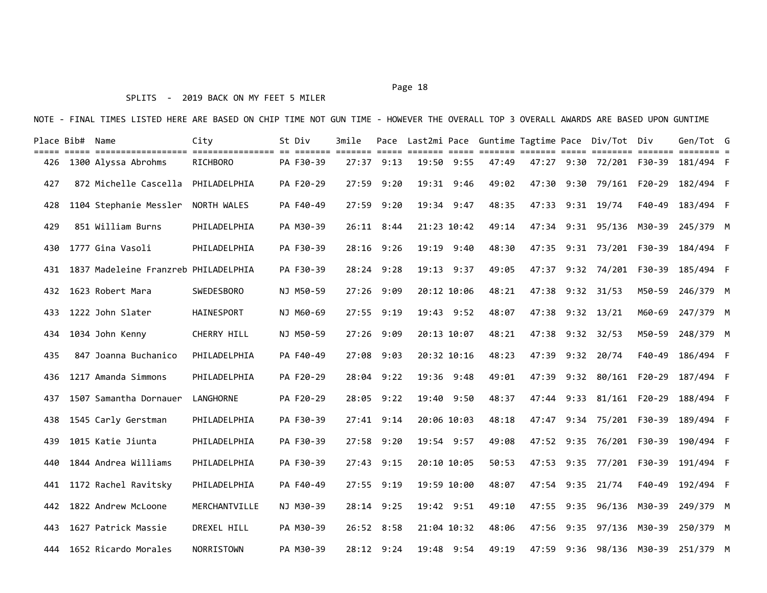### SPLITS - 2019 BACK ON MY FEET 5 MILER

| Place Bib# Name<br>===== |                                      | City              | St Div    | 3mile        | $---$      |             |      |       | ===== ======= |      | Pace Last2mi Pace Guntime Tagtime Pace Div/Tot Div | $=$ $=$ $=$ $=$ $=$ $=$ | Gen/Tot G |  |
|--------------------------|--------------------------------------|-------------------|-----------|--------------|------------|-------------|------|-------|---------------|------|----------------------------------------------------|-------------------------|-----------|--|
| 426                      | 1300 Alyssa Abrohms                  | RICHBORO          | PA F30-39 | $27:37$ 9:13 |            | 19:50 9:55  |      | 47:49 |               |      | 47:27 9:30 72/201                                  | F30-39                  | 181/494 F |  |
| 427                      | 872 Michelle Cascella                | PHILADELPHIA      | PA F20-29 | 27:59        | 9:20       | 19:31       | 9:46 | 49:02 | 47:30         | 9:30 | 79/161                                             | $F20-29$                | 182/494 F |  |
| 428                      | 1104 Stephanie Messler               | NORTH WALES       | PA F40-49 | 27:59        | 9:20       | 19:34 9:47  |      | 48:35 | 47:33         | 9:31 | 19/74                                              | F40-49                  | 183/494 F |  |
| 429                      | 851 William Burns                    | PHILADELPHIA      | PA M30-39 | 26:11        | 8:44       | 21:23 10:42 |      | 49:14 | 47:34         | 9:31 | 95/136                                             | M30-39                  | 245/379 M |  |
| 430                      | 1777 Gina Vasoli                     | PHILADELPHIA      | PA F30-39 | 28:16        | 9:26       | 19:19       | 9:40 | 48:30 | 47:35         | 9:31 | 73/201                                             | F30-39                  | 184/494 F |  |
| 431                      | 1837 Madeleine Franzreb PHILADELPHIA |                   | PA F30-39 | 28:24 9:28   |            | 19:13 9:37  |      | 49:05 | 47:37         |      | $9:32$ 74/201                                      | F30-39                  | 185/494 F |  |
| 432                      | 1623 Robert Mara                     | <b>SWEDESBORO</b> | NJ M50-59 | 27:26 9:09   |            | 20:12 10:06 |      | 48:21 | 47:38         |      | $9:32$ $31/53$                                     | M50-59                  | 246/379 M |  |
| 433                      | 1222 John Slater                     | HAINESPORT        | NJ M60-69 | 27:55 9:19   |            | 19:43 9:52  |      | 48:07 | 47:38         |      | $9:32$ $13/21$                                     | M60-69                  | 247/379 M |  |
| 434                      | 1034 John Kenny                      | CHERRY HILL       | NJ M50-59 | 27:26 9:09   |            | 20:13 10:07 |      | 48:21 | 47:38         |      | $9:32$ $32/53$                                     | M50-59                  | 248/379 M |  |
| 435                      | 847 Joanna Buchanico                 | PHILADELPHIA      | PA F40-49 | 27:08 9:03   |            | 20:32 10:16 |      | 48:23 | 47:39         |      | $9:32$ 20/74                                       | F40-49                  | 186/494 F |  |
| 436                      | 1217 Amanda Simmons                  | PHILADELPHIA      | PA F20-29 | 28:04 9:22   |            | 19:36 9:48  |      | 49:01 | 47:39         |      | $9:32$ $80/161$                                    | F20-29                  | 187/494 F |  |
| 437                      | 1507 Samantha Dornauer               | <b>LANGHORNE</b>  | PA F20-29 | 28:05 9:22   |            | 19:40 9:50  |      | 48:37 | 47:44         | 9:33 | 81/161 F20-29                                      |                         | 188/494 F |  |
| 438                      | 1545 Carly Gerstman                  | PHILADELPHIA      | PA F30-39 | 27:41        | 9:14       | 20:06 10:03 |      | 48:18 | 47:47         | 9:34 | 75/201                                             | F30-39                  | 189/494 F |  |
| 439                      | 1015 Katie Jiunta                    | PHILADELPHIA      | PA F30-39 | 27:58 9:20   |            | 19:54 9:57  |      | 49:08 | 47:52         | 9:35 | 76/201                                             | F30-39                  | 190/494 F |  |
| 440                      | 1844 Andrea Williams                 | PHILADELPHIA      | PA F30-39 | 27:43        | 9:15       | 20:10 10:05 |      | 50:53 | 47:53         | 9:35 | 77/201                                             | F30-39                  | 191/494 F |  |
| 441                      | 1172 Rachel Ravitsky                 | PHILADELPHIA      | PA F40-49 | 27:55        | 9:19       | 19:59 10:00 |      | 48:07 | 47:54         | 9:35 | 21/74                                              | F40-49                  | 192/494 F |  |
| 442                      | 1822 Andrew McLoone                  | MERCHANTVILLE     | NJ M30-39 | 28:14        | 9:25       | 19:42 9:51  |      | 49:10 | 47:55         | 9:35 | 96/136                                             | M30-39                  | 249/379 M |  |
| 443                      | 1627 Patrick Massie                  | DREXEL HILL       | PA M30-39 | 26:52 8:58   |            | 21:04 10:32 |      | 48:06 | 47:56         | 9:35 | 97/136 M30-39                                      |                         | 250/379 M |  |
| 444                      | 1652 Ricardo Morales                 | NORRISTOWN        | PA M30-39 |              | 28:12 9:24 | 19:48 9:54  |      | 49:19 |               |      | 47:59 9:36 98/136 M30-39                           |                         | 251/379 M |  |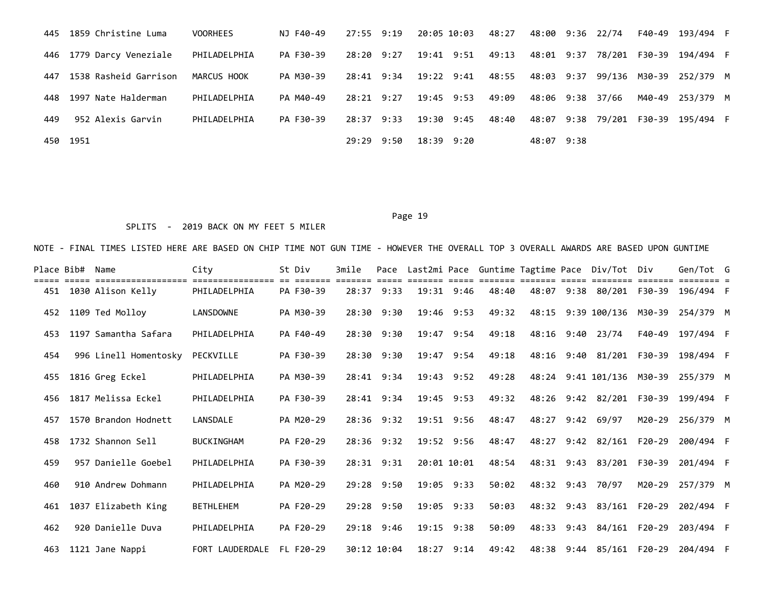|     | 445 1859 Christine Luma    | VOORHEES     | NJ F40-49 |            | 27:55 9:19 20:05 10:03 | 48:27                  |            | 48:00 9:36 22/74 | F40-49 193/494 F                         |  |
|-----|----------------------------|--------------|-----------|------------|------------------------|------------------------|------------|------------------|------------------------------------------|--|
|     | 446 1779 Darcy Veneziale   | PHILADELPHIA | PA F30-39 | 28:20 9:27 | 19:41 9:51             |                        |            |                  | 49:13 48:01 9:37 78/201 F30-39 194/494 F |  |
|     | 447  1538 Rasheid Garrison | MARCUS HOOK  | PA M30-39 |            | 28:41 9:34 19:22 9:41  | 48:55                  |            |                  | 48:03 9:37 99/136 M30-39 252/379 M       |  |
|     | 448 1997 Nate Halderman    | PHILADELPHIA | PA M40-49 |            | 28:21 9:27 19:45 9:53  | 49:09 48:06 9:38 37/66 |            |                  | M40-49 253/379 M                         |  |
| 449 | 952 Alexis Garvin          | PHILADELPHIA | PA F30-39 |            | 28:37 9:33 19:30 9:45  | 48:40                  |            |                  | 48:07 9:38 79/201 F30-39 195/494 F       |  |
|     | 450 1951                   |              |           | 29:29 9:50 | 18:39 9:20             |                        | 48:07 9:38 |                  |                                          |  |

## SPLITS - 2019 BACK ON MY FEET 5 MILER

| Place Bib# | Name                  | City              | St Div    | 3mile |                |             |            |       |            | Pace Last2mi Pace Guntime Tagtime Pace Div/Tot Div |        | Gen/Tot G                          |  |
|------------|-----------------------|-------------------|-----------|-------|----------------|-------------|------------|-------|------------|----------------------------------------------------|--------|------------------------------------|--|
| 451        | 1030 Alison Kelly     | PHILADELPHIA      | PA F30-39 |       | 28:37 9:33     | 19:31 9:46  |            | 48:40 |            |                                                    |        | 48:07 9:38 80/201 F30-39 196/494 F |  |
| 452        | 1109 Ted Molloy       | LANSDOWNE         | PA M30-39 | 28:30 | 9:30           | 19:46       | 9:53       | 49:32 | 48:15      | 9:39 100/136                                       | M30-39 | 254/379 M                          |  |
| 453        | 1197 Samantha Safara  | PHILADELPHIA      | PA F40-49 |       | $28:30$ $9:30$ | 19:47       | 9:54       | 49:18 |            | 48:16 9:40 23/74                                   | F40-49 | 197/494 F                          |  |
| 454        | 996 Linell Homentosky | PECKVILLE         | PA F30-39 |       | 28:30 9:30     | 19:47       | 9:54       | 49:18 |            | 48:16 9:40 81/201 F30-39                           |        | 198/494 F                          |  |
| 455        | 1816 Greg Eckel       | PHILADELPHIA      | PA M30-39 |       | 28:41 9:34     |             | 19:43 9:52 | 49:28 |            | 48:24 9:41 101/136 M30-39                          |        | 255/379 M                          |  |
| 456        | 1817 Melissa Eckel    | PHILADELPHIA      | PA F30-39 |       | 28:41 9:34     | 19:45 9:53  |            | 49:32 |            | 48:26 9:42 82/201                                  | F30-39 | 199/494 F                          |  |
| 457        | 1570 Brandon Hodnett  | LANSDALE          | PA M20-29 |       | $28:36$ 9:32   | 19:51 9:56  |            | 48:47 | 48:27      | 9:42 69/97                                         | M20-29 | 256/379 M                          |  |
| 458        | 1732 Shannon Sell     | <b>BUCKINGHAM</b> | PA F20-29 |       | 28:36 9:32     |             | 19:52 9:56 | 48:47 | 48:27      | 9:42 82/161 F20-29                                 |        | 200/494 F                          |  |
| 459        | 957 Danielle Goebel   | PHILADELPHIA      | PA F30-39 |       | 28:31 9:31     | 20:01 10:01 |            | 48:54 |            | 48:31 9:43 83/201 F30-39                           |        | 201/494 F                          |  |
| 460        | 910 Andrew Dohmann    | PHILADELPHIA      | PA M20-29 |       | $29:28$ $9:50$ | 19:05 9:33  |            | 50:02 | 48:32 9:43 | 70/97                                              | M20-29 | 257/379 M                          |  |
| 461        | 1037 Elizabeth King   | <b>BETHLEHEM</b>  | PA F20-29 |       | 29:28 9:50     | 19:05 9:33  |            | 50:03 | 48:32      | 9:43 83/161 F20-29                                 |        | 202/494 F                          |  |
| 462        | 920 Danielle Duva     | PHILADELPHIA      | PA F20-29 |       | 29:18 9:46     | 19:15 9:38  |            | 50:09 |            | 48:33 9:43 84/161 F20-29                           |        | 203/494 F                          |  |
| 463        | 1121 Jane Nappi       | FORT LAUDERDALE   | FL F20-29 |       | 30:12 10:04    | 18:27       | 9:14       | 49:42 |            | 48:38 9:44 85/161 F20-29                           |        | 204/494 F                          |  |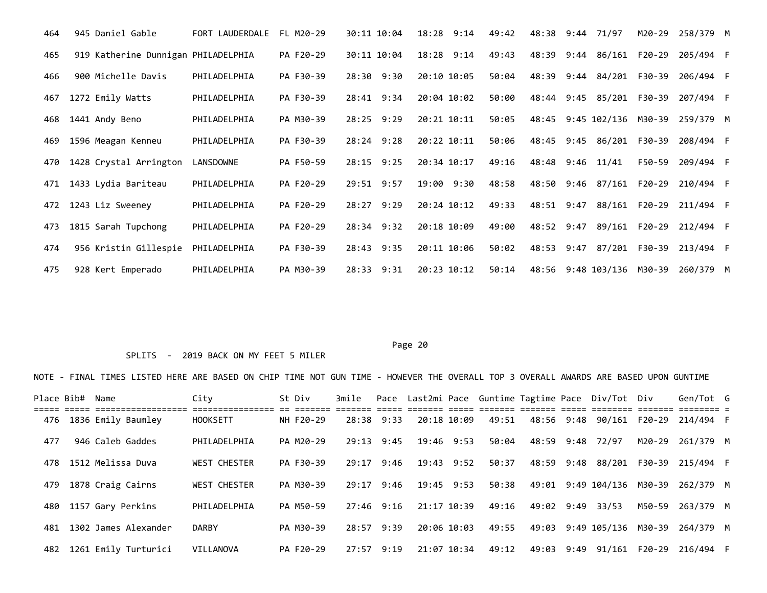| 464 | 945 Daniel Gable                    | FORT LAUDERDALE  | FL M20-29 | 30:11 10:04    | 18:28<br>9:14 | 49:42 | 48:38 | 71/97<br>9:44             | M20-29        | 258/379 M |  |
|-----|-------------------------------------|------------------|-----------|----------------|---------------|-------|-------|---------------------------|---------------|-----------|--|
| 465 | 919 Katherine Dunnigan PHILADELPHIA |                  | PA F20-29 | 30:11 10:04    | $18:28$ 9:14  | 49:43 | 48:39 | 9:44 86/161               | F20-29        | 205/494 F |  |
| 466 | 900 Michelle Davis                  | PHILADELPHIA     | PA F30-39 | 28:30 9:30     | 20:10 10:05   | 50:04 | 48:39 | 9:44 84/201               | F30-39        | 206/494 F |  |
| 467 | 1272 Emily Watts                    | PHILADELPHIA     | PA F30-39 | 28:41 9:34     | 20:04 10:02   | 50:00 |       | 48:44 9:45 85/201 F30-39  |               | 207/494 F |  |
| 468 | 1441 Andy Beno                      | PHILADELPHIA     | PA M30-39 | 28:25 9:29     | 20:21 10:11   | 50:05 | 48:45 | 9:45 102/136              | M30-39        | 259/379 M |  |
| 469 | 1596 Meagan Kenneu                  | PHILADELPHIA     | PA F30-39 | $28:24$ 9:28   | 20:22 10:11   | 50:06 | 48:45 | 86/201<br>9:45            | F30-39        | 208/494 F |  |
| 470 | 1428 Crystal Arrington              | <b>LANSDOWNE</b> | PA F50-59 | 28:15 9:25     | 20:34 10:17   | 49:16 | 48:48 | 9:46<br>11/41             | F50-59        | 209/494 F |  |
| 471 | 1433 Lydia Bariteau                 | PHILADELPHIA     | PA F20-29 | $29:51$ $9:57$ | 19:00 9:30    | 48:58 | 48:50 | 9:46 87/161 F20-29        |               | 210/494 F |  |
| 472 | 1243 Liz Sweeney                    | PHILADELPHIA     | PA F20-29 | $28:27$ 9:29   | 20:24 10:12   | 49:33 | 48:51 | 9:47                      | 88/161 F20-29 | 211/494 F |  |
| 473 | 1815 Sarah Tupchong                 | PHILADELPHIA     | PA F20-29 | $28:34$ 9:32   | 20:18 10:09   | 49:00 | 48:52 | 9:47                      | 89/161 F20-29 | 212/494 F |  |
| 474 | 956 Kristin Gillespie               | PHILADELPHIA     | PA F30-39 | 28:43 9:35     | 20:11 10:06   | 50:02 | 48:53 | 9:47<br>87/201            | F30-39        | 213/494 F |  |
| 475 | 928 Kert Emperado                   | PHILADELPHIA     | PA M30-39 | 28:33 9:31     | 20:23 10:12   | 50:14 |       | 48:56 9:48 103/136 M30-39 |               | 260/379 M |  |

## SPLITS - 2019 BACK ON MY FEET 5 MILER

| Place Bib# | Name                 | City                | St Div    | 3mile          |      | Pace Last2mi Pace Guntime Tagtime Pace Div/Tot Div |       |            |      |                           |        | Gen/Tot G                          |  |
|------------|----------------------|---------------------|-----------|----------------|------|----------------------------------------------------|-------|------------|------|---------------------------|--------|------------------------------------|--|
| 476        | 1836 Emily Baumley   | <b>HOOKSETT</b>     | NH F20-29 | $28:38$ 9:33   |      | 20:18 10:09                                        | 49:51 | 48:56 9:48 |      | 90/161 F20-29             |        | 214/494 F                          |  |
| 477        | 946 Caleb Gaddes     | PHILADELPHIA        | PA M20-29 | $29:13$ $9:45$ |      | 19:46 9:53                                         | 50:04 | 48:59 9:48 |      | 72/97                     | M20-29 | 261/379 M                          |  |
| 478        | 1512 Melissa Duva    | <b>WEST CHESTER</b> | PA F30-39 | 29:17 9:46     |      | 19:43 9:52                                         | 50:37 |            |      |                           |        | 48:59 9:48 88/201 F30-39 215/494 F |  |
| 479        | 1878 Craig Cairns    | <b>WEST CHESTER</b> | PA M30-39 | $29:17$ 9:46   |      | 19:45 9:53                                         | 50:38 |            |      | 49:01 9:49 104/136 M30-39 |        | 262/379 M                          |  |
| 480        | 1157 Gary Perkins    | PHILADELPHIA        | PA M50-59 | 27:46 9:16     |      | 21:17 10:39                                        | 49:16 | 49:02 9:49 |      | 33/53                     |        | M50-59 263/379 M                   |  |
| 481        | 1302 James Alexander | <b>DARBY</b>        | PA M30-39 | 28:57 9:39     |      | 20:06 10:03                                        | 49:55 |            |      | 49:03 9:49 105/136 M30-39 |        | 264/379 M                          |  |
| 482        | 1261 Emily Turturici | VILLANOVA           | PA F20-29 | 27:57          | 9:19 | 21:07 10:34                                        | 49:12 | 49:03      | 9:49 | 91/161                    |        | F20-29 216/494 F                   |  |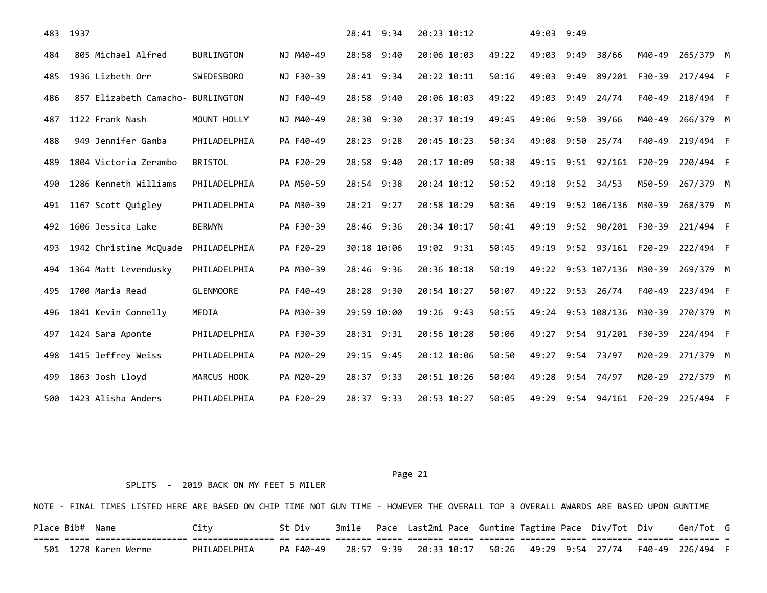| 483 | 1937                              |                   |           | 28:41 9:34  | 20:23 10:12 |       | 49:03 9:49 |      |                     |          |           |  |
|-----|-----------------------------------|-------------------|-----------|-------------|-------------|-------|------------|------|---------------------|----------|-----------|--|
| 484 | 805 Michael Alfred                | BURLINGTON        | NJ M40-49 | 28:58 9:40  | 20:06 10:03 | 49:22 | 49:03      | 9:49 | 38/66               | M40-49   | 265/379 M |  |
| 485 | 1936 Lizbeth Orr                  | <b>SWEDESBORO</b> | NJ F30-39 | 28:41 9:34  | 20:22 10:11 | 50:16 | 49:03      | 9:49 | 89/201 F30-39       |          | 217/494 F |  |
| 486 | 857 Elizabeth Camacho- BURLINGTON |                   | NJ F40-49 | 28:58 9:40  | 20:06 10:03 | 49:22 | 49:03      | 9:49 | 24/74               | F40-49   | 218/494 F |  |
| 487 | 1122 Frank Nash                   | MOUNT HOLLY       | NJ M40-49 | 28:30 9:30  | 20:37 10:19 | 49:45 | 49:06      | 9:50 | 39/66               | M40-49   | 266/379 M |  |
| 488 | 949 Jennifer Gamba                | PHILADELPHIA      | PA F40-49 | 28:23 9:28  | 20:45 10:23 | 50:34 | 49:08      | 9:50 | 25/74               | F40-49   | 219/494 F |  |
| 489 | 1804 Victoria Zerambo             | <b>BRISTOL</b>    | PA F20-29 | 28:58 9:40  | 20:17 10:09 | 50:38 | 49:15      | 9:51 | 92/161              | $F20-29$ | 220/494 F |  |
| 490 | 1286 Kenneth Williams             | PHILADELPHIA      | PA M50-59 | 28:54 9:38  | 20:24 10:12 | 50:52 | 49:18      |      | $9:52$ 34/53        | M50-59   | 267/379 M |  |
| 491 | 1167 Scott Quigley                | PHILADELPHIA      | PA M30-39 | 28:21 9:27  | 20:58 10:29 | 50:36 | 49:19      |      | 9:52 106/136 M30-39 |          | 268/379 M |  |
| 492 | 1606 Jessica Lake                 | <b>BERWYN</b>     | PA F30-39 | 28:46 9:36  | 20:34 10:17 | 50:41 | 49:19      |      | 9:52 90/201 F30-39  |          | 221/494 F |  |
| 493 | 1942 Christine McQuade            | PHILADELPHIA      | PA F20-29 | 30:18 10:06 | 19:02 9:31  | 50:45 | 49:19      |      | 9:52 93/161 F20-29  |          | 222/494 F |  |
| 494 | 1364 Matt Levendusky              | PHILADELPHIA      | PA M30-39 | 28:46 9:36  | 20:36 10:18 | 50:19 | 49:22      |      | 9:53 107/136 M30-39 |          | 269/379 M |  |
| 495 | 1700 Maria Read                   | <b>GLENMOORE</b>  | PA F40-49 | 28:28 9:30  | 20:54 10:27 | 50:07 | 49:22      |      | $9:53$ 26/74        | F40-49   | 223/494 F |  |
| 496 | 1841 Kevin Connelly               | MEDIA             | PA M30-39 | 29:59 10:00 | 19:26 9:43  | 50:55 | 49:24      |      | 9:53 108/136 M30-39 |          | 270/379 M |  |
| 497 | 1424 Sara Aponte                  | PHILADELPHIA      | PA F30-39 | 28:31 9:31  | 20:56 10:28 | 50:06 | 49:27      |      | 9:54 91/201 F30-39  |          | 224/494 F |  |
| 498 | 1415 Jeffrey Weiss                | PHILADELPHIA      | PA M20-29 | 29:15 9:45  | 20:12 10:06 | 50:50 | 49:27      |      | 9:54 73/97          | M20-29   | 271/379 M |  |
| 499 | 1863 Josh Lloyd                   | MARCUS HOOK       | PA M20-29 | 28:37 9:33  | 20:51 10:26 | 50:04 | 49:28      |      | 9:54 74/97          | M20-29   | 272/379 M |  |
| 500 | 1423 Alisha Anders                | PHILADELPHIA      | PA F20-29 | 28:37 9:33  | 20:53 10:27 | 50:05 | 49:29      |      | 9:54 94/161 F20-29  |          | 225/494 F |  |

### SPLITS - 2019 BACK ON MY FEET 5 MILER

NOTE - FINAL TIMES LISTED HERE ARE BASED ON CHIP TIME NOT GUN TIME - HOWEVER THE OVERALL TOP 3 OVERALL AWARDS ARE BASED UPON GUNTIME

Place Bib# Name  $City$  St Div 3mile Pace Last2mi Pace Guntime Tagtime Pace Div/Tot Div Gen/Tot G ===== ===== ================== ================ == ======= ======= ===== ======= ===== ======= ======= ===== ======== ======= ======== = PHILADELPHIA PA F40-49 28:57 9:39 20:33 10:17 50:26 49:29 9:54 27/74 F40-49 226/494 F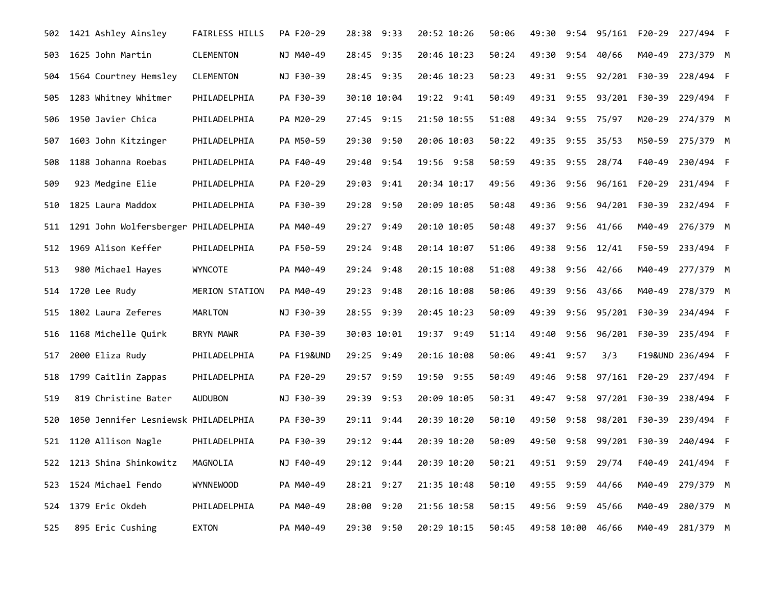| 502 | 1421 Ashley Ainsley                  | <b>FAIRLESS HILLS</b> | PA F20-29  | 28:38 9:33    | 20:52 10:26 | 50:06 | 49:30       |      | 9:54 95/161 F20-29       |               | 227/494 F               |  |
|-----|--------------------------------------|-----------------------|------------|---------------|-------------|-------|-------------|------|--------------------------|---------------|-------------------------|--|
| 503 | 1625 John Martin                     | <b>CLEMENTON</b>      | NJ M40-49  | 28:45 9:35    | 20:46 10:23 | 50:24 | 49:30       |      | $9:54$ 40/66             | M40-49        | 273/379 M               |  |
| 504 | 1564 Courtney Hemsley                | <b>CLEMENTON</b>      | NJ F30-39  | 28:45 9:35    | 20:46 10:23 | 50:23 |             |      | 49:31 9:55 92/201 F30-39 |               | 228/494 F               |  |
| 505 | 1283 Whitney Whitmer                 | PHILADELPHIA          | PA F30-39  | 30:10 10:04   | 19:22 9:41  | 50:49 | 49:31       | 9:55 | 93/201                   | F30-39        | 229/494 F               |  |
| 506 | 1950 Javier Chica                    | PHILADELPHIA          | PA M20-29  | 27:45 9:15    | 21:50 10:55 | 51:08 | 49:34       |      | 9:55 75/97               | M20-29        | 274/379 M               |  |
| 507 | 1603 John Kitzinger                  | PHILADELPHIA          | PA M50-59  | 29:30 9:50    | 20:06 10:03 | 50:22 | 49:35       | 9:55 | 35/53                    | M50-59        | 275/379 M               |  |
| 508 | 1188 Johanna Roebas                  | PHILADELPHIA          | PA F40-49  | 9:54<br>29:40 | 19:56 9:58  | 50:59 | 49:35       | 9:55 | 28/74                    | F40-49        | 230/494 F               |  |
| 509 | 923 Medgine Elie                     | PHILADELPHIA          | PA F20-29  | 29:03 9:41    | 20:34 10:17 | 49:56 | 49:36       |      | 9:56 96/161 F20-29       |               | 231/494 F               |  |
| 510 | 1825 Laura Maddox                    | PHILADELPHIA          | PA F30-39  | 29:28 9:50    | 20:09 10:05 | 50:48 | 49:36       | 9:56 | 94/201                   | F30-39        | 232/494 F               |  |
| 511 | 1291 John Wolfersberger PHILADELPHIA |                       | PA M40-49  | 29:27 9:49    | 20:10 10:05 | 50:48 | 49:37       |      | $9:56$ 41/66             | M40-49        | 276/379 M               |  |
| 512 | 1969 Alison Keffer                   | PHILADELPHIA          | PA F50-59  | 29:24<br>9:48 | 20:14 10:07 | 51:06 | 49:38       | 9:56 | 12/41                    | F50-59        | 233/494 F               |  |
| 513 | 980 Michael Hayes                    | <b>WYNCOTE</b>        | PA M40-49  | 29:24 9:48    | 20:15 10:08 | 51:08 | 49:38       | 9:56 | 42/66                    | M40-49        | 277/379 M               |  |
| 514 | 1720 Lee Rudy                        | MERION STATION        | PA M40-49  | 29:23 9:48    | 20:16 10:08 | 50:06 | 49:39       |      | $9:56$ 43/66             | M40-49        | 278/379 M               |  |
| 515 | 1802 Laura Zeferes                   | <b>MARLTON</b>        | NJ F30-39  | 28:55 9:39    | 20:45 10:23 | 50:09 | 49:39       | 9:56 | 95/201 F30-39            |               | 234/494 F               |  |
| 516 | 1168 Michelle Quirk                  | <b>BRYN MAWR</b>      | PA F30-39  | 30:03 10:01   | 19:37 9:49  | 51:14 | 49:40       | 9:56 |                          |               | 96/201 F30-39 235/494 F |  |
| 517 | 2000 Eliza Rudy                      | PHILADELPHIA          | PA F19&UND | 29:25 9:49    | 20:16 10:08 | 50:06 | 49:41       | 9:57 | 3/3                      |               | F19&UND 236/494 F       |  |
| 518 | 1799 Caitlin Zappas                  | PHILADELPHIA          | PA F20-29  | 29:57 9:59    | 19:50 9:55  | 50:49 | 49:46       | 9:58 |                          | 97/161 F20-29 | 237/494 F               |  |
| 519 | 819 Christine Bater                  | <b>AUDUBON</b>        | NJ F30-39  | 29:39 9:53    | 20:09 10:05 | 50:31 | 49:47       | 9:58 | 97/201 F30-39            |               | 238/494 F               |  |
| 520 | 1050 Jennifer Lesniewsk PHILADELPHIA |                       | PA F30-39  | 29:11 9:44    | 20:39 10:20 | 50:10 | 49:50       | 9:58 |                          | 98/201 F30-39 | 239/494 F               |  |
| 521 | 1120 Allison Nagle                   | PHILADELPHIA          | PA F30-39  | 29:12 9:44    | 20:39 10:20 | 50:09 | 49:50       |      | 9:58 99/201 F30-39       |               | 240/494 F               |  |
| 522 | 1213 Shina Shinkowitz                | MAGNOLIA              | NJ F40-49  | 29:12 9:44    | 20:39 10:20 | 50:21 | 49:51       | 9:59 | 29/74                    | F40-49        | 241/494 F               |  |
| 523 | 1524 Michael Fendo                   | <b>WYNNEWOOD</b>      | PA M40-49  | 28:21 9:27    | 21:35 10:48 | 50:10 | 49:55       | 9:59 | 44/66                    | M40-49        | 279/379 M               |  |
| 524 | 1379 Eric Okdeh                      | PHILADELPHIA          | PA M40-49  | 28:00<br>9:20 | 21:56 10:58 | 50:15 | 49:56       | 9:59 | 45/66                    | M40-49        | 280/379 M               |  |
| 525 | 895 Eric Cushing                     | <b>EXTON</b>          | PA M40-49  | 29:30<br>9:50 | 20:29 10:15 | 50:45 | 49:58 10:00 |      | 46/66                    | M40-49        | 281/379 M               |  |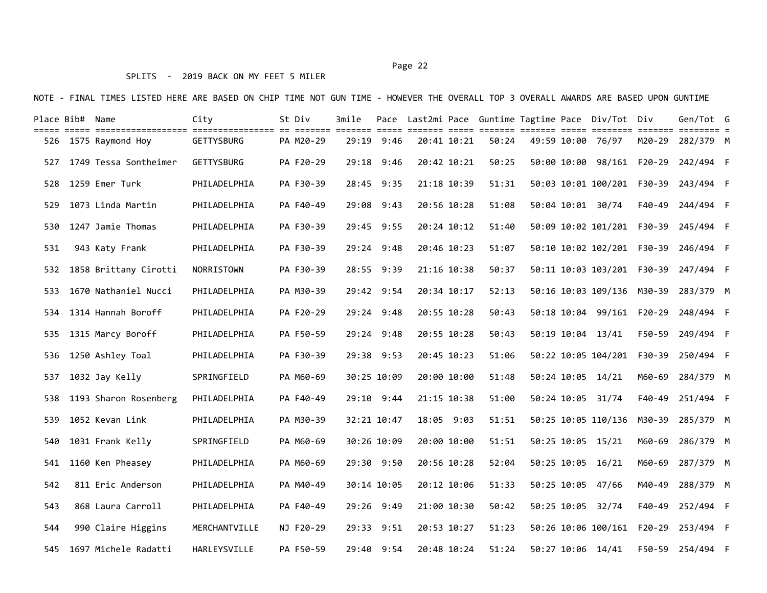## SPLITS - 2019 BACK ON MY FEET 5 MILER

|     | Place Bib# Name |                          | City              | St Div    | 3mile |                |             |       |  | Pace Last2mi Pace Guntime Tagtime Pace Div/Tot Div |        | Gen/Tot G        |  |
|-----|-----------------|--------------------------|-------------------|-----------|-------|----------------|-------------|-------|--|----------------------------------------------------|--------|------------------|--|
|     |                 | 526 1575 Raymond Hoy     | <b>GETTYSBURG</b> | PA M20-29 |       | $29:19$ $9:46$ | 20:41 10:21 | 50:24 |  | 49:59 10:00 76/97                                  | M20-29 | 282/379 M        |  |
| 527 |                 | 1749 Tessa Sontheimer    | <b>GETTYSBURG</b> | PA F20-29 |       | 29:18 9:46     | 20:42 10:21 | 50:25 |  | 50:00 10:00 98/161 F20-29                          |        | 242/494 F        |  |
| 528 |                 | 1259 Emer Turk           | PHILADELPHIA      | PA F30-39 |       | 28:45 9:35     | 21:18 10:39 | 51:31 |  | 50:03 10:01 100/201 F30-39                         |        | 243/494 F        |  |
| 529 |                 | 1073 Linda Martin        | PHILADELPHIA      | PA F40-49 |       | 29:08 9:43     | 20:56 10:28 | 51:08 |  | 50:04 10:01 30/74                                  |        | F40-49 244/494 F |  |
| 530 |                 | 1247 Jamie Thomas        | PHILADELPHIA      | PA F30-39 |       | 29:45 9:55     | 20:24 10:12 | 51:40 |  | 50:09 10:02 101/201 F30-39                         |        | 245/494 F        |  |
| 531 |                 | 943 Katy Frank           | PHILADELPHIA      | PA F30-39 |       | 29:24 9:48     | 20:46 10:23 | 51:07 |  | 50:10 10:02 102/201 F30-39                         |        | 246/494 F        |  |
| 532 |                 | 1858 Brittany Cirotti    | NORRISTOWN        | PA F30-39 |       | 28:55 9:39     | 21:16 10:38 | 50:37 |  | 50:11 10:03 103/201 F30-39                         |        | 247/494 F        |  |
| 533 |                 | 1670 Nathaniel Nucci     | PHILADELPHIA      | PA M30-39 |       | 29:42 9:54     | 20:34 10:17 | 52:13 |  | 50:16 10:03 109/136 M30-39                         |        | 283/379 M        |  |
| 534 |                 | 1314 Hannah Boroff       | PHILADELPHIA      | PA F20-29 |       | 29:24 9:48     | 20:55 10:28 | 50:43 |  | 50:18 10:04 99/161 F20-29                          |        | 248/494 F        |  |
| 535 |                 | 1315 Marcy Boroff        | PHILADELPHIA      | PA F50-59 |       | 29:24 9:48     | 20:55 10:28 | 50:43 |  | 50:19 10:04 13/41                                  | F50-59 | 249/494 F        |  |
| 536 |                 | 1250 Ashley Toal         | PHILADELPHIA      | PA F30-39 |       | 29:38 9:53     | 20:45 10:23 | 51:06 |  | 50:22 10:05 104/201 F30-39                         |        | 250/494 F        |  |
| 537 |                 | 1032 Jay Kelly           | SPRINGFIELD       | PA M60-69 |       | 30:25 10:09    | 20:00 10:00 | 51:48 |  | 50:24 10:05 14/21                                  | M60-69 | 284/379 M        |  |
| 538 |                 | 1193 Sharon Rosenberg    | PHILADELPHIA      | PA F40-49 |       | 29:10 9:44     | 21:15 10:38 | 51:00 |  | 50:24 10:05 31/74                                  | F40-49 | 251/494 F        |  |
| 539 |                 | 1052 Kevan Link          | PHILADELPHIA      | PA M30-39 |       | 32:21 10:47    | 18:05 9:03  | 51:51 |  | 50:25 10:05 110/136 M30-39                         |        | 285/379 M        |  |
| 540 |                 | 1031 Frank Kelly         | SPRINGFIELD       | PA M60-69 |       | 30:26 10:09    | 20:00 10:00 | 51:51 |  | 50:25 10:05 15/21                                  | M60-69 | 286/379 M        |  |
| 541 |                 | 1160 Ken Pheasey         | PHILADELPHIA      | PA M60-69 |       | 29:30 9:50     | 20:56 10:28 | 52:04 |  | 50:25 10:05 16/21                                  | M60-69 | 287/379 M        |  |
| 542 |                 | 811 Eric Anderson        | PHILADELPHIA      | PA M40-49 |       | 30:14 10:05    | 20:12 10:06 | 51:33 |  | 50:25 10:05 47/66                                  | M40-49 | 288/379 M        |  |
| 543 |                 | 868 Laura Carroll        | PHILADELPHIA      | PA F40-49 |       | 29:26 9:49     | 21:00 10:30 | 50:42 |  | 50:25 10:05 32/74                                  | F40-49 | 252/494 F        |  |
| 544 |                 | 990 Claire Higgins       | MERCHANTVILLE     | NJ F20-29 |       | 29:33 9:51     | 20:53 10:27 | 51:23 |  | 50:26 10:06 100/161 F20-29                         |        | 253/494 F        |  |
|     |                 | 545 1697 Michele Radatti | HARLEYSVILLE      | PA F50-59 |       | 29:40 9:54     | 20:48 10:24 | 51:24 |  | 50:27 10:06 14/41                                  |        | F50-59 254/494 F |  |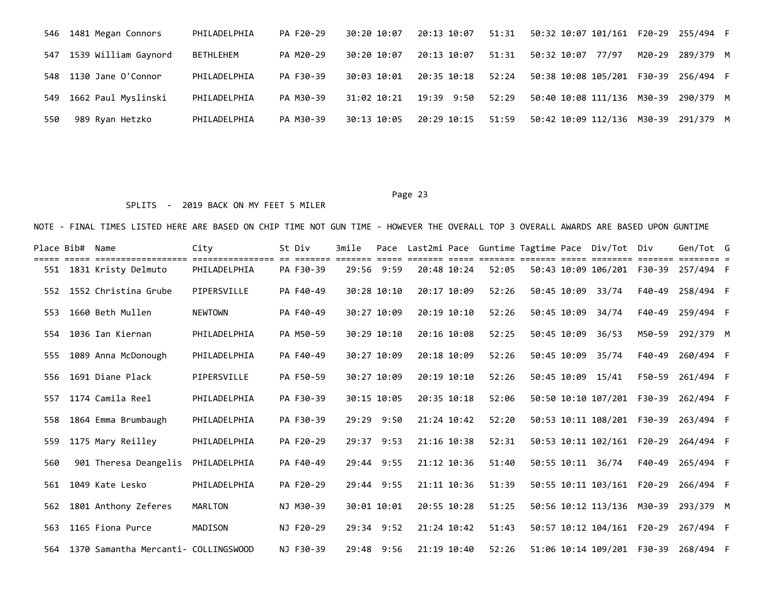| 546 | 1481 Megan Connors       | PHILADELPHIA | PA F20-29 | 30:20 10:07 | 20:13 10:07 | 51:31 |                                               |        |           |  |
|-----|--------------------------|--------------|-----------|-------------|-------------|-------|-----------------------------------------------|--------|-----------|--|
|     | 547 1539 William Gaynord | BETHLEHEM    | PA M20-29 | 30:20 10:07 | 20:13 10:07 | 51:31 | 50:32 10:07<br>77/97                          | M20-29 | 289/379 M |  |
|     | 548 1130 Jane O'Connor   | PHILADELPHIA | PA F30-39 | 30:03 10:01 | 20:35 10:18 | 52:24 | 50:38 10:08 105/201    F30-39    256/494    F |        |           |  |
| 549 | 1662 Paul Myslinski      | PHILADELPHIA | PA M30-39 | 31:02 10:21 | 19:39 9:50  | 52:29 | 50:40 10:08 111/136 M30-39                    |        | 290/379 M |  |
| 550 | 989 Ryan Hetzko          | PHILADELPHIA | PA M30-39 | 30:13 10:05 | 20:29 10:15 | 51:59 | 50:42 10:09 112/136 M30-39                    |        | 291/379 M |  |

### SPLITS - 2019 BACK ON MY FEET 5 MILER

| Place Bib# | Name                                 | City           | St Div    | 3mile | Pace        |                 |       |             | Last2mi Pace Guntime Tagtime Pace Div/Tot Div |        | Gen/Tot G |  |
|------------|--------------------------------------|----------------|-----------|-------|-------------|-----------------|-------|-------------|-----------------------------------------------|--------|-----------|--|
| 551        | 1831 Kristy Delmuto                  | PHILADELPHIA   | PA F30-39 |       | 29:56 9:59  | 20:48 10:24     | 52:05 |             | 50:43 10:09 106/201 F30-39                    |        | 257/494 F |  |
| 552        | 1552 Christina Grube                 | PIPERSVILLE    | PA F40-49 |       | 30:28 10:10 | 20:17 10:09     | 52:26 | 50:45 10:09 | 33/74                                         | F40-49 | 258/494 F |  |
| 553        | 1660 Beth Mullen                     | <b>NEWTOWN</b> | PA F40-49 |       | 30:27 10:09 | $20:19$ $10:10$ | 52:26 | 50:45 10:09 | 34/74                                         | F40-49 | 259/494 F |  |
| 554        | 1036 Ian Kiernan                     | PHILADELPHIA   | PA M50-59 |       | 30:29 10:10 | 20:16 10:08     | 52:25 | 50:45 10:09 | 36/53                                         | M50-59 | 292/379 M |  |
| 555        | 1089 Anna McDonough                  | PHILADELPHIA   | PA F40-49 |       | 30:27 10:09 | 20:18 10:09     | 52:26 | 50:45 10:09 | 35/74                                         | F40-49 | 260/494 F |  |
| 556        | 1691 Diane Plack                     | PIPERSVILLE    | PA F50-59 |       | 30:27 10:09 | 20:19 10:10     | 52:26 |             | 50:45 10:09 15/41                             | F50-59 | 261/494 F |  |
| 557        | 1174 Camila Reel                     | PHILADELPHIA   | PA F30-39 |       | 30:15 10:05 | 20:35 10:18     | 52:06 |             | 50:50 10:10 107/201 F30-39                    |        | 262/494 F |  |
| 558        | 1864 Emma Brumbaugh                  | PHILADELPHIA   | PA F30-39 |       | 29:29 9:50  | 21:24 10:42     | 52:20 |             | 50:53 10:11 108/201 F30-39                    |        | 263/494 F |  |
| 559        | 1175 Mary Reilley                    | PHILADELPHIA   | PA F20-29 |       | 29:37 9:53  | 21:16 10:38     | 52:31 |             | 50:53 10:11 102/161 F20-29                    |        | 264/494 F |  |
| 560        | 901 Theresa Deangelis                | PHILADELPHIA   | PA F40-49 |       | 29:44 9:55  | 21:12 10:36     | 51:40 | 50:55 10:11 | 36/74                                         | F40-49 | 265/494 F |  |
| 561        | 1049 Kate Lesko                      | PHILADELPHIA   | PA F20-29 |       | 29:44 9:55  | 21:11 10:36     | 51:39 |             | 50:55 10:11 103/161 F20-29                    |        | 266/494 F |  |
| 562        | 1801 Anthony Zeferes                 | MARLTON        | NJ M30-39 |       | 30:01 10:01 | 20:55 10:28     | 51:25 |             | 50:56 10:12 113/136 M30-39                    |        | 293/379 M |  |
| 563        | 1165 Fiona Purce                     | MADISON        | NJ F20-29 |       | 29:34 9:52  | 21:24 10:42     | 51:43 |             | 50:57 10:12 104/161 F20-29                    |        | 267/494 F |  |
| 564        | 1370 Samantha Mercanti- COLLINGSWOOD |                | NJ F30-39 |       | 29:48 9:56  | 21:19 10:40     | 52:26 |             | 51:06 10:14 109/201 F30-39                    |        | 268/494 F |  |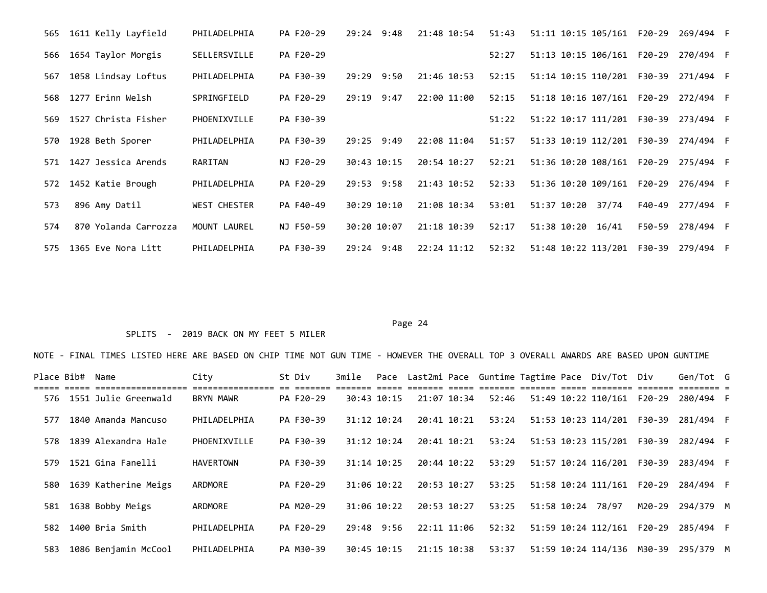| 1611 Kelly Layfield<br>565  | PHILADELPHIA        | PA F20-29 | 9:48<br>29:24  | 21:48 10:54 | 51:43 | 51:11 10:15 105/161 F20-29 |        | 269/494 F |  |
|-----------------------------|---------------------|-----------|----------------|-------------|-------|----------------------------|--------|-----------|--|
| 1654 Taylor Morgis<br>566   | SELLERSVILLE        | PA F20-29 |                |             | 52:27 | 51:13 10:15 106/161 F20-29 |        | 270/494 F |  |
| 1058 Lindsay Loftus<br>567  | PHILADELPHIA        | PA F30-39 | 29:29 9:50     | 21:46 10:53 | 52:15 | 51:14 10:15 110/201 F30-39 |        | 271/494 F |  |
| 1277 Erinn Welsh<br>568     | SPRINGFIELD         | PA F20-29 | 29:19 9:47     | 22:00 11:00 | 52:15 | 51:18 10:16 107/161 F20-29 |        | 272/494 F |  |
| 1527 Christa Fisher<br>569  | PHOENIXVILLE        | PA F30-39 |                |             | 51:22 | 51:22 10:17 111/201 F30-39 |        | 273/494 F |  |
| 1928 Beth Sporer<br>570     | PHILADELPHIA        | PA F30-39 | $29:25$ $9:49$ | 22:08 11:04 | 51:57 | 51:33 10:19 112/201 F30-39 |        | 274/494 F |  |
| 1427 Jessica Arends<br>571  | RARITAN             | NJ F20-29 | 30:43 10:15    | 20:54 10:27 | 52:21 | 51:36 10:20 108/161 F20-29 |        | 275/494 F |  |
| 1452 Katie Brough<br>572    | PHILADELPHIA        | PA F20-29 | 29:53 9:58     | 21:43 10:52 | 52:33 | 51:36 10:20 109/161 F20-29 |        | 276/494 F |  |
| 896 Amy Datil<br>573        | <b>WEST CHESTER</b> | PA F40-49 | 30:29 10:10    | 21:08 10:34 | 53:01 | 51:37 10:20<br>37/74       | F40-49 | 277/494 F |  |
| 870 Yolanda Carrozza<br>574 | MOUNT LAUREL        | NJ F50-59 | 30:20 10:07    | 21:18 10:39 | 52:17 | 51:38 10:20<br>16/41       | F50-59 | 278/494 F |  |
| 1365 Eve Nora Litt<br>575   | PHILADELPHIA        | PA F30-39 | 9:48<br>29:24  | 22:24 11:12 | 52:32 | 51:48 10:22 113/201        | F30-39 | 279/494 F |  |

## SPLITS - 2019 BACK ON MY FEET 5 MILER

| Place Bib# | Name                     | City             | St Div    | 3mile      |                 |             |       |             | Pace Last2mi Pace Guntime Tagtime Pace Div/Tot Div |        | Gen/Tot G |  |
|------------|--------------------------|------------------|-----------|------------|-----------------|-------------|-------|-------------|----------------------------------------------------|--------|-----------|--|
|            | 576 1551 Julie Greenwald | BRYN MAWR        | PA F20-29 |            | 30:43 10:15     | 21:07 10:34 | 52:46 |             | 51:49 10:22 110/161                                | F20-29 | 280/494 F |  |
| 577        | 1840 Amanda Mancuso      | PHILADELPHIA     | PA F30-39 |            | 31:12 10:24     | 20:41 10:21 | 53:24 |             | 51:53 10:23 114/201 F30-39                         |        | 281/494 F |  |
| 578        | 1839 Alexandra Hale      | PHOENIXVILLE     | PA F30-39 |            | 31:12 10:24     | 20:41 10:21 | 53:24 |             | 51:53 10:23 115/201 F30-39                         |        | 282/494 F |  |
| 579        | 1521 Gina Fanelli        | <b>HAVERTOWN</b> | PA F30-39 |            | $31:14$ $10:25$ | 20:44 10:22 | 53:29 |             | 51:57 10:24 116/201 F30-39                         |        | 283/494 F |  |
| 580        | 1639 Katherine Meigs     | ARDMORE          | PA F20-29 |            | 31:06 10:22     | 20:53 10:27 | 53:25 |             | 51:58 10:24 111/161 F20-29                         |        | 284/494 F |  |
| 581        | 1638 Bobby Meigs         | ARDMORE          | PA M20-29 |            | 31:06 10:22     | 20:53 10:27 | 53:25 | 51:58 10:24 | 78/97                                              | M20-29 | 294/379 M |  |
| 582        | 1400 Bria Smith          | PHILADELPHIA     | PA F20-29 | 29:48 9:56 |                 | 22:11 11:06 | 52:32 |             | 51:59 10:24 112/161 F20-29                         |        | 285/494 F |  |
| 583        | 1086 Benjamin McCool     | PHILADELPHIA     | PA M30-39 |            | 30:45 10:15     | 21:15 10:38 | 53:37 |             | 51:59 10:24 114/136                                | M30-39 | 295/379 M |  |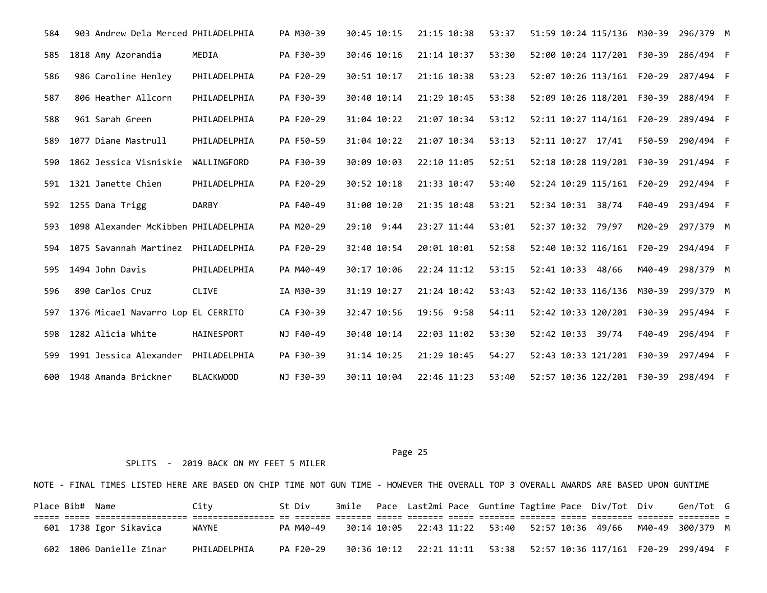| 584 | 903 Andrew Dela Merced PHILADELPHIA  |                  | PA M30-39 | 30:45 10:15    | 21:15 10:38 | 53:37 | 51:59 10:24 115/136 M30-39                    |        | 296/379 M |  |
|-----|--------------------------------------|------------------|-----------|----------------|-------------|-------|-----------------------------------------------|--------|-----------|--|
| 585 | 1818 Amy Azorandia                   | MEDIA            | PA F30-39 | 30:46 10:16    | 21:14 10:37 | 53:30 | 52:00 10:24 117/201 F30-39                    |        | 286/494 F |  |
| 586 | 986 Caroline Henley                  | PHILADELPHIA     | PA F20-29 | 30:51 10:17    | 21:16 10:38 | 53:23 | 52:07 10:26 113/161 F20-29                    |        | 287/494 F |  |
| 587 | 806 Heather Allcorn                  | PHILADELPHIA     | PA F30-39 | 30:40 10:14    | 21:29 10:45 | 53:38 | 52:09 10:26 118/201 F30-39                    |        | 288/494 F |  |
| 588 | 961 Sarah Green                      | PHILADELPHIA     | PA F20-29 | 31:04 10:22    | 21:07 10:34 | 53:12 | 52:11 10:27 114/161 F20-29                    |        | 289/494 F |  |
| 589 | 1077 Diane Mastrull                  | PHILADELPHIA     | PA F50-59 | 31:04 10:22    | 21:07 10:34 | 53:13 | 52:11 10:27 17/41                             | F50-59 | 290/494 F |  |
| 590 | 1862 Jessica Visniskie               | WALLINGFORD      | PA F30-39 | 30:09 10:03    | 22:10 11:05 | 52:51 | 52:18 10:28 119/201 F30-39                    |        | 291/494 F |  |
| 591 | 1321 Janette Chien                   | PHILADELPHIA     | PA F20-29 | 30:52 10:18    | 21:33 10:47 | 53:40 | 52:24 10:29 115/161 F20-29                    |        | 292/494 F |  |
| 592 | 1255 Dana Trigg                      | <b>DARBY</b>     | PA F40-49 | 31:00 10:20    | 21:35 10:48 | 53:21 | 52:34 10:31 38/74                             | F40-49 | 293/494 F |  |
| 593 | 1098 Alexander McKibben PHILADELPHIA |                  | PA M20-29 | $29:10$ $9:44$ | 23:27 11:44 | 53:01 | 52:37 10:32 79/97                             | M20-29 | 297/379 M |  |
| 594 | 1075 Savannah Martinez               | PHILADELPHIA     | PA F20-29 | 32:40 10:54    | 20:01 10:01 | 52:58 | 52:40 10:32 116/161 F20-29                    |        | 294/494 F |  |
| 595 | 1494 John Davis                      | PHILADELPHIA     | PA M40-49 | 30:17 10:06    | 22:24 11:12 | 53:15 | 52:41 10:33 48/66                             | M40-49 | 298/379 M |  |
| 596 | 890 Carlos Cruz                      | CLIVE            | IA M30-39 | 31:19 10:27    | 21:24 10:42 | 53:43 | 52:42 10:33 116/136 M30-39                    |        | 299/379 M |  |
| 597 | 1376 Micael Navarro Lop EL CERRITO   |                  | CA F30-39 | 32:47 10:56    | 19:56 9:58  | 54:11 | 52:42 10:33 120/201 F30-39                    |        | 295/494 F |  |
| 598 | 1282 Alicia White                    | HAINESPORT       | NJ F40-49 | 30:40 10:14    | 22:03 11:02 | 53:30 | 52:42 10:33 39/74                             | F40-49 | 296/494 F |  |
| 599 | 1991 Jessica Alexander               | PHILADELPHIA     | PA F30-39 | 31:14 10:25    | 21:29 10:45 | 54:27 | 52:43 10:33 121/201 F30-39                    |        | 297/494 F |  |
| 600 | 1948 Amanda Brickner                 | <b>BLACKWOOD</b> | NJ F30-39 | 30:11 10:04    | 22:46 11:23 | 53:40 | 52:57 10:36 122/201    F30-39    298/494    F |        |           |  |

Page 25 and the state of the state of the state of the state of the state of the state of the state of the state of the state of the state of the state of the state of the state of the state of the state of the state of th

SPLITS - 2019 BACK ON MY FEET 5 MILER

NOTE - FINAL TIMES LISTED HERE ARE BASED ON CHIP TIME NOT GUN TIME - HOWEVER THE OVERALL TOP 3 OVERALL AWARDS ARE BASED UPON GUNTIME Place Bib# Name  $City$  St Div 3mile Pace Last2mi Pace Guntime Tagtime Pace Div/Tot Div Gen/Tot G ===== ===== ================== ================ == ======= ======= ===== ======= ===== ======= ======= ===== ======== ======= ======== = 601 1738 Igor Sikavica WAYNE PA M40-49 30:14 10:05 22:43 11:22 53:40 52:57 10:36 49/66 M40-49 300/379 M

602 1806 Danielle Zinar PHILADELPHIA PA F20-29 30:36 10:12 22:21 11:11 53:38 52:57 10:36 117/161 F20-29 299/494 F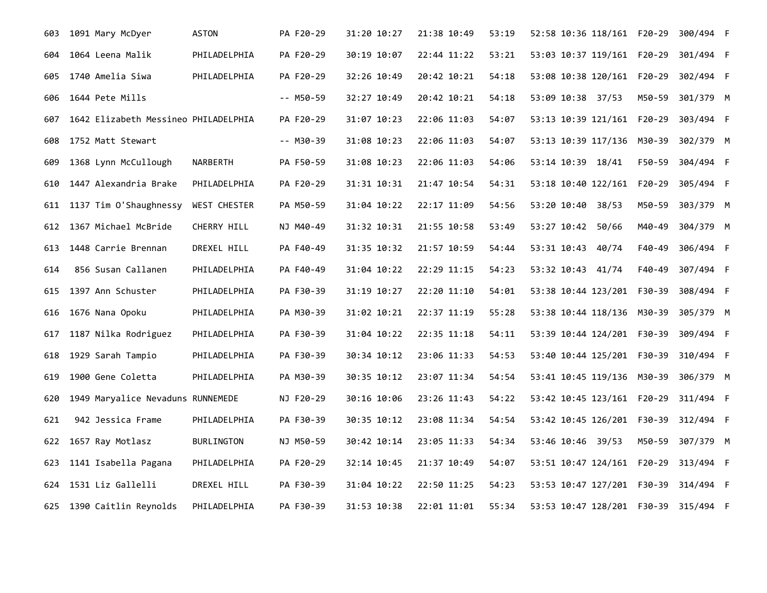| 603 | 1091 Mary McDyer                     | <b>ASTON</b>      | PA F20-29   | 31:20 10:27 | 21:38 10:49 | 53:19 | 52:58 10:36 118/161 F20-29 |        | 300/494 F |  |
|-----|--------------------------------------|-------------------|-------------|-------------|-------------|-------|----------------------------|--------|-----------|--|
| 604 | 1064 Leena Malik                     | PHILADELPHIA      | PA F20-29   | 30:19 10:07 | 22:44 11:22 | 53:21 | 53:03 10:37 119/161 F20-29 |        | 301/494 F |  |
| 605 | 1740 Amelia Siwa                     | PHILADELPHIA      | PA F20-29   | 32:26 10:49 | 20:42 10:21 | 54:18 | 53:08 10:38 120/161 F20-29 |        | 302/494 F |  |
| 606 | 1644 Pete Mills                      |                   | $-- M50-59$ | 32:27 10:49 | 20:42 10:21 | 54:18 | 53:09 10:38 37/53          | M50-59 | 301/379 M |  |
| 607 | 1642 Elizabeth Messineo PHILADELPHIA |                   | PA F20-29   | 31:07 10:23 | 22:06 11:03 | 54:07 | 53:13 10:39 121/161 F20-29 |        | 303/494 F |  |
| 608 | 1752 Matt Stewart                    |                   | $-- M30-39$ | 31:08 10:23 | 22:06 11:03 | 54:07 | 53:13 10:39 117/136 M30-39 |        | 302/379 M |  |
| 609 | 1368 Lynn McCullough                 | NARBERTH          | PA F50-59   | 31:08 10:23 | 22:06 11:03 | 54:06 | 53:14 10:39 18/41          | F50-59 | 304/494 F |  |
| 610 | 1447 Alexandria Brake                | PHILADELPHIA      | PA F20-29   | 31:31 10:31 | 21:47 10:54 | 54:31 | 53:18 10:40 122/161 F20-29 |        | 305/494 F |  |
| 611 | 1137 Tim O'Shaughnessy               | WEST CHESTER      | PA M50-59   | 31:04 10:22 | 22:17 11:09 | 54:56 | 53:20 10:40 38/53          | M50-59 | 303/379 M |  |
|     | 612 1367 Michael McBride             | CHERRY HILL       | NJ M40-49   | 31:32 10:31 | 21:55 10:58 | 53:49 | 53:27 10:42 50/66          | M40-49 | 304/379 M |  |
| 613 | 1448 Carrie Brennan                  | DREXEL HILL       | PA F40-49   | 31:35 10:32 | 21:57 10:59 | 54:44 | 53:31 10:43 40/74          | F40-49 | 306/494 F |  |
| 614 | 856 Susan Callanen                   | PHILADELPHIA      | PA F40-49   | 31:04 10:22 | 22:29 11:15 | 54:23 | 53:32 10:43 41/74          | F40-49 | 307/494 F |  |
| 615 | 1397 Ann Schuster                    | PHILADELPHIA      | PA F30-39   | 31:19 10:27 | 22:20 11:10 | 54:01 | 53:38 10:44 123/201 F30-39 |        | 308/494 F |  |
| 616 | 1676 Nana Opoku                      | PHILADELPHIA      | PA M30-39   | 31:02 10:21 | 22:37 11:19 | 55:28 | 53:38 10:44 118/136 M30-39 |        | 305/379 M |  |
| 617 | 1187 Nilka Rodriguez                 | PHILADELPHIA      | PA F30-39   | 31:04 10:22 | 22:35 11:18 | 54:11 | 53:39 10:44 124/201 F30-39 |        | 309/494 F |  |
| 618 | 1929 Sarah Tampio                    | PHILADELPHIA      | PA F30-39   | 30:34 10:12 | 23:06 11:33 | 54:53 | 53:40 10:44 125/201 F30-39 |        | 310/494 F |  |
| 619 | 1900 Gene Coletta                    | PHILADELPHIA      | PA M30-39   | 30:35 10:12 | 23:07 11:34 | 54:54 | 53:41 10:45 119/136 M30-39 |        | 306/379 M |  |
| 620 | 1949 Maryalice Nevaduns RUNNEMEDE    |                   | NJ F20-29   | 30:16 10:06 | 23:26 11:43 | 54:22 |                            |        |           |  |
| 621 | 942 Jessica Frame                    | PHILADELPHIA      | PA F30-39   | 30:35 10:12 | 23:08 11:34 | 54:54 | 53:42 10:45 126/201 F30-39 |        | 312/494 F |  |
| 622 | 1657 Ray Motlasz                     | <b>BURLINGTON</b> | NJ M50-59   | 30:42 10:14 | 23:05 11:33 | 54:34 | 53:46 10:46 39/53          | M50-59 | 307/379 M |  |
| 623 | 1141 Isabella Pagana                 | PHILADELPHIA      | PA F20-29   | 32:14 10:45 | 21:37 10:49 | 54:07 |                            |        |           |  |
| 624 | 1531 Liz Gallelli                    | DREXEL HILL       | PA F30-39   | 31:04 10:22 | 22:50 11:25 | 54:23 | 53:53 10:47 127/201 F30-39 |        | 314/494 F |  |
|     | 625 1390 Caitlin Reynolds            | PHILADELPHIA      | PA F30-39   | 31:53 10:38 | 22:01 11:01 | 55:34 |                            |        |           |  |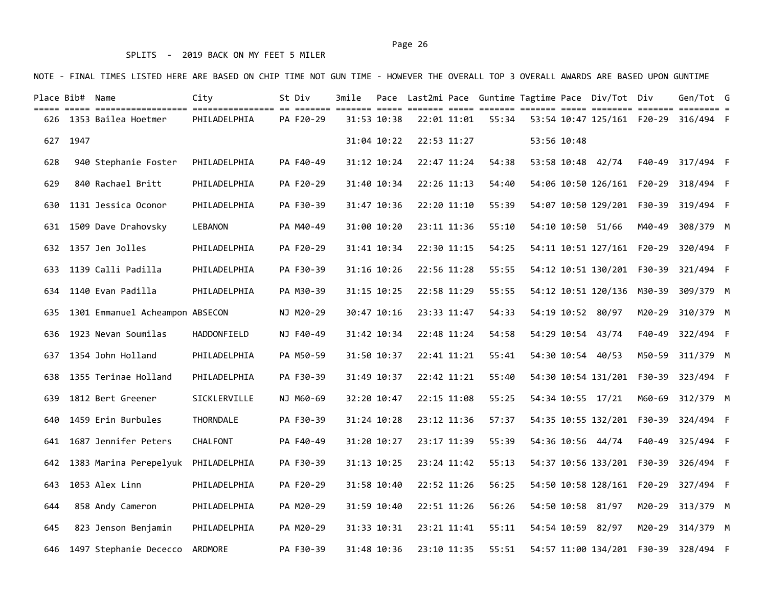## SPLITS - 2019 BACK ON MY FEET 5 MILER

NOTE - FINAL TIMES LISTED HERE ARE BASED ON CHIP TIME NOT GUN TIME - HOWEVER THE OVERALL TOP 3 OVERALL AWARDS ARE BASED UPON GUNTIME

|     | Place Bib# Name |                                    | City             | St Div    | 3mile |             |             |       |             | Pace Last2mi Pace Guntime Tagtime Pace Div/Tot Div |        | Gen/Tot G                                  |  |
|-----|-----------------|------------------------------------|------------------|-----------|-------|-------------|-------------|-------|-------------|----------------------------------------------------|--------|--------------------------------------------|--|
|     |                 | 626 1353 Bailea Hoetmer            | PHILADELPHIA     | PA F20-29 |       | 31:53 10:38 | 22:01 11:01 | 55:34 |             |                                                    |        |                                            |  |
| 627 | 1947            |                                    |                  |           |       | 31:04 10:22 | 22:53 11:27 |       | 53:56 10:48 |                                                    |        |                                            |  |
| 628 |                 | 940 Stephanie Foster               | PHILADELPHIA     | PA F40-49 |       | 31:12 10:24 | 22:47 11:24 | 54:38 |             | 53:58 10:48 42/74                                  |        | F40-49 317/494 F                           |  |
| 629 |                 | 840 Rachael Britt                  | PHILADELPHIA     | PA F20-29 |       | 31:40 10:34 | 22:26 11:13 | 54:40 |             |                                                    |        | 54:06 10:50 126/161  F20-29 318/494  F     |  |
| 630 |                 | 1131 Jessica Oconor                | PHILADELPHIA     | PA F30-39 |       | 31:47 10:36 | 22:20 11:10 | 55:39 |             | 54:07 10:50 129/201 F30-39                         |        | 319/494 F                                  |  |
| 631 |                 | 1509 Dave Drahovsky                | LEBANON          | PA M40-49 |       | 31:00 10:20 | 23:11 11:36 | 55:10 |             | 54:10 10:50 51/66                                  |        | M40-49 308/379 M                           |  |
|     |                 | 632 1357 Jen Jolles                | PHILADELPHIA     | PA F20-29 |       | 31:41 10:34 | 22:30 11:15 | 54:25 |             |                                                    |        | 54:11 10:51 127/161  F20-29  320/494  F    |  |
| 633 |                 | 1139 Calli Padilla                 | PHILADELPHIA     | PA F30-39 |       | 31:16 10:26 | 22:56 11:28 | 55:55 |             | 54:12 10:51 130/201 F30-39                         |        | 321/494 F                                  |  |
| 634 |                 | 1140 Evan Padilla                  | PHILADELPHIA     | PA M30-39 |       | 31:15 10:25 | 22:58 11:29 | 55:55 |             | 54:12 10:51 120/136 M30-39                         |        | 309/379 M                                  |  |
| 635 |                 | 1301 Emmanuel Acheampon ABSECON    |                  | NJ M20-29 |       | 30:47 10:16 | 23:33 11:47 | 54:33 |             | 54:19 10:52 80/97                                  |        | M20-29 310/379 M                           |  |
| 636 |                 | 1923 Nevan Soumilas                | HADDONFIELD      | NJ F40-49 |       | 31:42 10:34 | 22:48 11:24 | 54:58 |             | 54:29 10:54 43/74                                  | F40-49 | 322/494 F                                  |  |
| 637 |                 | 1354 John Holland                  | PHILADELPHIA     | PA M50-59 |       | 31:50 10:37 | 22:41 11:21 | 55:41 |             | 54:30 10:54 40/53                                  | M50-59 | 311/379 M                                  |  |
| 638 |                 | 1355 Terinae Holland               | PHILADELPHIA     | PA F30-39 |       | 31:49 10:37 | 22:42 11:21 | 55:40 |             |                                                    |        |                                            |  |
| 639 |                 | 1812 Bert Greener                  | SICKLERVILLE     | NJ M60-69 |       | 32:20 10:47 | 22:15 11:08 | 55:25 |             | 54:34 10:55 17/21                                  |        | M60-69 312/379 M                           |  |
| 640 |                 | 1459 Erin Burbules                 | <b>THORNDALE</b> | PA F30-39 |       | 31:24 10:28 | 23:12 11:36 | 57:37 |             |                                                    |        | 54:35 10:55 132/201    F30-39 324/494    F |  |
| 641 |                 | 1687 Jennifer Peters               | CHALFONT         | PA F40-49 |       | 31:20 10:27 | 23:17 11:39 | 55:39 |             | 54:36 10:56 44/74                                  | F40-49 | 325/494 F                                  |  |
| 642 |                 | 1383 Marina Perepelyuk             | PHILADELPHIA     | PA F30-39 |       | 31:13 10:25 | 23:24 11:42 | 55:13 |             |                                                    |        |                                            |  |
| 643 |                 | 1053 Alex Linn                     | PHILADELPHIA     | PA F20-29 |       | 31:58 10:40 | 22:52 11:26 | 56:25 |             |                                                    |        | 54:50 10:58 128/161  F20-29  327/494  F    |  |
| 644 |                 | 858 Andy Cameron                   | PHILADELPHIA     | PA M20-29 |       | 31:59 10:40 | 22:51 11:26 | 56:26 |             | 54:50 10:58 81/97                                  |        | M20-29 313/379 M                           |  |
| 645 |                 | 823 Jenson Benjamin                | PHILADELPHIA     | PA M20-29 |       | 31:33 10:31 | 23:21 11:41 | 55:11 | 54:54 10:59 | 82/97                                              | M20-29 | 314/379 M                                  |  |
|     |                 | 646 1497 Stephanie Dececco ARDMORE |                  | PA F30-39 |       | 31:48 10:36 | 23:10 11:35 | 55:51 |             |                                                    |        | 54:57 11:00 134/201    F30-39 328/494    F |  |

# Page 26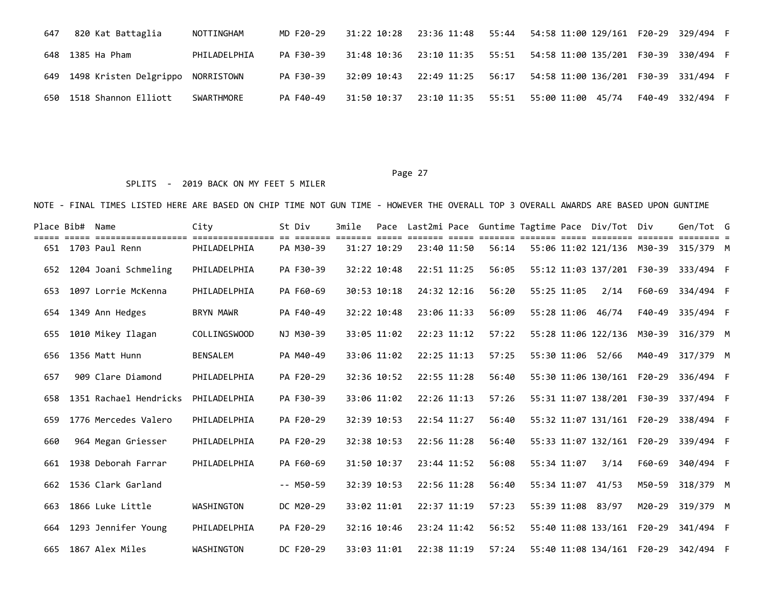| 647 | 820 Kat Battaglia          | NOTTINGHAM   | MD F20-29 |             |  | 31:22 10:28  23:36 11:48  55:44  54:58  11:00  129/161  F20-29  329/494  F  |                  |  |
|-----|----------------------------|--------------|-----------|-------------|--|-----------------------------------------------------------------------------|------------------|--|
|     | 648 1385 Ha Pham           | PHILADELPHIA | PA F30-39 |             |  | 31:48 10:36  23:10 11:35  55:51  54:58  11:00  135/201  F30-39  330/494  F  |                  |  |
|     | 649 1498 Kristen Delgrippo | NORRISTOWN   | PA F30-39 | 32:09 10:43 |  | 22:49 11:25    56:17    54:58    11:00    136/201    F30-39    331/494    F |                  |  |
|     | 650 1518 Shannon Elliott   | SWARTHMORE   | PA F40-49 | 31:50 10:37 |  | 23:10 11:35    55:51    55:00    11:00    45/74                             | F40-49 332/494 F |  |

## SPLITS - 2019 BACK ON MY FEET 5 MILER

| Place Bib# | Name                                 | City                              | St Div<br>----- | 3mile |             |             |             |       |             | Pace Last2mi Pace Guntime Tagtime Pace Div/Tot Div |        | Gen/Tot G |  |
|------------|--------------------------------------|-----------------------------------|-----------------|-------|-------------|-------------|-------------|-------|-------------|----------------------------------------------------|--------|-----------|--|
| 651        | ==================<br>1703 Paul Renn | =================<br>PHILADELPHIA | PA M30-39       |       | 31:27 10:29 |             | 23:40 11:50 | 56:14 |             | 55:06 11:02 121/136 M30-39                         |        | 315/379 M |  |
| 652        | 1204 Joani Schmeling                 | PHILADELPHIA                      | PA F30-39       |       | 32:22 10:48 |             | 22:51 11:25 | 56:05 |             | 55:12 11:03 137/201 F30-39                         |        | 333/494 F |  |
| 653        | 1097 Lorrie McKenna                  | PHILADELPHIA                      | PA F60-69       |       | 30:53 10:18 |             | 24:32 12:16 | 56:20 | 55:25 11:05 | 2/14                                               | F60-69 | 334/494 F |  |
| 654        | 1349 Ann Hedges                      | <b>BRYN MAWR</b>                  | PA F40-49       |       | 32:22 10:48 |             | 23:06 11:33 | 56:09 |             | 55:28 11:06 46/74                                  | F40-49 | 335/494 F |  |
| 655        | 1010 Mikey Ilagan                    | COLLINGSWOOD                      | NJ M30-39       |       | 33:05 11:02 |             | 22:23 11:12 | 57:22 |             | 55:28 11:06 122/136 M30-39                         |        | 316/379 M |  |
| 656        | 1356 Matt Hunn                       | <b>BENSALEM</b>                   | PA M40-49       |       | 33:06 11:02 |             | 22:25 11:13 | 57:25 |             | 55:30 11:06 52/66                                  | M40-49 | 317/379 M |  |
| 657        | 909 Clare Diamond                    | PHILADELPHIA                      | PA F20-29       |       | 32:36 10:52 |             | 22:55 11:28 | 56:40 |             | 55:30 11:06 130/161 F20-29                         |        | 336/494 F |  |
| 658        | 1351 Rachael Hendricks               | PHILADELPHIA                      | PA F30-39       |       | 33:06 11:02 |             | 22:26 11:13 | 57:26 |             | 55:31 11:07 138/201 F30-39                         |        | 337/494 F |  |
| 659        | 1776 Mercedes Valero                 | PHILADELPHIA                      | PA F20-29       |       | 32:39 10:53 | 22:54 11:27 |             | 56:40 |             | 55:32 11:07 131/161 F20-29                         |        | 338/494 F |  |
| 660        | 964 Megan Griesser                   | PHILADELPHIA                      | PA F20-29       |       | 32:38 10:53 |             | 22:56 11:28 | 56:40 |             | 55:33 11:07 132/161 F20-29                         |        | 339/494 F |  |
| 661        | 1938 Deborah Farrar                  | PHILADELPHIA                      | PA F60-69       |       | 31:50 10:37 |             | 23:44 11:52 | 56:08 | 55:34 11:07 | 3/14                                               | F60-69 | 340/494 F |  |
| 662        | 1536 Clark Garland                   |                                   | $-- M50-59$     |       | 32:39 10:53 |             | 22:56 11:28 | 56:40 | 55:34 11:07 | 41/53                                              | M50-59 | 318/379 M |  |
| 663        | 1866 Luke Little                     | WASHINGTON                        | DC M20-29       |       | 33:02 11:01 |             | 22:37 11:19 | 57:23 | 55:39 11:08 | 83/97                                              | M20-29 | 319/379 M |  |
| 664        | 1293 Jennifer Young                  | PHILADELPHIA                      | PA F20-29       |       | 32:16 10:46 |             | 23:24 11:42 | 56:52 |             | 55:40 11:08 133/161 F20-29                         |        | 341/494 F |  |
|            | 665 1867 Alex Miles                  | WASHINGTON                        | DC F20-29       |       | 33:03 11:01 |             | 22:38 11:19 | 57:24 |             | 55:40 11:08 134/161 F20-29                         |        | 342/494 F |  |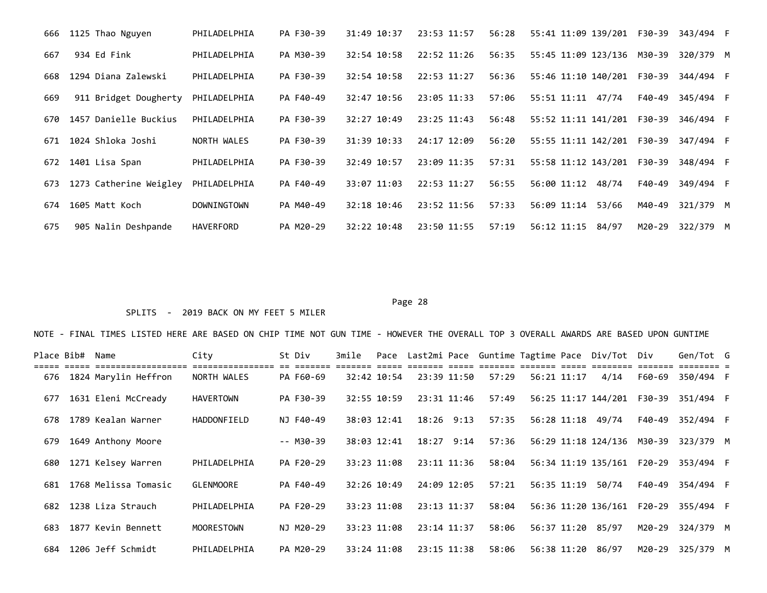| 666 | 1125 Thao Nguyen       | PHILADELPHIA       | PA F30-39 | 31:49 10:37   | 23:53 11:57   | 56:28 | 55:41 11:09 139/201 F30-39 |        | 343/494 F |  |
|-----|------------------------|--------------------|-----------|---------------|---------------|-------|----------------------------|--------|-----------|--|
| 667 | 934 Ed Fink            | PHILADELPHIA       | PA M30-39 | 32:54 10:58   | $22:52$ 11:26 | 56:35 | 55:45 11:09 123/136 M30-39 |        | 320/379 M |  |
| 668 | 1294 Diana Zalewski    | PHILADELPHIA       | PA F30-39 | 32:54 10:58   | 22:53 11:27   | 56:36 | 55:46 11:10 140/201 F30-39 |        | 344/494 F |  |
| 669 | 911 Bridget Dougherty  | PHILADELPHIA       | PA F40-49 | 32:47 10:56   | 23:05 11:33   | 57:06 | 47/74<br>55:51 11:11       | F40-49 | 345/494 F |  |
| 670 | 1457 Danielle Buckius  | PHILADELPHIA       | PA F30-39 | 32:27 10:49   | $23:25$ 11:43 | 56:48 | 55:52 11:11 141/201 F30-39 |        | 346/494 F |  |
| 671 | 1024 Shloka Joshi      | NORTH WALES        | PA F30-39 | 31:39 10:33   | 24:17 12:09   | 56:20 | 55:55 11:11 142/201 F30-39 |        | 347/494 F |  |
| 672 | 1401 Lisa Span         | PHILADELPHIA       | PA F30-39 | 32:49 10:57   | 23:09 11:35   | 57:31 | 55:58 11:12 143/201        | F30-39 | 348/494 F |  |
| 673 | 1273 Catherine Weigley | PHILADELPHIA       | PA F40-49 | 33:07 11:03   | 22:53 11:27   | 56:55 | 56:00 11:12<br>48/74       | F40-49 | 349/494 F |  |
| 674 | 1605 Matt Koch         | <b>DOWNINGTOWN</b> | PA M40-49 | 32:18 10:46   | 23:52 11:56   | 57:33 | 53/66<br>56:09 11:14       | M40-49 | 321/379 M |  |
| 675 | 905 Nalin Deshpande    | HAVERFORD          | PA M20-29 | $32:22$ 10:48 | 23:50 11:55   | 57:19 | $56:12$ $11:15$<br>84/97   | M20-29 | 322/379 M |  |

## SPLITS - 2019 BACK ON MY FEET 5 MILER

| Place Bib# | Name                     | City             | St Div         | 3mile |             |              |               |       |                 | Pace Last2mi Pace Guntime Tagtime Pace Div/Tot Div |        | Gen/Tot G |  |
|------------|--------------------------|------------------|----------------|-------|-------------|--------------|---------------|-------|-----------------|----------------------------------------------------|--------|-----------|--|
|            | 676 1824 Marylin Heffron | NORTH WALES      | PA F60-69      |       | 32:42 10:54 | access coss. | 23:39 11:50   | 57:29 | 56:21 11:17     | ependen endenen denen endenene<br>4/14             | F60-69 | 350/494 F |  |
| 677        | 1631 Eleni McCready      | <b>HAVERTOWN</b> | PA F30-39      |       | 32:55 10:59 |              | 23:31 11:46   | 57:49 |                 | 56:25 11:17 144/201 F30-39                         |        | 351/494 F |  |
| 678        | 1789 Kealan Warner       | HADDONFIELD      | NJ F40-49      |       | 38:03 12:41 |              | $18:26$ 9:13  | 57:35 | 56:28 11:18     | 49/74                                              | F40-49 | 352/494 F |  |
| 679        | 1649 Anthony Moore       |                  | $- - M30 - 39$ |       | 38:03 12:41 |              | $18:27$ 9:14  | 57:36 |                 | 56:29 11:18 124/136 M30-39                         |        | 323/379 M |  |
| 680        | 1271 Kelsey Warren       | PHILADELPHIA     | PA F20-29      |       | 33:23 11:08 |              | 23:11 11:36   | 58:04 |                 | 56:34 11:19 135/161 F20-29                         |        | 353/494 F |  |
| 681        | 1768 Melissa Tomasic     | <b>GLENMOORE</b> | PA F40-49      |       | 32:26 10:49 | 24:09 12:05  |               | 57:21 | $56:35$ $11:19$ | 50/74                                              | F40-49 | 354/494 F |  |
| 682        | 1238 Liza Strauch        | PHILADELPHIA     | PA F20-29      |       | 33:23 11:08 | 23:13 11:37  |               | 58:04 |                 | 56:36 11:20 136/161 F20-29                         |        | 355/494 F |  |
| 683        | 1877 Kevin Bennett       | MOORESTOWN       | NJ M20-29      |       | 33:23 11:08 | 23:14 11:37  |               | 58:06 | 56:37 11:20     | 85/97                                              | M20-29 | 324/379 M |  |
|            | 684 1206 Jeff Schmidt    | PHILADELPHIA     | PA M20-29      |       | 33:24 11:08 |              | $23:15$ 11:38 | 58:06 | 56:38 11:20     | 86/97                                              | M20-29 | 325/379 M |  |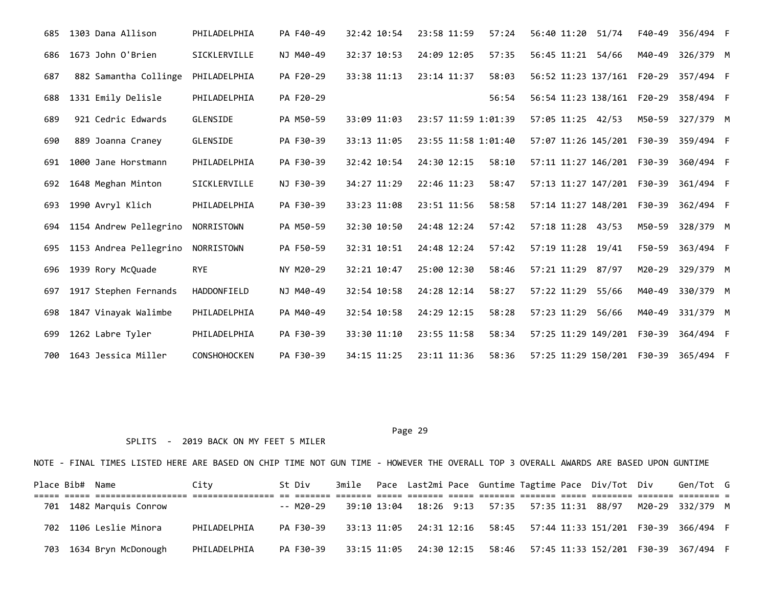| 685 | 1303 Dana Allison      | PHILADELPHIA        | PA F40-49 | 32:42 10:54 | 23:58 11:59         | 57:24 | 56:40 11:20 51/74          |       | F40-49 | 356/494 F |  |
|-----|------------------------|---------------------|-----------|-------------|---------------------|-------|----------------------------|-------|--------|-----------|--|
| 686 | 1673 John O'Brien      | SICKLERVILLE        | NJ M40-49 | 32:37 10:53 | 24:09 12:05         | 57:35 | 56:45 11:21                | 54/66 | M40-49 | 326/379 M |  |
| 687 | 882 Samantha Collinge  | PHILADELPHIA        | PA F20-29 | 33:38 11:13 | 23:14 11:37         | 58:03 | 56:52 11:23 137/161 F20-29 |       |        | 357/494 F |  |
| 688 | 1331 Emily Delisle     | PHILADELPHIA        | PA F20-29 |             |                     | 56:54 | 56:54 11:23 138/161 F20-29 |       |        | 358/494 F |  |
| 689 | 921 Cedric Edwards     | GLENSIDE            | PA M50-59 | 33:09 11:03 | 23:57 11:59 1:01:39 |       | 57:05 11:25 42/53          |       | M50-59 | 327/379 M |  |
| 690 | 889 Joanna Craney      | GLENSIDE            | PA F30-39 | 33:13 11:05 | 23:55 11:58 1:01:40 |       | 57:07 11:26 145/201 F30-39 |       |        | 359/494 F |  |
| 691 | 1000 Jane Horstmann    | PHILADELPHIA        | PA F30-39 | 32:42 10:54 | 24:30 12:15         | 58:10 | 57:11 11:27 146/201 F30-39 |       |        | 360/494 F |  |
| 692 | 1648 Meghan Minton     | SICKLERVILLE        | NJ F30-39 | 34:27 11:29 | 22:46 11:23         | 58:47 | 57:13 11:27 147/201 F30-39 |       |        | 361/494 F |  |
| 693 | 1990 Avryl Klich       | PHILADELPHIA        | PA F30-39 | 33:23 11:08 | 23:51 11:56         | 58:58 | 57:14 11:27 148/201 F30-39 |       |        | 362/494 F |  |
| 694 | 1154 Andrew Pellegrino | NORRISTOWN          | PA M50-59 | 32:30 10:50 | 24:48 12:24         | 57:42 | 57:18 11:28 43/53          |       | M50-59 | 328/379 M |  |
| 695 | 1153 Andrea Pellegrino | NORRISTOWN          | PA F50-59 | 32:31 10:51 | 24:48 12:24         | 57:42 | 57:19 11:28 19/41          |       | F50-59 | 363/494 F |  |
| 696 | 1939 Rory McQuade      | <b>RYE</b>          | NY M20-29 | 32:21 10:47 | 25:00 12:30         | 58:46 | 57:21 11:29                | 87/97 | M20-29 | 329/379 M |  |
| 697 | 1917 Stephen Fernands  | HADDONFIELD         | NJ M40-49 | 32:54 10:58 | 24:28 12:14         | 58:27 | 57:22 11:29                | 55/66 | M40-49 | 330/379 M |  |
| 698 | 1847 Vinayak Walimbe   | PHILADELPHIA        | PA M40-49 | 32:54 10:58 | 24:29 12:15         | 58:28 | 57:23 11:29                | 56/66 | M40-49 | 331/379 M |  |
| 699 | 1262 Labre Tyler       | PHILADELPHIA        | PA F30-39 | 33:30 11:10 | 23:55 11:58         | 58:34 | 57:25 11:29 149/201        |       | F30-39 | 364/494 F |  |
| 700 | 1643 Jessica Miller    | <b>CONSHOHOCKEN</b> | PA F30-39 | 34:15 11:25 | 23:11 11:36         | 58:36 | 57:25 11:29 150/201 F30-39 |       |        | 365/494 F |  |

## SPLITS - 2019 BACK ON MY FEET 5 MILER

| Place Bib# Name |                         | City         | St Div    |  |  |  | 3mile Pace Last2mi Pace Guntime Tagtime Pace Div/Tot Div | Gen/Tot G                                                                   |  |
|-----------------|-------------------------|--------------|-----------|--|--|--|----------------------------------------------------------|-----------------------------------------------------------------------------|--|
|                 | 701 1482 Marquis Conrow |              | -- M20-29 |  |  |  |                                                          | 39:10 13:04  18:26  9:13  57:35  57:35  11:31  88/97  M20-29  332/379  M    |  |
|                 | 702 1106 Leslie Minora  | PHILADELPHIA | PA F30-39 |  |  |  |                                                          | 33:13 11:05  24:31  12:16  58:45  57:44  11:33  151/201  F30-39  366/494  F |  |
|                 | 703 1634 Bryn McDonough | PHILADELPHIA | PA F30-39 |  |  |  |                                                          | 33:15 11:05  24:30  12:15  58:46  57:45  11:33  152/201  F30-39  367/494  F |  |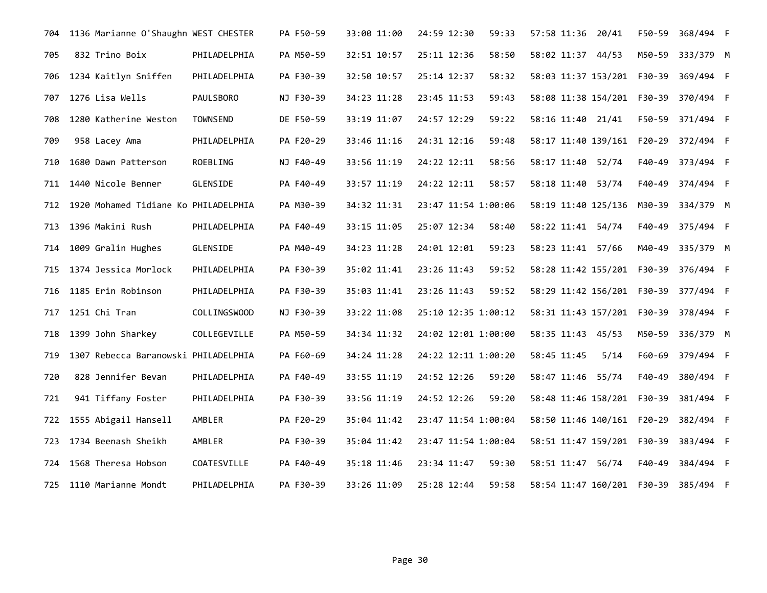| 704 | 1136 Marianne O'Shaughn WEST CHESTER |                  | PA F50-59 | 33:00 11:00 | 24:59 12:30<br>59:33 | 57:58 11:36 20/41                             | F50-59 | 368/494 F        |  |
|-----|--------------------------------------|------------------|-----------|-------------|----------------------|-----------------------------------------------|--------|------------------|--|
| 705 | 832 Trino Boix                       | PHILADELPHIA     | PA M50-59 | 32:51 10:57 | 25:11 12:36<br>58:50 | 58:02 11:37 44/53                             | M50-59 | 333/379 M        |  |
| 706 | 1234 Kaitlyn Sniffen                 | PHILADELPHIA     | PA F30-39 | 32:50 10:57 | 25:14 12:37<br>58:32 | 58:03 11:37 153/201 F30-39                    |        | 369/494 F        |  |
| 707 | 1276 Lisa Wells                      | <b>PAULSBORO</b> | NJ F30-39 | 34:23 11:28 | 23:45 11:53<br>59:43 | 58:08 11:38 154/201    F30-39    370/494    F |        |                  |  |
| 708 | 1280 Katherine Weston                | <b>TOWNSEND</b>  | DE F50-59 | 33:19 11:07 | 24:57 12:29<br>59:22 | 58:16 11:40 21/41                             | F50-59 | 371/494 F        |  |
| 709 | 958 Lacey Ama                        | PHILADELPHIA     | PA F20-29 | 33:46 11:16 | 24:31 12:16<br>59:48 | 58:17 11:40 139/161 F20-29                    |        | 372/494 F        |  |
| 710 | 1680 Dawn Patterson                  | ROEBLING         | NJ F40-49 | 33:56 11:19 | 24:22 12:11<br>58:56 | 58:17 11:40 52/74                             | F40-49 | 373/494 F        |  |
| 711 | 1440 Nicole Benner                   | GLENSIDE         | PA F40-49 | 33:57 11:19 | 24:22 12:11<br>58:57 | 58:18 11:40 53/74                             | F40-49 | 374/494 F        |  |
| 712 | 1920 Mohamed Tidiane Ko PHILADELPHIA |                  | PA M30-39 | 34:32 11:31 | 23:47 11:54 1:00:06  | 58:19 11:40 125/136 M30-39                    |        | 334/379 M        |  |
| 713 | 1396 Makini Rush                     | PHILADELPHIA     | PA F40-49 | 33:15 11:05 | 25:07 12:34<br>58:40 | 58:22 11:41 54/74                             | F40-49 | 375/494 F        |  |
| 714 | 1009 Gralin Hughes                   | GLENSIDE         | PA M40-49 | 34:23 11:28 | 59:23<br>24:01 12:01 | 58:23 11:41 57/66                             | M40-49 | 335/379 M        |  |
| 715 | 1374 Jessica Morlock                 | PHILADELPHIA     | PA F30-39 | 35:02 11:41 | 59:52<br>23:26 11:43 | 58:28 11:42 155/201 F30-39                    |        | 376/494 F        |  |
| 716 | 1185 Erin Robinson                   | PHILADELPHIA     | PA F30-39 | 35:03 11:41 | 23:26 11:43<br>59:52 | 58:29 11:42 156/201 F30-39                    |        | 377/494 F        |  |
| 717 | 1251 Chi Tran                        | COLLINGSWOOD     | NJ F30-39 | 33:22 11:08 | 25:10 12:35 1:00:12  | 58:31 11:43 157/201 F30-39                    |        | 378/494 F        |  |
|     | 718 1399 John Sharkey                | COLLEGEVILLE     | PA M50-59 | 34:34 11:32 | 24:02 12:01 1:00:00  | 58:35 11:43 45/53                             |        | M50-59 336/379 M |  |
| 719 | 1307 Rebecca Baranowski PHILADELPHIA |                  | PA F60-69 | 34:24 11:28 | 24:22 12:11 1:00:20  | 58:45 11:45<br>5/14                           | F60-69 | 379/494 F        |  |
| 720 | 828 Jennifer Bevan                   | PHILADELPHIA     | PA F40-49 | 33:55 11:19 | 24:52 12:26<br>59:20 | 58:47 11:46 55/74                             | F40-49 | 380/494 F        |  |
| 721 | 941 Tiffany Foster                   | PHILADELPHIA     | PA F30-39 | 33:56 11:19 | 24:52 12:26<br>59:20 | 58:48 11:46 158/201 F30-39                    |        | 381/494 F        |  |
| 722 | 1555 Abigail Hansell                 | AMBLER           | PA F20-29 | 35:04 11:42 | 23:47 11:54 1:00:04  | 58:50 11:46 140/161 F20-29                    |        | 382/494 F        |  |
| 723 | 1734 Beenash Sheikh                  | AMBLER           | PA F30-39 | 35:04 11:42 | 23:47 11:54 1:00:04  | 58:51 11:47 159/201 F30-39                    |        | 383/494 F        |  |
|     | 724 1568 Theresa Hobson              | COATESVILLE      | PA F40-49 | 35:18 11:46 | 23:34 11:47<br>59:30 | 58:51 11:47 56/74                             | F40-49 | 384/494 F        |  |
|     | 725 1110 Marianne Mondt              | PHILADELPHIA     | PA F30-39 | 33:26 11:09 | 25:28 12:44<br>59:58 | 58:54 11:47 160/201    F30-39    385/494    F |        |                  |  |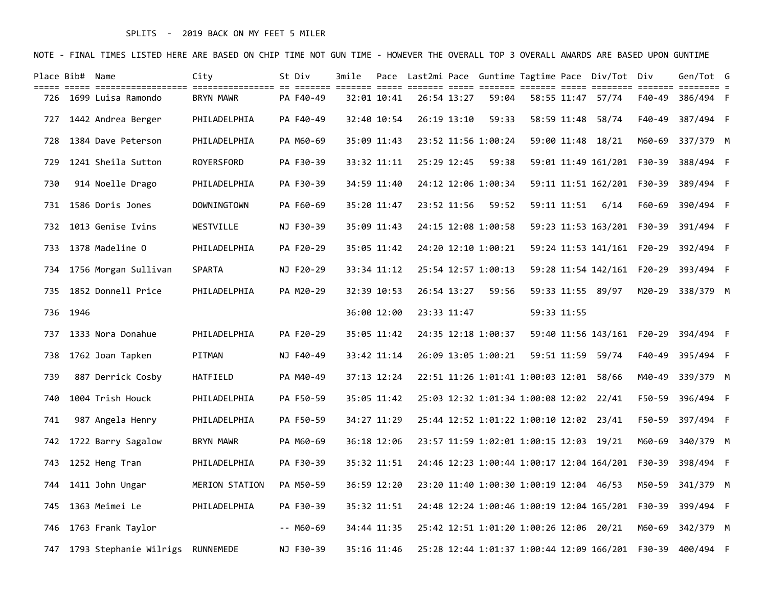## SPLITS - 2019 BACK ON MY FEET 5 MILER

|     | Place Bib# Name |                                  | City           | St Div    | 3mile |             |             |                                         |             | Pace  Last2mi Pace  Guntime Tagtime Pace  Div/Tot  Div |        | Gen/Tot G                                                           |  |
|-----|-----------------|----------------------------------|----------------|-----------|-------|-------------|-------------|-----------------------------------------|-------------|--------------------------------------------------------|--------|---------------------------------------------------------------------|--|
|     |                 | 726 1699 Luisa Ramondo           | BRYN MAWR      | PA F40-49 |       | 32:01 10:41 | 26:54 13:27 | 59:04                                   |             | 58:55 11:47 57/74                                      | F40-49 | 386/494 F                                                           |  |
| 727 |                 | 1442 Andrea Berger               | PHILADELPHIA   | PA F40-49 |       | 32:40 10:54 | 26:19 13:10 | 59:33                                   |             | 58:59 11:48 58/74                                      | F40-49 | 387/494 F                                                           |  |
| 728 |                 | 1384 Dave Peterson               | PHILADELPHIA   | PA M60-69 |       | 35:09 11:43 |             | 23:52 11:56 1:00:24                     |             | 59:00 11:48 18/21                                      | M60-69 | 337/379 M                                                           |  |
| 729 |                 | 1241 Sheila Sutton               | ROYERSFORD     | PA F30-39 |       | 33:32 11:11 | 25:29 12:45 | 59:38                                   |             | 59:01 11:49 161/201 F30-39                             |        | 388/494 F                                                           |  |
| 730 |                 | 914 Noelle Drago                 | PHILADELPHIA   | PA F30-39 |       | 34:59 11:40 |             | 24:12 12:06 1:00:34                     |             |                                                        |        | 59:11 11:51 162/201    F30-39    389/494    F                       |  |
|     |                 | 731 1586 Doris Jones             | DOWNINGTOWN    | PA F60-69 |       | 35:20 11:47 | 23:52 11:56 | 59:52                                   | 59:11 11:51 | 6/14                                                   | F60-69 | 390/494 F                                                           |  |
|     |                 | 732 1013 Genise Ivins            | WESTVILLE      | NJ F30-39 |       | 35:09 11:43 |             | 24:15 12:08 1:00:58                     |             |                                                        |        |                                                                     |  |
| 733 |                 | 1378 Madeline O                  | PHILADELPHIA   | PA F20-29 |       | 35:05 11:42 |             | 24:20 12:10 1:00:21                     |             |                                                        |        |                                                                     |  |
| 734 |                 | 1756 Morgan Sullivan             | SPARTA         | NJ F20-29 |       | 33:34 11:12 |             | 25:54 12:57 1:00:13                     |             |                                                        |        | 59:28 11:54 142/161  F20-29  393/494  F                             |  |
| 735 |                 | 1852 Donnell Price               | PHILADELPHIA   | PA M20-29 |       | 32:39 10:53 | 26:54 13:27 | 59:56                                   |             | 59:33 11:55 89/97                                      | M20-29 | 338/379 M                                                           |  |
|     | 736 1946        |                                  |                |           |       | 36:00 12:00 | 23:33 11:47 |                                         | 59:33 11:55 |                                                        |        |                                                                     |  |
| 737 |                 | 1333 Nora Donahue                | PHILADELPHIA   | PA F20-29 |       | 35:05 11:42 |             | 24:35 12:18 1:00:37                     |             |                                                        |        |                                                                     |  |
| 738 |                 | 1762 Joan Tapken                 | PITMAN         | NJ F40-49 |       | 33:42 11:14 |             | 26:09 13:05 1:00:21                     |             | 59:51 11:59 59/74                                      | F40-49 | 395/494 F                                                           |  |
| 739 |                 | 887 Derrick Cosby                | HATFIELD       | PA M40-49 |       | 37:13 12:24 |             | 22:51 11:26 1:01:41 1:00:03 12:01 58/66 |             |                                                        |        | M40-49 339/379 M                                                    |  |
| 740 |                 | 1004 Trish Houck                 | PHILADELPHIA   | PA F50-59 |       | 35:05 11:42 |             | 25:03 12:32 1:01:34 1:00:08 12:02 22/41 |             |                                                        | F50-59 | 396/494 F                                                           |  |
| 741 |                 | 987 Angela Henry                 | PHILADELPHIA   | PA F50-59 |       | 34:27 11:29 |             | 25:44 12:52 1:01:22 1:00:10 12:02 23/41 |             |                                                        | F50-59 | 397/494 F                                                           |  |
| 742 |                 | 1722 Barry Sagalow               | BRYN MAWR      | PA M60-69 |       | 36:18 12:06 |             | 23:57 11:59 1:02:01 1:00:15 12:03 19/21 |             |                                                        | M60-69 | 340/379 M                                                           |  |
| 743 |                 | 1252 Heng Tran                   | PHILADELPHIA   | PA F30-39 |       | 35:32 11:51 |             |                                         |             | 24:46 12:23 1:00:44 1:00:17 12:04 164/201 F30-39       |        | 398/494 F                                                           |  |
| 744 |                 | 1411 John Ungar                  | MERION STATION | PA M50-59 |       | 36:59 12:20 |             | 23:20 11:40 1:00:30 1:00:19 12:04 46/53 |             |                                                        | M50-59 | 341/379 M                                                           |  |
|     |                 | 745 1363 Meimei Le               | PHILADELPHIA   | PA F30-39 |       | 35:32 11:51 |             |                                         |             |                                                        |        | 24:48 12:24 1:00:46 1:00:19 12:04 165/201    F30-39    399/494    F |  |
| 746 |                 | 1763 Frank Taylor                |                | -- M60-69 |       | 34:44 11:35 |             | 25:42 12:51 1:01:20 1:00:26 12:06 20/21 |             |                                                        | M60-69 | 342/379 M                                                           |  |
| 747 |                 | 1793 Stephanie Wilrigs RUNNEMEDE |                | NJ F30-39 |       | 35:16 11:46 |             |                                         |             |                                                        |        | 25:28 12:44 1:01:37 1:00:44 12:09 166/201    F30-39    400/494    F |  |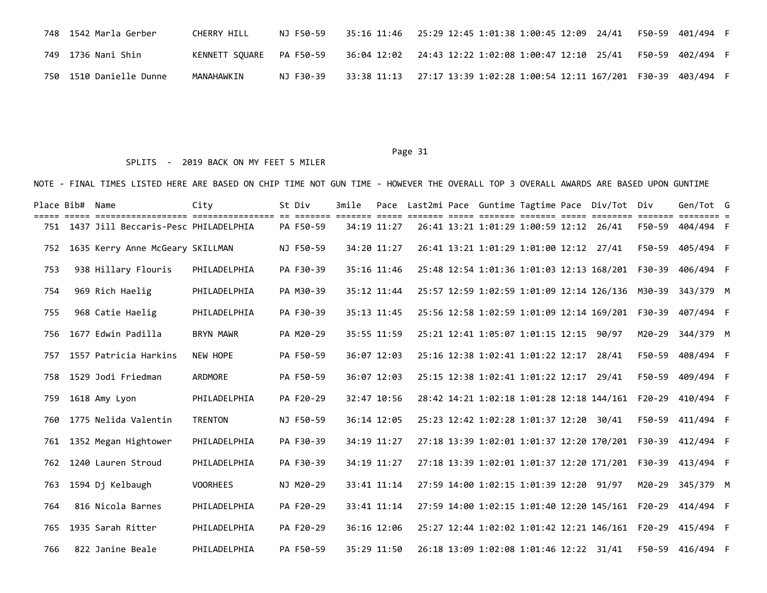|  | 748  1542 Marla Gerber  | CHERRY HILL              | NJ F50-59 | 35:16 11:46    25:29 12:45 1:01:38 1:00:45 12:09    24/41                | F50-59 401/494 F |  |
|--|-------------------------|--------------------------|-----------|--------------------------------------------------------------------------|------------------|--|
|  | 749 1736 Nani Shin      | KENNETT SOUARE PA F50-59 |           |                                                                          | F50-59 402/494 F |  |
|  | 750 1510 Danielle Dunne | MANAHAWKIN               | NJ F30-39 | 33:38 11:13   27:17 13:39 1:02:28 1:00:54 12:11 167/201 F30-39 403/494 F |                  |  |

### SPLITS - 2019 BACK ON MY FEET 5 MILER

| Place Bib# Name |                                          | City             | St Div    | 3mile |             |  |                                         |  | Pace Last2mi Pace Guntime Tagtime Pace Div/Tot Div |             | Gen/Tot G                                                           |  |
|-----------------|------------------------------------------|------------------|-----------|-------|-------------|--|-----------------------------------------|--|----------------------------------------------------|-------------|---------------------------------------------------------------------|--|
|                 | 751 1437 Jill Beccaris-Pesc PHILADELPHIA |                  | PA F50-59 |       | 34:19 11:27 |  | 26:41 13:21 1:01:29 1:00:59 12:12 26/41 |  | <u> -- ----- ------- ------- ----- -----</u>       | eeessee ees | F50-59 404/494 F                                                    |  |
| 752             | 1635 Kerry Anne McGeary SKILLMAN         |                  | NJ F50-59 |       | 34:20 11:27 |  | 26:41 13:21 1:01:29 1:01:00 12:12 27/41 |  |                                                    | F50-59      | 405/494 F                                                           |  |
| 753             | 938 Hillary Flouris                      | PHILADELPHIA     | PA F30-39 |       | 35:16 11:46 |  |                                         |  | 25:48 12:54 1:01:36 1:01:03 12:13 168/201          | F30-39      | 406/494 F                                                           |  |
| 754             | 969 Rich Haelig                          | PHILADELPHIA     | PA M30-39 |       | 35:12 11:44 |  |                                         |  |                                                    |             | 25:57 12:59 1:02:59 1:01:09 12:14 126/136 M30-39 343/379 M          |  |
| 755             | 968 Catie Haelig                         | PHILADELPHIA     | PA F30-39 |       | 35:13 11:45 |  |                                         |  | 25:56 12:58 1:02:59 1:01:09 12:14 169/201 F30-39   |             | 407/494 F                                                           |  |
| 756             | 1677 Edwin Padilla                       | <b>BRYN MAWR</b> | PA M20-29 |       | 35:55 11:59 |  | 25:21 12:41 1:05:07 1:01:15 12:15       |  | 90/97                                              | M20-29      | 344/379 M                                                           |  |
| 757             | 1557 Patricia Harkins                    | NEW HOPE         | PA F50-59 |       | 36:07 12:03 |  | 25:16 12:38 1:02:41 1:01:22 12:17       |  | 28/41                                              | F50-59      | 408/494 F                                                           |  |
|                 | 758 1529 Jodi Friedman                   | ARDMORE          | PA F50-59 |       | 36:07 12:03 |  | 25:15 12:38 1:02:41 1:01:22 12:17 29/41 |  |                                                    |             | F50-59 409/494 F                                                    |  |
| 759             | 1618 Amy Lyon                            | PHILADELPHIA     | PA F20-29 |       | 32:47 10:56 |  |                                         |  | 28:42 14:21 1:02:18 1:01:28 12:18 144/161          | F20-29      | 410/494 F                                                           |  |
| 760             | 1775 Nelida Valentin                     | <b>TRENTON</b>   | NJ F50-59 |       | 36:14 12:05 |  | 25:23 12:42 1:02:28 1:01:37 12:20 30/41 |  |                                                    | F50-59      | 411/494 F                                                           |  |
| 761             | 1352 Megan Hightower                     | PHILADELPHIA     | PA F30-39 |       | 34:19 11:27 |  |                                         |  | 27:18 13:39 1:02:01 1:01:37 12:20 170/201          | F30-39      | 412/494 F                                                           |  |
|                 | 762 1240 Lauren Stroud                   | PHILADELPHIA     | PA F30-39 |       | 34:19 11:27 |  |                                         |  |                                                    |             | 27:18 13:39 1:02:01 1:01:37 12:20 171/201    F30-39    413/494    F |  |
| 763             | 1594 Dj Kelbaugh                         | <b>VOORHEES</b>  | NJ M20-29 |       | 33:41 11:14 |  | 27:59 14:00 1:02:15 1:01:39 12:20 91/97 |  |                                                    | M20-29      | 345/379 M                                                           |  |
| 764             | 816 Nicola Barnes                        | PHILADELPHIA     | PA F20-29 |       | 33:41 11:14 |  |                                         |  | 27:59 14:00 1:02:15 1:01:40 12:20 145/161          | F20-29      | 414/494 F                                                           |  |
| 765             | 1935 Sarah Ritter                        | PHILADELPHIA     | PA F20-29 |       | 36:16 12:06 |  |                                         |  | 25:27 12:44 1:02:02 1:01:42 12:21 146/161          | F20-29      | 415/494 F                                                           |  |
| 766             | 822 Janine Beale                         | PHILADELPHIA     | PA F50-59 |       | 35:29 11:50 |  | 26:18 13:09 1:02:08 1:01:46 12:22 31/41 |  |                                                    |             | F50-59 416/494 F                                                    |  |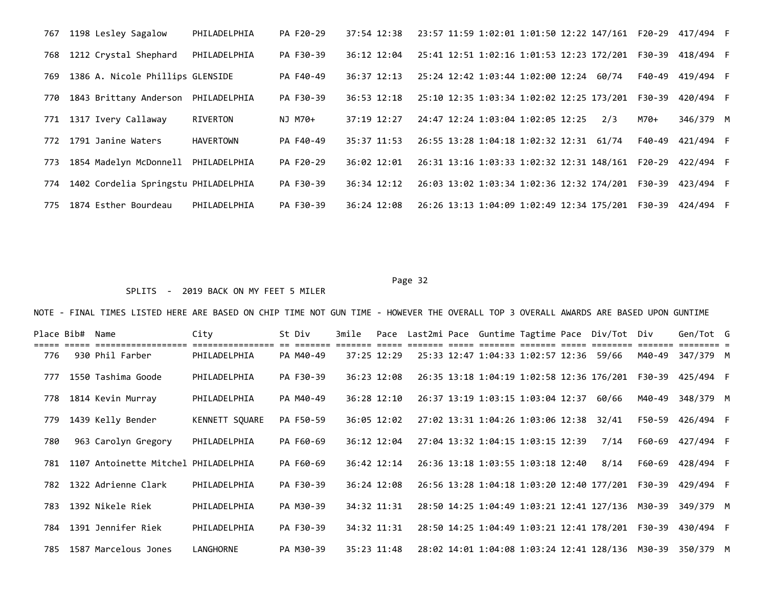| 767 | 1198 Lesley Sagalow                  | PHILADELPHIA     | PA F20-29 | 37:54 12:38 | 23:57 11:59 1:02:01 1:01:50 12:22 147/161 F20-29 |  |       |        | 417/494 F |  |
|-----|--------------------------------------|------------------|-----------|-------------|--------------------------------------------------|--|-------|--------|-----------|--|
| 768 | 1212 Crystal Shephard                | PHILADELPHIA     | PA F30-39 | 36:12 12:04 | 25:41 12:51 1:02:16 1:01:53 12:23 172/201 F30-39 |  |       |        | 418/494 F |  |
| 769 | 1386 A. Nicole Phillips GLENSIDE     |                  | PA F40-49 | 36:37 12:13 | 25:24 12:42 1:03:44 1:02:00 12:24                |  | 60/74 | F40-49 | 419/494 F |  |
| 770 | 1843 Brittany Anderson               | PHILADELPHIA     | PA F30-39 | 36:53 12:18 | 25:10 12:35 1:03:34 1:02:02 12:25 173/201 F30-39 |  |       |        | 420/494 F |  |
| 771 | 1317 Ivery Callaway                  | RIVERTON         | NJ M70+   | 37:19 12:27 | 24:47 12:24 1:03:04 1:02:05 12:25                |  | 2/3   | M70+   | 346/379 M |  |
| 772 | 1791 Janine Waters                   | <b>HAVERTOWN</b> | PA F40-49 | 35:37 11:53 | 26:55 13:28 1:04:18 1:02:32 12:31                |  | 61/74 | F40-49 | 421/494 F |  |
| 773 | 1854 Madelyn McDonnell               | PHILADELPHIA     | PA F20-29 | 36:02 12:01 | 26:31 13:16 1:03:33 1:02:32 12:31 148/161 F20-29 |  |       |        | 422/494 F |  |
| 774 | 1402 Cordelia Springstu PHILADELPHIA |                  | PA F30-39 | 36:34 12:12 | 26:03 13:02 1:03:34 1:02:36 12:32 174/201 F30-39 |  |       |        | 423/494 F |  |
| 775 | 1874 Esther Bourdeau                 | PHILADELPHIA     | PA F30-39 | 36:24 12:08 | 26:26 13:13 1:04:09 1:02:49 12:34 175/201 F30-39 |  |       |        | 424/494 F |  |

## SPLITS - 2019 BACK ON MY FEET 5 MILER

| Place Bib# | Name                                  | City                             | St Div    | 3mile |             |  |                                         |  | Pace Last2mi Pace Guntime Tagtime Pace Div/Tot Div |        | Gen/Tot G |  |
|------------|---------------------------------------|----------------------------------|-----------|-------|-------------|--|-----------------------------------------|--|----------------------------------------------------|--------|-----------|--|
| 776        | ==================<br>930 Phil Farber | ================<br>PHILADELPHIA | PA M40-49 |       | 37:25 12:29 |  | 25:33 12:47 1:04:33 1:02:57 12:36 59/66 |  |                                                    | M40-49 | 347/379 M |  |
| 777        | 1550 Tashima Goode                    | PHILADELPHIA                     | PA F30-39 |       | 36:23 12:08 |  |                                         |  | 26:35 13:18 1:04:19 1:02:58 12:36 176/201 F30-39   |        | 425/494 F |  |
| 778        | 1814 Kevin Murray                     | PHILADELPHIA                     | PA M40-49 |       | 36:28 12:10 |  | 26:37 13:19 1:03:15 1:03:04 12:37       |  | 60/66                                              | M40-49 | 348/379 M |  |
| 779        | 1439 Kelly Bender                     | KENNETT SOUARE                   | PA F50-59 |       | 36:05 12:02 |  | 27:02 13:31 1:04:26 1:03:06 12:38       |  | 32/41                                              | F50-59 | 426/494 F |  |
| 780        | 963 Carolyn Gregory                   | PHILADELPHIA                     | PA F60-69 |       | 36:12 12:04 |  | 27:04 13:32 1:04:15 1:03:15 12:39       |  | 7/14                                               | F60-69 | 427/494 F |  |
| 781        | 1107 Antoinette Mitchel PHILADELPHIA  |                                  | PA F60-69 |       | 36:42 12:14 |  | 26:36 13:18 1:03:55 1:03:18 12:40       |  | 8/14                                               | F60-69 | 428/494 F |  |
| 782        | 1322 Adrienne Clark                   | PHILADELPHIA                     | PA F30-39 |       | 36:24 12:08 |  |                                         |  |                                                    |        | 429/494 F |  |
| 783        | 1392 Nikele Riek                      | PHILADELPHIA                     | PA M30-39 |       | 34:32 11:31 |  |                                         |  | 28:50 14:25 1:04:49 1:03:21 12:41 127/136 M30-39   |        | 349/379 M |  |
| 784        | 1391 Jennifer Riek                    | PHILADELPHIA                     | PA F30-39 |       | 34:32 11:31 |  |                                         |  | 28:50 14:25 1:04:49 1:03:21 12:41 178/201 F30-39   |        | 430/494 F |  |
| 785        | 1587 Marcelous Jones                  | LANGHORNE                        | PA M30-39 |       | 35:23 11:48 |  |                                         |  | 28:02 14:01 1:04:08 1:03:24 12:41 128/136 M30-39   |        | 350/379 M |  |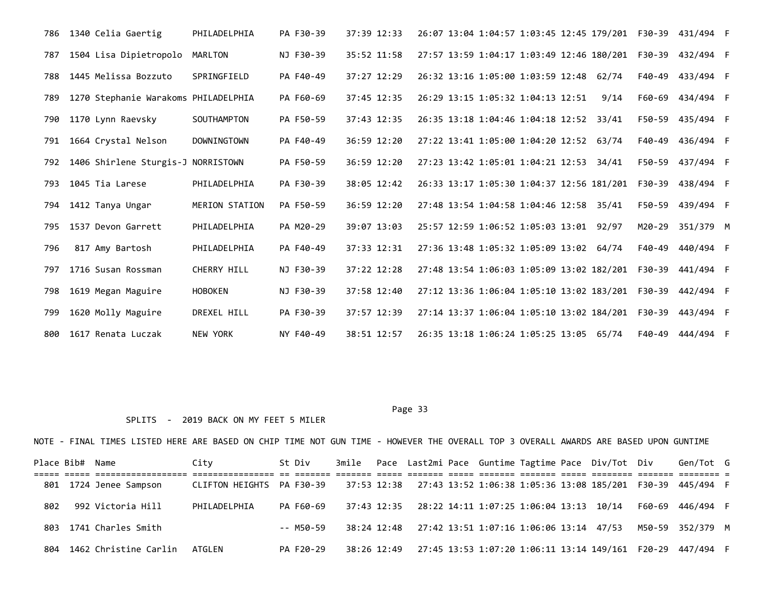|     | 786 1340 Celia Gaertig               | PHILADELPHIA          | PA F30-39 | 37:39 12:33 | 26:07 13:04 1:04:57 1:03:45 12:45 179/201    F30-39    431/494    F |  |      |        |                  |  |
|-----|--------------------------------------|-----------------------|-----------|-------------|---------------------------------------------------------------------|--|------|--------|------------------|--|
| 787 | 1504 Lisa Dipietropolo               | MARLTON               | NJ F30-39 | 35:52 11:58 | 27:57 13:59 1:04:17 1:03:49 12:46 180/201 F30-39                    |  |      |        | 432/494 F        |  |
| 788 | 1445 Melissa Bozzuto                 | SPRINGFIELD           | PA F40-49 | 37:27 12:29 | 26:32 13:16 1:05:00 1:03:59 12:48 62/74                             |  |      | F40-49 | 433/494 F        |  |
| 789 | 1270 Stephanie Warakoms PHILADELPHIA |                       | PA F60-69 | 37:45 12:35 | 26:29 13:15 1:05:32 1:04:13 12:51                                   |  | 9/14 | F60-69 | 434/494 F        |  |
| 790 | 1170 Lynn Raevsky                    | SOUTHAMPTON           | PA F50-59 | 37:43 12:35 | 26:35 13:18 1:04:46 1:04:18 12:52 33/41                             |  |      | F50-59 | 435/494 F        |  |
| 791 | 1664 Crystal Nelson                  | DOWNINGTOWN           | PA F40-49 | 36:59 12:20 | 27:22 13:41 1:05:00 1:04:20 12:52 63/74                             |  |      | F40-49 | 436/494 F        |  |
| 792 | 1406 Shirlene Sturgis-J NORRISTOWN   |                       | PA F50-59 | 36:59 12:20 | 27:23 13:42 1:05:01 1:04:21 12:53 34/41                             |  |      | F50-59 | 437/494 F        |  |
| 793 | 1045 Tia Larese                      | PHILADELPHIA          | PA F30-39 | 38:05 12:42 | 26:33 13:17 1:05:30 1:04:37 12:56 181/201                           |  |      | F30-39 | 438/494 F        |  |
| 794 | 1412 Tanya Ungar                     | <b>MERION STATION</b> | PA F50-59 | 36:59 12:20 | 27:48 13:54 1:04:58 1:04:46 12:58 35/41                             |  |      | F50-59 | 439/494 F        |  |
| 795 | 1537 Devon Garrett                   | PHILADELPHIA          | PA M20-29 | 39:07 13:03 | 25:57 12:59 1:06:52 1:05:03 13:01 92/97                             |  |      | M20-29 | 351/379 M        |  |
| 796 | 817 Amy Bartosh                      | PHILADELPHIA          | PA F40-49 | 37:33 12:31 | 27:36 13:48 1:05:32 1:05:09 13:02 64/74                             |  |      | F40-49 | 440/494 F        |  |
| 797 | 1716 Susan Rossman                   | CHERRY HILL           | NJ F30-39 | 37:22 12:28 | 27:48 13:54 1:06:03 1:05:09 13:02 182/201 F30-39                    |  |      |        | 441/494 F        |  |
| 798 | 1619 Megan Maguire                   | <b>HOBOKEN</b>        | NJ F30-39 | 37:58 12:40 | 27:12 13:36 1:06:04 1:05:10 13:02 183/201 F30-39                    |  |      |        | 442/494 F        |  |
| 799 | 1620 Molly Maguire                   | DREXEL HILL           | PA F30-39 | 37:57 12:39 | 27:14 13:37 1:06:04 1:05:10 13:02 184/201 F30-39                    |  |      |        | 443/494 F        |  |
| 800 | 1617 Renata Luczak                   | <b>NEW YORK</b>       | NY F40-49 | 38:51 12:57 | 26:35 13:18 1:06:24 1:05:25 13:05 65/74                             |  |      |        | F40-49 444/494 F |  |

## SPLITS - 2019 BACK ON MY FEET 5 MILER

|     | Place Bib# Name |                        | City                      | St Div    |             |  |                                                     |  | 3mile Pace Last2mi Pace Guntime Tagtime Pace Div/Tot Div | Gen/Tot G                                                                  |  |
|-----|-----------------|------------------------|---------------------------|-----------|-------------|--|-----------------------------------------------------|--|----------------------------------------------------------|----------------------------------------------------------------------------|--|
|     |                 | 801 1724 Jenee Sampson | CLIFTON HEIGHTS PA F30-39 |           |             |  |                                                     |  |                                                          | 37:53 12:38  27:43 13:52 1:06:38 1:05:36 13:08 185/201  F30-39  445/494  F |  |
| 802 |                 | 992 Victoria Hill      | PHILADELPHIA              | PA F60-69 |             |  | 37:43 12:35 28:22 14:11 1:07:25 1:06:04 13:13 10/14 |  |                                                          | F60-69 446/494 F                                                           |  |
|     |                 | 803 1741 Charles Smith |                           | -- M50-59 |             |  | 38:24 12:48 27:42 13:51 1:07:16 1:06:06 13:14 47/53 |  |                                                          | M50-59 352/379 M                                                           |  |
| 804 |                 | 1462 Christine Carlin  | ATGLEN                    | PA F20-29 | 38:26 12:49 |  |                                                     |  |                                                          |                                                                            |  |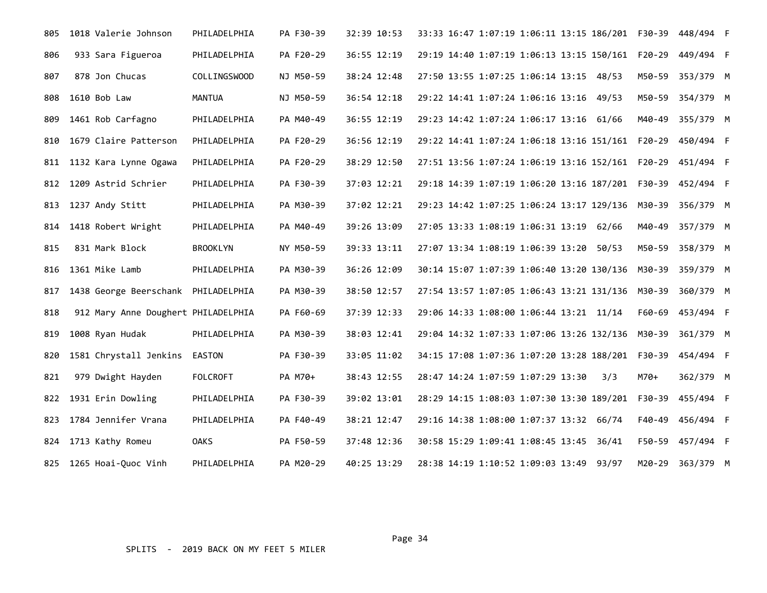| 805 | 1018 Valerie Johnson                | PHILADELPHIA    | PA F30-39 | 32:39 10:53 | 33:33 16:47 1:07:19 1:06:11 13:15 186/201    F30-39    448/494    F |     |        |           |  |
|-----|-------------------------------------|-----------------|-----------|-------------|---------------------------------------------------------------------|-----|--------|-----------|--|
| 806 | 933 Sara Figueroa                   | PHILADELPHIA    | PA F20-29 | 36:55 12:19 | 29:19 14:40 1:07:19 1:06:13 13:15 150/161 F20-29                    |     |        | 449/494 F |  |
| 807 | 878 Jon Chucas                      | COLLINGSWOOD    | NJ M50-59 | 38:24 12:48 | 27:50 13:55 1:07:25 1:06:14 13:15 48/53                             |     | M50-59 | 353/379 M |  |
| 808 | 1610 Bob Law                        | <b>MANTUA</b>   | NJ M50-59 | 36:54 12:18 | 29:22 14:41 1:07:24 1:06:16 13:16 49/53                             |     | M50-59 | 354/379 M |  |
| 809 | 1461 Rob Carfagno                   | PHILADELPHIA    | PA M40-49 | 36:55 12:19 | 29:23 14:42 1:07:24 1:06:17 13:16 61/66                             |     | M40-49 | 355/379 M |  |
| 810 | 1679 Claire Patterson               | PHILADELPHIA    | PA F20-29 | 36:56 12:19 | 29:22 14:41 1:07:24 1:06:18 13:16 151/161    F20-29    450/494    F |     |        |           |  |
| 811 | 1132 Kara Lynne Ogawa               | PHILADELPHIA    | PA F20-29 | 38:29 12:50 |                                                                     |     |        |           |  |
| 812 | 1209 Astrid Schrier                 | PHILADELPHIA    | PA F30-39 | 37:03 12:21 | 29:18 14:39 1:07:19 1:06:20 13:16 187/201 F30-39                    |     |        | 452/494 F |  |
| 813 | 1237 Andy Stitt                     | PHILADELPHIA    | PA M30-39 | 37:02 12:21 | 29:23 14:42 1:07:25 1:06:24 13:17 129/136 M30-39                    |     |        | 356/379 M |  |
|     | 814 1418 Robert Wright              | PHILADELPHIA    | PA M40-49 | 39:26 13:09 | 27:05 13:33 1:08:19 1:06:31 13:19 62/66                             |     | M40-49 | 357/379 M |  |
| 815 | 831 Mark Block                      | <b>BROOKLYN</b> | NY M50-59 | 39:33 13:11 | 27:07 13:34 1:08:19 1:06:39 13:20 50/53                             |     | M50-59 | 358/379 M |  |
| 816 | 1361 Mike Lamb                      | PHILADELPHIA    | PA M30-39 | 36:26 12:09 | 30:14 15:07 1:07:39 1:06:40 13:20 130/136 M30-39                    |     |        | 359/379 M |  |
| 817 | 1438 George Beerschank PHILADELPHIA |                 | PA M30-39 | 38:50 12:57 | 27:54 13:57 1:07:05 1:06:43 13:21 131/136 M30-39                    |     |        | 360/379 M |  |
| 818 | 912 Mary Anne Doughert PHILADELPHIA |                 | PA F60-69 | 37:39 12:33 | 29:06 14:33 1:08:00 1:06:44 13:21 11/14                             |     | F60-69 | 453/494 F |  |
| 819 | 1008 Ryan Hudak                     | PHILADELPHIA    | PA M30-39 | 38:03 12:41 | 29:04 14:32 1:07:33 1:07:06 13:26 132/136 M30-39                    |     |        | 361/379 M |  |
| 820 | 1581 Chrystall Jenkins              | <b>EASTON</b>   | PA F30-39 | 33:05 11:02 | 34:15 17:08 1:07:36 1:07:20 13:28 188/201 F30-39                    |     |        | 454/494 F |  |
| 821 | 979 Dwight Hayden                   | <b>FOLCROFT</b> | PA M70+   | 38:43 12:55 | 28:47 14:24 1:07:59 1:07:29 13:30                                   | 3/3 | M70+   | 362/379 M |  |
|     | 822 1931 Erin Dowling               | PHILADELPHIA    | PA F30-39 | 39:02 13:01 | 28:29 14:15 1:08:03 1:07:30 13:30 189/201 F30-39                    |     |        | 455/494 F |  |
| 823 | 1784 Jennifer Vrana                 | PHILADELPHIA    | PA F40-49 | 38:21 12:47 | 29:16 14:38 1:08:00 1:07:37 13:32 66/74                             |     | F40-49 | 456/494 F |  |
|     | 824 1713 Kathy Romeu                | <b>OAKS</b>     | PA F50-59 | 37:48 12:36 | 30:58 15:29 1:09:41 1:08:45 13:45 36/41                             |     | F50-59 | 457/494 F |  |
|     | 825 1265 Hoai-Quoc Vinh             | PHILADELPHIA    | PA M20-29 | 40:25 13:29 | 28:38 14:19 1:10:52 1:09:03 13:49 93/97                             |     | M20-29 | 363/379 M |  |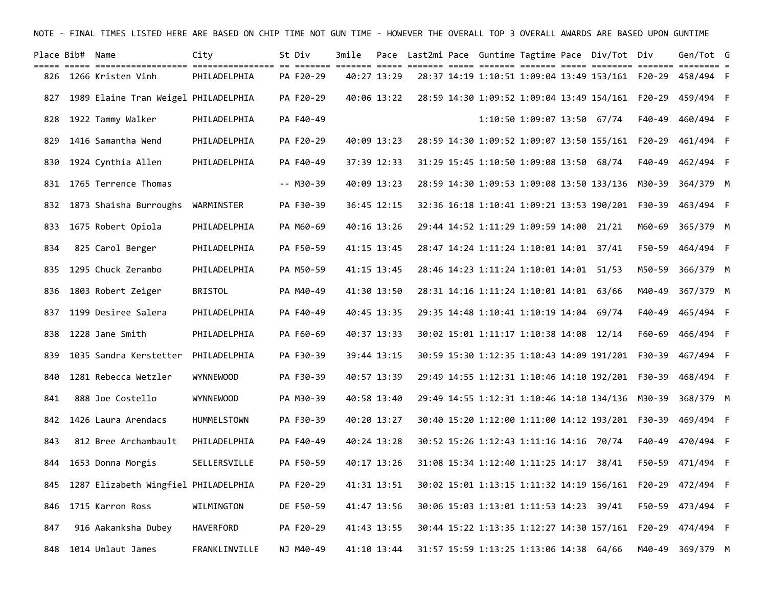| Place Bib# Name |                                      | City               | St Div    | 3mile |             |  |                                           | Pace Last2mi Pace Guntime Tagtime Pace Div/Tot Div |        | Gen/Tot G                                                           |  |
|-----------------|--------------------------------------|--------------------|-----------|-------|-------------|--|-------------------------------------------|----------------------------------------------------|--------|---------------------------------------------------------------------|--|
|                 | 826 1266 Kristen Vinh                | PHILADELPHIA       | PA F20-29 |       | 40:27 13:29 |  |                                           |                                                    |        |                                                                     |  |
| 827             | 1989 Elaine Tran Weigel PHILADELPHIA |                    | PA F20-29 |       | 40:06 13:22 |  |                                           |                                                    |        | 28:59 14:30 1:09:52 1:09:04 13:49 154/161 F20-29 459/494 F          |  |
| 828             | 1922 Tammy Walker                    | PHILADELPHIA       | PA F40-49 |       |             |  | 1:10:50 1:09:07 13:50 67/74               |                                                    | F40-49 | 460/494 F                                                           |  |
| 829             | 1416 Samantha Wend                   | PHILADELPHIA       | PA F20-29 |       | 40:09 13:23 |  |                                           |                                                    |        | 28:59 14:30 1:09:52 1:09:07 13:50 155/161    F20-29    461/494    F |  |
| 830             | 1924 Cynthia Allen                   | PHILADELPHIA       | PA F40-49 |       | 37:39 12:33 |  | 31:29 15:45 1:10:50 1:09:08 13:50 68/74   |                                                    | F40-49 | 462/494 F                                                           |  |
| 831             | 1765 Terrence Thomas                 |                    | -- M30-39 |       | 40:09 13:23 |  |                                           | 28:59 14:30 1:09:53 1:09:08 13:50 133/136          | M30-39 | 364/379 M                                                           |  |
| 832             | 1873 Shaisha Burroughs               | WARMINSTER         | PA F30-39 |       | 36:45 12:15 |  |                                           |                                                    |        |                                                                     |  |
| 833             | 1675 Robert Opiola                   | PHILADELPHIA       | PA M60-69 |       | 40:16 13:26 |  | 29:44 14:52 1:11:29 1:09:59 14:00 21/21   |                                                    | M60-69 | 365/379 M                                                           |  |
| 834             | 825 Carol Berger                     | PHILADELPHIA       | PA F50-59 |       | 41:15 13:45 |  | 28:47 14:24 1:11:24 1:10:01 14:01 37/41   |                                                    | F50-59 | 464/494 F                                                           |  |
| 835             | 1295 Chuck Zerambo                   | PHILADELPHIA       | PA M50-59 |       | 41:15 13:45 |  | 28:46 14:23 1:11:24 1:10:01 14:01 51/53   |                                                    | M50-59 | 366/379 M                                                           |  |
| 836             | 1803 Robert Zeiger                   | <b>BRISTOL</b>     | PA M40-49 |       | 41:30 13:50 |  | 28:31 14:16 1:11:24 1:10:01 14:01 63/66   |                                                    | M40-49 | 367/379 M                                                           |  |
| 837             | 1199 Desiree Salera                  | PHILADELPHIA       | PA F40-49 |       | 40:45 13:35 |  | 29:35 14:48 1:10:41 1:10:19 14:04 69/74   |                                                    | F40-49 | 465/494 F                                                           |  |
| 838             | 1228 Jane Smith                      | PHILADELPHIA       | PA F60-69 |       | 40:37 13:33 |  | 30:02 15:01 1:11:17 1:10:38 14:08 12/14   |                                                    | F60-69 | 466/494 F                                                           |  |
| 839             | 1035 Sandra Kerstetter               | PHILADELPHIA       | PA F30-39 |       | 39:44 13:15 |  |                                           | 30:59 15:30 1:12:35 1:10:43 14:09 191/201          |        | F30-39 467/494 F                                                    |  |
| 840             | 1281 Rebecca Wetzler                 | <b>WYNNEWOOD</b>   | PA F30-39 |       | 40:57 13:39 |  | 29:49 14:55 1:12:31 1:10:46 14:10 192/201 |                                                    | F30-39 | 468/494 F                                                           |  |
| 841             | 888 Joe Costello                     | <b>WYNNEWOOD</b>   | PA M30-39 |       | 40:58 13:40 |  |                                           | 29:49 14:55 1:12:31 1:10:46 14:10 134/136 M30-39   |        | 368/379 M                                                           |  |
| 842             | 1426 Laura Arendacs                  | <b>HUMMELSTOWN</b> | PA F30-39 |       | 40:20 13:27 |  |                                           |                                                    |        |                                                                     |  |
| 843             | 812 Bree Archambault                 | PHILADELPHIA       | PA F40-49 |       | 40:24 13:28 |  | 30:52 15:26 1:12:43 1:11:16 14:16 70/74   |                                                    | F40-49 | 470/494 F                                                           |  |
| 844             | 1653 Donna Morgis                    | SELLERSVILLE       | PA F50-59 |       | 40:17 13:26 |  | 31:08 15:34 1:12:40 1:11:25 14:17 38/41   |                                                    |        | F50-59 471/494 F                                                    |  |
| 845             | 1287 Elizabeth Wingfiel PHILADELPHIA |                    | PA F20-29 |       | 41:31 13:51 |  |                                           | 30:02 15:01 1:13:15 1:11:32 14:19 156/161          | F20-29 | 472/494 F                                                           |  |
| 846             | 1715 Karron Ross                     | WILMINGTON         | DE F50-59 |       | 41:47 13:56 |  | 30:06 15:03 1:13:01 1:11:53 14:23 39/41   |                                                    |        | F50-59 473/494 F                                                    |  |
| 847             | 916 Aakanksha Dubey                  | HAVERFORD          | PA F20-29 |       | 41:43 13:55 |  |                                           |                                                    |        |                                                                     |  |
| 848             | 1014 Umlaut James                    | FRANKLINVILLE      | NJ M40-49 |       | 41:10 13:44 |  | 31:57 15:59 1:13:25 1:13:06 14:38 64/66   |                                                    |        | M40-49 369/379 M                                                    |  |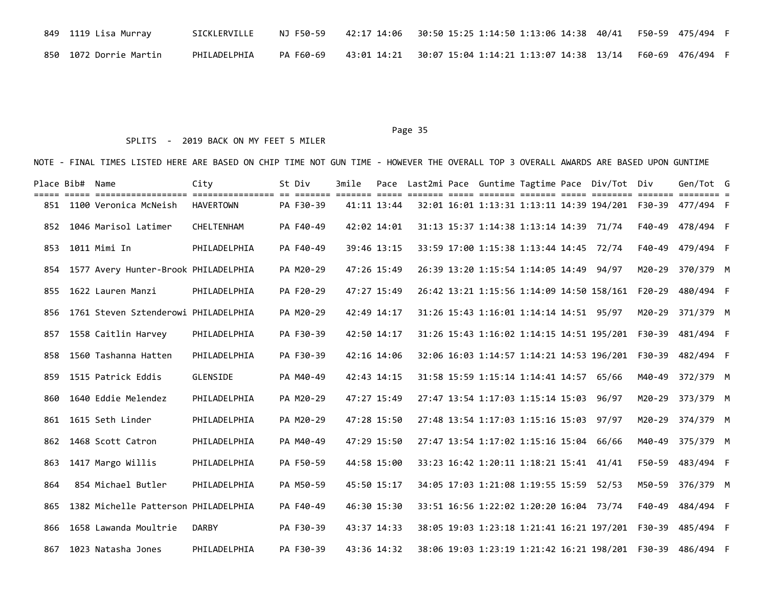| 849  1119 Lisa Murray   | SICKLERVILLE | NJ F50-59 | 42:17 14:06   30:50 15:25 1:14:50 1:13:06 14:38 40/41   F50-59 475/494   F |  |
|-------------------------|--------------|-----------|----------------------------------------------------------------------------|--|
| 850  1072 Dorrie Martin | PHILADELPHIA | PA F60-69 | 43:01 14:21  30:07 15:04 1:14:21 1:13:07 14:38 13/14  F60-69 476/494  F    |  |

### SPLITS - 2019 BACK ON MY FEET 5 MILER

|     | Place Bib# Name |                                          | City         | St Div    | 3mile | Pace        |  |                                         |  | Last2mi Pace Guntime Tagtime Pace Div/Tot Div    |        | Gen/Tot G                                                           |  |
|-----|-----------------|------------------------------------------|--------------|-----------|-------|-------------|--|-----------------------------------------|--|--------------------------------------------------|--------|---------------------------------------------------------------------|--|
|     |                 | 851 1100 Veronica McNeish                | HAVERTOWN    | PA F30-39 |       | 41:11 13:44 |  |                                         |  |                                                  |        | 32:01 16:01 1:13:31 1:13:11 14:39 194/201    F30-39    477/494    F |  |
|     |                 | 852 1046 Marisol Latimer                 | CHELTENHAM   | PA F40-49 |       | 42:02 14:01 |  | 31:13 15:37 1:14:38 1:13:14 14:39 71/74 |  |                                                  |        | F40-49 478/494 F                                                    |  |
| 853 |                 | 1011 Mimi In                             | PHILADELPHIA | PA F40-49 |       | 39:46 13:15 |  | 33:59 17:00 1:15:38 1:13:44 14:45 72/74 |  |                                                  | F40-49 | 479/494 F                                                           |  |
|     |                 | 854 1577 Avery Hunter-Brook PHILADELPHIA |              | PA M20-29 |       | 47:26 15:49 |  | 26:39 13:20 1:15:54 1:14:05 14:49 94/97 |  |                                                  |        | M20-29 370/379 M                                                    |  |
| 855 |                 | 1622 Lauren Manzi                        | PHILADELPHIA | PA F20-29 |       | 47:27 15:49 |  |                                         |  | 26:42 13:21 1:15:56 1:14:09 14:50 158/161 F20-29 |        | 480/494 F                                                           |  |
| 856 |                 | 1761 Steven Sztenderowi PHILADELPHIA     |              | PA M20-29 |       | 42:49 14:17 |  | 31:26 15:43 1:16:01 1:14:14 14:51 95/97 |  |                                                  | M20-29 | 371/379 M                                                           |  |
| 857 |                 | 1558 Caitlin Harvey                      | PHILADELPHIA | PA F30-39 |       | 42:50 14:17 |  |                                         |  | 31:26 15:43 1:16:02 1:14:15 14:51 195/201 F30-39 |        | 481/494 F                                                           |  |
| 858 |                 | 1560 Tashanna Hatten                     | PHILADELPHIA | PA F30-39 |       | 42:16 14:06 |  |                                         |  | 32:06 16:03 1:14:57 1:14:21 14:53 196/201 F30-39 |        | 482/494 F                                                           |  |
|     |                 | 859 1515 Patrick Eddis                   | GLENSIDE     | PA M40-49 |       | 42:43 14:15 |  | 31:58 15:59 1:15:14 1:14:41 14:57 65/66 |  |                                                  | M40-49 | 372/379 M                                                           |  |
| 860 |                 | 1640 Eddie Melendez                      | PHILADELPHIA | PA M20-29 |       | 47:27 15:49 |  | 27:47 13:54 1:17:03 1:15:14 15:03 96/97 |  |                                                  |        | M20-29 373/379 M                                                    |  |
|     |                 | 861 1615 Seth Linder                     | PHILADELPHIA | PA M20-29 |       | 47:28 15:50 |  | 27:48 13:54 1:17:03 1:15:16 15:03 97/97 |  |                                                  |        | M20-29 374/379 M                                                    |  |
| 862 |                 | 1468 Scott Catron                        | PHILADELPHIA | PA M40-49 |       | 47:29 15:50 |  | 27:47 13:54 1:17:02 1:15:16 15:04       |  | 66/66                                            | M40-49 | 375/379 M                                                           |  |
| 863 |                 | 1417 Margo Willis                        | PHILADELPHIA | PA F50-59 |       | 44:58 15:00 |  | 33:23 16:42 1:20:11 1:18:21 15:41 41/41 |  |                                                  | F50-59 | 483/494 F                                                           |  |
| 864 |                 | 854 Michael Butler                       | PHILADELPHIA | PA M50-59 |       | 45:50 15:17 |  | 34:05 17:03 1:21:08 1:19:55 15:59 52/53 |  |                                                  | M50-59 | 376/379 M                                                           |  |
| 865 |                 | 1382 Michelle Patterson PHILADELPHIA     |              | PA F40-49 |       | 46:30 15:30 |  | 33:51 16:56 1:22:02 1:20:20 16:04 73/74 |  |                                                  | F40-49 | 484/494 F                                                           |  |
|     |                 | 866 1658 Lawanda Moultrie                | <b>DARBY</b> | PA F30-39 |       | 43:37 14:33 |  |                                         |  |                                                  |        | 38:05 19:03 1:23:18 1:21:41 16:21 197/201    F30-39    485/494    F |  |
|     |                 | 867 1023 Natasha Jones                   | PHILADELPHIA | PA F30-39 |       | 43:36 14:32 |  |                                         |  |                                                  |        |                                                                     |  |